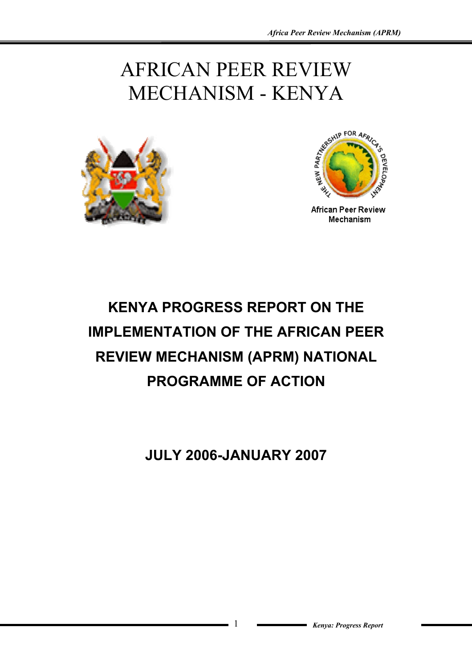# AFRICAN PEER REVIEW MECHANISM - KENYA





**African Peer Review** Mechanism

# **KENYA PROGRESS REPORT ON THE IMPLEMENTATION OF THE AFRICAN PEER REVIEW MECHANISM (APRM) NATIONAL PROGRAMME OF ACTION**

**JULY 2006-JANUARY 2007**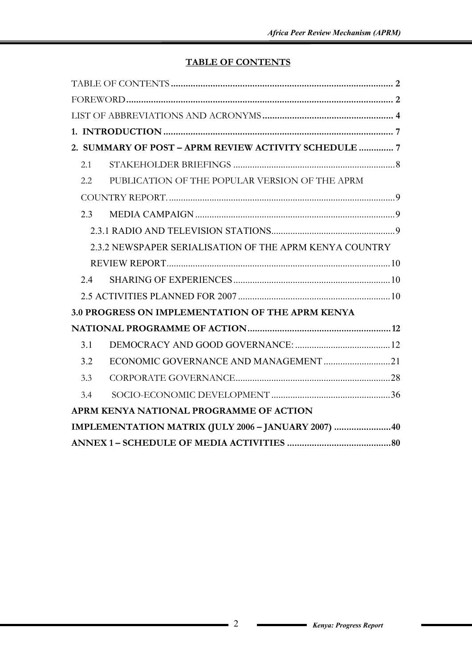# **TABLE OF CONTENTS**

| 2. SUMMARY OF POST - APRM REVIEW ACTIVITY SCHEDULE  7   |
|---------------------------------------------------------|
| 2.1                                                     |
| PUBLICATION OF THE POPULAR VERSION OF THE APRM<br>2.2   |
|                                                         |
| 2.3                                                     |
|                                                         |
| 2.3.2 NEWSPAPER SERIALISATION OF THE APRM KENYA COUNTRY |
|                                                         |
| 24                                                      |
|                                                         |
| <b>3.0 PROGRESS ON IMPLEMENTATION OF THE APRM KENYA</b> |
|                                                         |
| 3.1                                                     |
| 3.2                                                     |
| 3.3                                                     |
| 3.4                                                     |
| APRM KENYA NATIONAL PROGRAMME OF ACTION                 |
| IMPLEMENTATION MATRIX (JULY 2006 - JANUARY 2007) 40     |
|                                                         |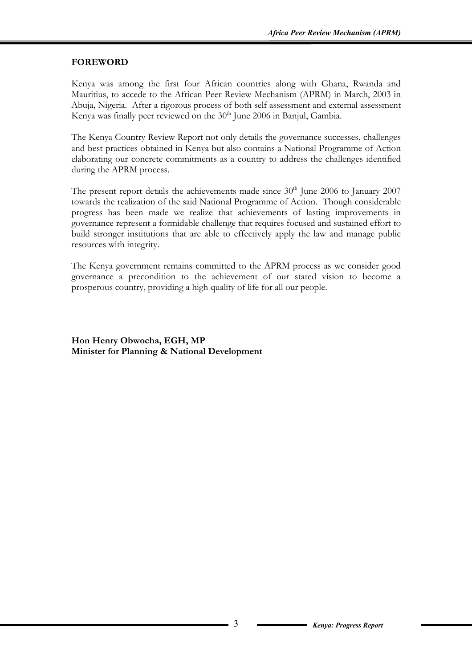#### **FOREWORD**

Kenya was among the first four African countries along with Ghana, Rwanda and Mauritius, to accede to the African Peer Review Mechanism (APRM) in March, 2003 in Abuja, Nigeria. After a rigorous process of both self assessment and external assessment Kenya was finally peer reviewed on the  $30<sup>th</sup>$  June 2006 in Banjul, Gambia.

The Kenya Country Review Report not only details the governance successes, challenges and best practices obtained in Kenya but also contains a National Programme of Action elaborating our concrete commitments as a country to address the challenges identified during the APRM process.

The present report details the achievements made since  $30<sup>th</sup>$  June 2006 to January 2007 towards the realization of the said National Programme of Action. Though considerable progress has been made we realize that achievements of lasting improvements in governance represent a formidable challenge that requires focused and sustained effort to build stronger institutions that are able to effectively apply the law and manage public resources with integrity.

The Kenya government remains committed to the APRM process as we consider good governance a precondition to the achievement of our stated vision to become a prosperous country, providing a high quality of life for all our people.

**Hon Henry Obwocha, EGH, MP Minister for Planning & National Development**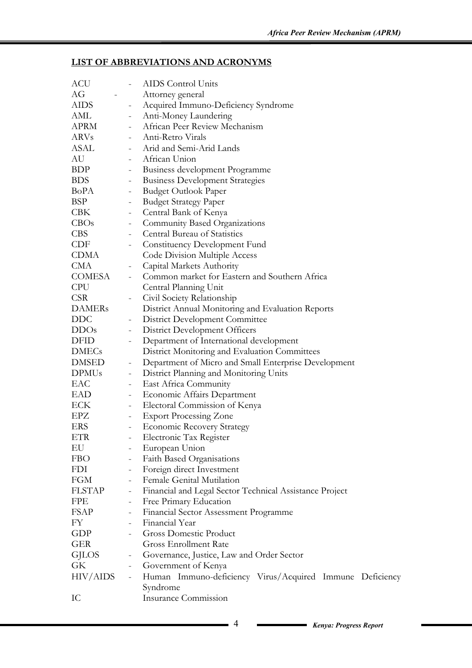#### **LIST OF ABBREVIATIONS AND ACRONYMS**

| ACU           | $\sim$ $-$                   | AIDS Control Units                                       |
|---------------|------------------------------|----------------------------------------------------------|
| AG            |                              | Attorney general                                         |
| AIDS          | $\equiv$                     | Acquired Immuno-Deficiency Syndrome                      |
| AML           | $\frac{1}{2}$                | Anti-Money Laundering                                    |
| <b>APRM</b>   |                              | - African Peer Review Mechanism                          |
| ARVs          |                              | - Anti-Retro Virals                                      |
| ASAL          |                              | - Arid and Semi-Arid Lands                               |
| AU            |                              | - African Union                                          |
| <b>BDP</b>    | $\sim$                       | Business development Programme                           |
| <b>BDS</b>    | $\sim$                       | <b>Business Development Strategies</b>                   |
| BoPA          | $\equiv$                     | <b>Budget Outlook Paper</b>                              |
| <b>BSP</b>    | $\equiv$                     | <b>Budget Strategy Paper</b>                             |
| <b>CBK</b>    | $\blacksquare$               | Central Bank of Kenya                                    |
| CBOs          | $\equiv$                     | <b>Community Based Organizations</b>                     |
| CBS           | $\equiv$                     | <b>Central Bureau of Statistics</b>                      |
| CDF           |                              | - Constituency Development Fund                          |
| CDMA          |                              | Code Division Multiple Access                            |
| CMA           |                              | - Capital Markets Authority                              |
| COMESA        |                              | - Common market for Eastern and Southern Africa          |
| <b>CPU</b>    |                              | Central Planning Unit                                    |
| CSR           | $\overline{\phantom{a}}$     | Civil Society Relationship                               |
| <b>DAMERs</b> |                              | District Annual Monitoring and Evaluation Reports        |
| DDC           | $\blacksquare$               | District Development Committee                           |
| DDOs          | $\equiv$                     | District Development Officers                            |
| DFID          | $\blacksquare$               | Department of International development                  |
| <b>DMECs</b>  |                              | District Monitoring and Evaluation Committees            |
| DMSED         | $\blacksquare$               | Department of Micro and Small Enterprise Development     |
| <b>DPMUs</b>  | $\equiv$                     | District Planning and Monitoring Units                   |
| EAC           | $\sim$                       | East Africa Community                                    |
| EAD           | $\equiv$                     | <b>Economic Affairs Department</b>                       |
| ECK           | $\blacksquare$               | Electoral Commission of Kenya                            |
| EPZ           | $\blacksquare$               | <b>Export Processing Zone</b>                            |
| ERS           | $\equiv$                     | <b>Economic Recovery Strategy</b>                        |
| ETR           |                              | Electronic Tax Register                                  |
| EU            |                              | European Union                                           |
| <b>FBO</b>    | $\qquad \qquad \blacksquare$ | Faith Based Organisations                                |
| FDI           | $\blacksquare$               | Foreign direct Investment                                |
| FGM           | $\overline{\phantom{a}}$     | Female Genital Mutilation                                |
| FLSTAP        | $\overline{\phantom{a}}$     | Financial and Legal Sector Technical Assistance Project  |
| FPE           | $\overline{\phantom{a}}$     | Free Primary Education                                   |
| <b>FSAP</b>   | $\overline{\phantom{a}}$     | Financial Sector Assessment Programme                    |
| FY            |                              | Financial Year                                           |
| GDP           |                              | <b>Gross Domestic Product</b>                            |
| <b>GER</b>    |                              | <b>Gross Enrollment Rate</b>                             |
| GJLOS         | $\overline{\phantom{a}}$     | Governance, Justice, Law and Order Sector                |
| GK            | $\overline{\phantom{a}}$     | Government of Kenya                                      |
| HIV/AIDS      | $\overline{\phantom{a}}$     | Human Immuno-deficiency Virus/Acquired Immune Deficiency |
|               |                              | Syndrome                                                 |
| IC            |                              | Insurance Commission                                     |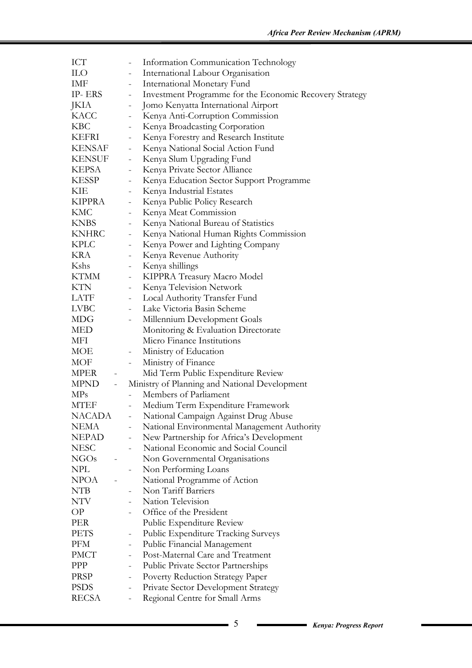| ICT              |                          |                              | Information Communication Technology                    |
|------------------|--------------------------|------------------------------|---------------------------------------------------------|
| <b>ILO</b>       |                          | $\overline{\phantom{a}}$     | International Labour Organisation                       |
| IMF              |                          | $\overline{\phantom{0}}$     | International Monetary Fund                             |
| IP- ERS          |                          | $\overline{\phantom{0}}$     | Investment Programme for the Economic Recovery Strategy |
| JKIA             |                          | $\overline{\phantom{0}}$     | Jomo Kenyatta International Airport                     |
| KACC             |                          | $\overline{\phantom{a}}$     | Kenya Anti-Corruption Commission                        |
| <b>KBC</b>       |                          | $\overline{\phantom{0}}$     | Kenya Broadcasting Corporation                          |
| KEFRI            |                          |                              | Kenya Forestry and Research Institute                   |
| KENSAF           |                          | $\frac{1}{2}$                | Kenya National Social Action Fund                       |
| KENSUF           |                          | $\blacksquare$               | Kenya Slum Upgrading Fund                               |
| <b>KEPSA</b>     |                          | $\overline{\phantom{a}}$     | Kenya Private Sector Alliance                           |
| <b>KESSP</b>     |                          |                              | Kenya Education Sector Support Programme                |
| KIE              |                          | $\overline{\phantom{0}}$     | Kenya Industrial Estates                                |
| KIPPRA           |                          | $\qquad \qquad -$            | Kenya Public Policy Research                            |
| <b>KMC</b>       |                          | $\overline{\phantom{a}}$     | Kenya Meat Commission                                   |
| <b>KNBS</b>      |                          |                              | Kenya National Bureau of Statistics                     |
| <b>KNHRC</b>     |                          | $\frac{1}{2}$                | Kenya National Human Rights Commission                  |
| KPLC             |                          | $\overline{\phantom{a}}$     | Kenya Power and Lighting Company                        |
| <b>KRA</b>       |                          | $\overline{\phantom{0}}$     | Kenya Revenue Authority                                 |
| Kshs             |                          |                              | Kenya shillings                                         |
| KTMM             |                          | $\qquad \qquad \blacksquare$ | KIPPRA Treasury Macro Model                             |
| KTN              |                          | $\qquad \qquad -$            | Kenya Television Network                                |
| LATF             |                          | $\overline{\phantom{a}}$     | Local Authority Transfer Fund                           |
| <b>LVBC</b>      |                          |                              | Lake Victoria Basin Scheme                              |
| <b>MDG</b>       |                          |                              | Millennium Development Goals                            |
| MED              |                          |                              | Monitoring & Evaluation Directorate                     |
| MFI              |                          |                              | Micro Finance Institutions                              |
| MOE              |                          |                              |                                                         |
|                  |                          |                              | Ministry of Education                                   |
| MOF              |                          | $\equiv$                     | Ministry of Finance                                     |
| MPER             | $\overline{\phantom{a}}$ |                              | Mid Term Public Expenditure Review                      |
| MPND             | $\omega_{\rm{max}}$      |                              | Ministry of Planning and National Development           |
| MP <sub>s</sub>  |                          |                              | Members of Parliament                                   |
| MTEF             |                          |                              | Medium Term Expenditure Framework                       |
| NACADA           |                          |                              | National Campaign Against Drug Abuse                    |
| <b>NEMA</b>      |                          |                              | National Environmental Management Authority             |
| <b>NEPAD</b>     |                          |                              | New Partnership for Africa's Development                |
| <b>NESC</b>      |                          |                              | National Economic and Social Council                    |
| NGO <sub>s</sub> |                          |                              | Non Governmental Organisations                          |
| NPL              |                          |                              | Non Performing Loans                                    |
| NPOA             |                          |                              | National Programme of Action                            |
| NTB              |                          |                              | Non Tariff Barriers                                     |
| NTV              |                          | $\blacksquare$               | Nation Television                                       |
| OP               |                          |                              | Office of the President                                 |
| PER              |                          |                              | Public Expenditure Review                               |
| PETS             |                          | $\qquad \qquad -$            | Public Expenditure Tracking Surveys                     |
| PFM              |                          | $\overline{\phantom{a}}$     | Public Financial Management                             |
| PMCT             |                          |                              | Post-Maternal Care and Treatment                        |
| PPP              |                          |                              | Public Private Sector Partnerships                      |
| PRSP             |                          |                              | <b>Poverty Reduction Strategy Paper</b>                 |
| <b>PSDS</b>      |                          | $\overline{\phantom{a}}$     | Private Sector Development Strategy                     |
| <b>RECSA</b>     |                          |                              | Regional Centre for Small Arms                          |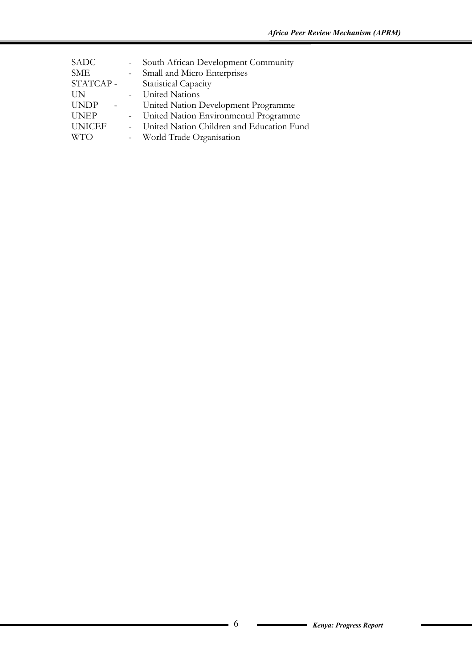| <b>SME</b><br>- Small and Micro Enterprises                  |  |
|--------------------------------------------------------------|--|
|                                                              |  |
| STATCAP-<br><b>Statistical Capacity</b>                      |  |
| - United Nations<br>UN                                       |  |
| <b>UNDP</b><br>United Nation Development Programme           |  |
| - United Nation Environmental Programme<br><b>UNEP</b>       |  |
| <b>UNICEF</b><br>- United Nation Children and Education Fund |  |
| <b>WTO</b><br>- World Trade Organisation                     |  |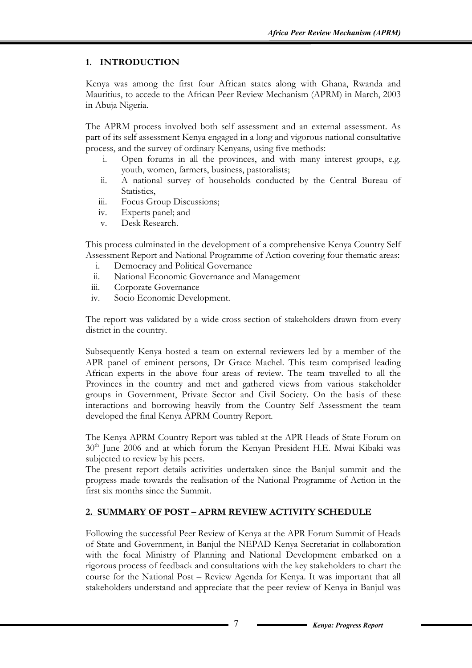#### **1. INTRODUCTION**

Kenya was among the first four African states along with Ghana, Rwanda and Mauritius, to accede to the African Peer Review Mechanism (APRM) in March, 2003 in Abuja Nigeria.

The APRM process involved both self assessment and an external assessment. As part of its self assessment Kenya engaged in a long and vigorous national consultative process, and the survey of ordinary Kenyans, using five methods:

- i. Open forums in all the provinces, and with many interest groups, e.g. youth, women, farmers, business, pastoralists;
- ii. A national survey of households conducted by the Central Bureau of Statistics,
- iii. Focus Group Discussions;
- iv. Experts panel; and
- v. Desk Research.

This process culminated in the development of a comprehensive Kenya Country Self Assessment Report and National Programme of Action covering four thematic areas:

- i. Democracy and Political Governance
- ii. National Economic Governance and Management
- iii. Corporate Governance
- iv. Socio Economic Development.

The report was validated by a wide cross section of stakeholders drawn from every district in the country.

Subsequently Kenya hosted a team on external reviewers led by a member of the APR panel of eminent persons, Dr Grace Machel. This team comprised leading African experts in the above four areas of review. The team travelled to all the Provinces in the country and met and gathered views from various stakeholder groups in Government, Private Sector and Civil Society. On the basis of these interactions and borrowing heavily from the Country Self Assessment the team developed the final Kenya APRM Country Report.

The Kenya APRM Country Report was tabled at the APR Heads of State Forum on 30<sup>th</sup> June 2006 and at which forum the Kenyan President H.E. Mwai Kibaki was subjected to review by his peers.

The present report details activities undertaken since the Banjul summit and the progress made towards the realisation of the National Programme of Action in the first six months since the Summit.

#### **2. SUMMARY OF POST – APRM REVIEW ACTIVITY SCHEDULE**

Following the successful Peer Review of Kenya at the APR Forum Summit of Heads of State and Government, in Banjul the NEPAD Kenya Secretariat in collaboration with the focal Ministry of Planning and National Development embarked on a rigorous process of feedback and consultations with the key stakeholders to chart the course for the National Post – Review Agenda for Kenya. It was important that all stakeholders understand and appreciate that the peer review of Kenya in Banjul was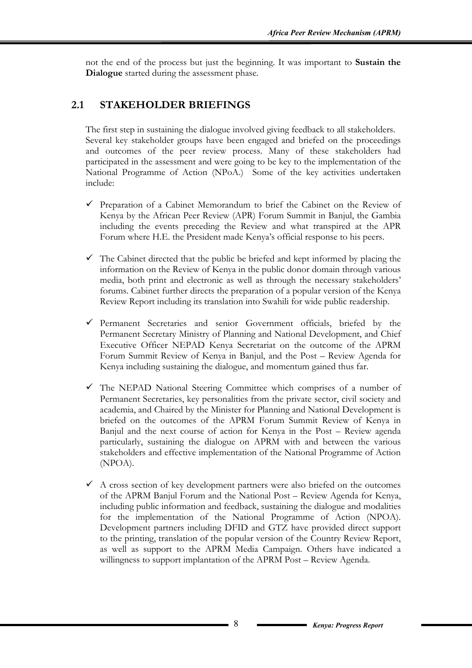not the end of the process but just the beginning. It was important to **Sustain the Dialogue** started during the assessment phase.

# **2.1 STAKEHOLDER BRIEFINGS**

The first step in sustaining the dialogue involved giving feedback to all stakeholders. Several key stakeholder groups have been engaged and briefed on the proceedings and outcomes of the peer review process. Many of these stakeholders had participated in the assessment and were going to be key to the implementation of the National Programme of Action (NPoA.) Some of the key activities undertaken include:

- $\checkmark$  Preparation of a Cabinet Memorandum to brief the Cabinet on the Review of Kenya by the African Peer Review (APR) Forum Summit in Banjul, the Gambia including the events preceding the Review and what transpired at the APR Forum where H.E. the President made Kenya's official response to his peers.
- $\checkmark$  The Cabinet directed that the public be briefed and kept informed by placing the information on the Review of Kenya in the public donor domain through various media, both print and electronic as well as through the necessary stakeholders' forums. Cabinet further directs the preparation of a popular version of the Kenya Review Report including its translation into Swahili for wide public readership.
- $\checkmark$  Permanent Secretaries and senior Government officials, briefed by the Permanent Secretary Ministry of Planning and National Development, and Chief Executive Officer NEPAD Kenya Secretariat on the outcome of the APRM Forum Summit Review of Kenya in Banjul, and the Post – Review Agenda for Kenya including sustaining the dialogue, and momentum gained thus far.
- $\checkmark$  The NEPAD National Steering Committee which comprises of a number of Permanent Secretaries, key personalities from the private sector, civil society and academia, and Chaired by the Minister for Planning and National Development is briefed on the outcomes of the APRM Forum Summit Review of Kenya in Banjul and the next course of action for Kenya in the Post – Review agenda particularly, sustaining the dialogue on APRM with and between the various stakeholders and effective implementation of the National Programme of Action (NPOA).
- $\checkmark$  A cross section of key development partners were also briefed on the outcomes of the APRM Banjul Forum and the National Post – Review Agenda for Kenya, including public information and feedback, sustaining the dialogue and modalities for the implementation of the National Programme of Action (NPOA). Development partners including DFID and GTZ have provided direct support to the printing, translation of the popular version of the Country Review Report, as well as support to the APRM Media Campaign. Others have indicated a willingness to support implantation of the APRM Post – Review Agenda.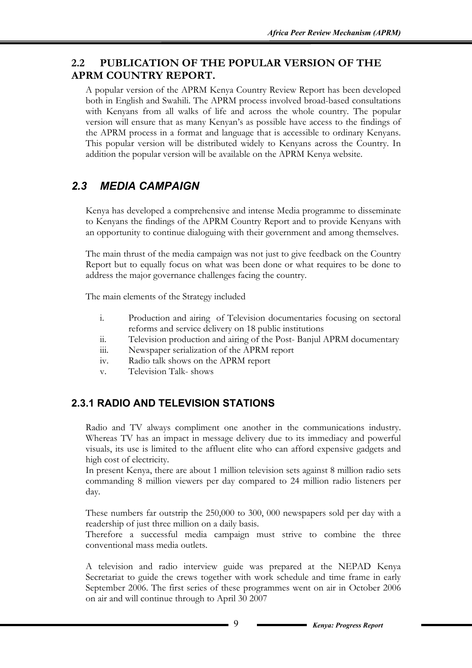# **2.2 PUBLICATION OF THE POPULAR VERSION OF THE APRM COUNTRY REPORT.**

A popular version of the APRM Kenya Country Review Report has been developed both in English and Swahili. The APRM process involved broad-based consultations with Kenyans from all walks of life and across the whole country. The popular version will ensure that as many Kenyan's as possible have access to the findings of the APRM process in a format and language that is accessible to ordinary Kenyans. This popular version will be distributed widely to Kenyans across the Country. In addition the popular version will be available on the APRM Kenya website.

# *2.3 MEDIA CAMPAIGN*

Kenya has developed a comprehensive and intense Media programme to disseminate to Kenyans the findings of the APRM Country Report and to provide Kenyans with an opportunity to continue dialoguing with their government and among themselves.

The main thrust of the media campaign was not just to give feedback on the Country Report but to equally focus on what was been done or what requires to be done to address the major governance challenges facing the country.

The main elements of the Strategy included

- i. Production and airing of Television documentaries focusing on sectoral reforms and service delivery on 18 public institutions
- ii. Television production and airing of the Post- Banjul APRM documentary
- iii. Newspaper serialization of the APRM report
- iv. Radio talk shows on the APRM report
- v. Television Talk- shows

# **2.3.1 RADIO AND TELEVISION STATIONS**

Radio and TV always compliment one another in the communications industry. Whereas TV has an impact in message delivery due to its immediacy and powerful visuals, its use is limited to the affluent elite who can afford expensive gadgets and high cost of electricity.

In present Kenya, there are about 1 million television sets against 8 million radio sets commanding 8 million viewers per day compared to 24 million radio listeners per day.

These numbers far outstrip the 250,000 to 300, 000 newspapers sold per day with a readership of just three million on a daily basis.

Therefore a successful media campaign must strive to combine the three conventional mass media outlets.

A television and radio interview guide was prepared at the NEPAD Kenya Secretariat to guide the crews together with work schedule and time frame in early September 2006. The first series of these programmes went on air in October 2006 on air and will continue through to April 30 2007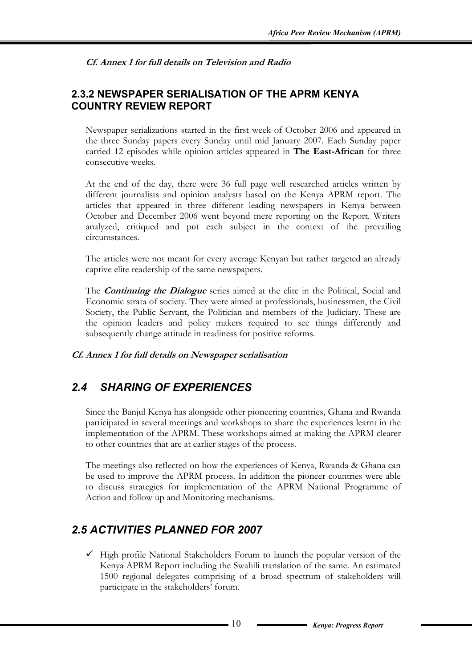**Cf. Annex 1 for full details on Television and Radio** 

# **2.3.2 NEWSPAPER SERIALISATION OF THE APRM KENYA COUNTRY REVIEW REPORT**

Newspaper serializations started in the first week of October 2006 and appeared in the three Sunday papers every Sunday until mid January 2007. Each Sunday paper carried 12 episodes while opinion articles appeared in **The East-African** for three consecutive weeks.

At the end of the day, there were 36 full page well researched articles written by different journalists and opinion analysts based on the Kenya APRM report. The articles that appeared in three different leading newspapers in Kenya between October and December 2006 went beyond mere reporting on the Report. Writers analyzed, critiqued and put each subject in the context of the prevailing circumstances.

The articles were not meant for every average Kenyan but rather targeted an already captive elite readership of the same newspapers.

The **Continuing the Dialogue** series aimed at the elite in the Political, Social and Economic strata of society. They were aimed at professionals, businessmen, the Civil Society, the Public Servant, the Politician and members of the Judiciary. These are the opinion leaders and policy makers required to see things differently and subsequently change attitude in readiness for positive reforms.

**Cf. Annex 1 for full details on Newspaper serialisation** 

# *2.4 SHARING OF EXPERIENCES*

Since the Banjul Kenya has alongside other pioneering countries, Ghana and Rwanda participated in several meetings and workshops to share the experiences learnt in the implementation of the APRM. These workshops aimed at making the APRM clearer to other countries that are at earlier stages of the process.

The meetings also reflected on how the experiences of Kenya, Rwanda & Ghana can be used to improve the APRM process. In addition the pioneer countries were able to discuss strategies for implementation of the APRM National Programme of Action and follow up and Monitoring mechanisms.

# *2.5 ACTIVITIES PLANNED FOR 2007*

 $\checkmark$  High profile National Stakeholders Forum to launch the popular version of the Kenya APRM Report including the Swahili translation of the same. An estimated 1500 regional delegates comprising of a broad spectrum of stakeholders will participate in the stakeholders' forum.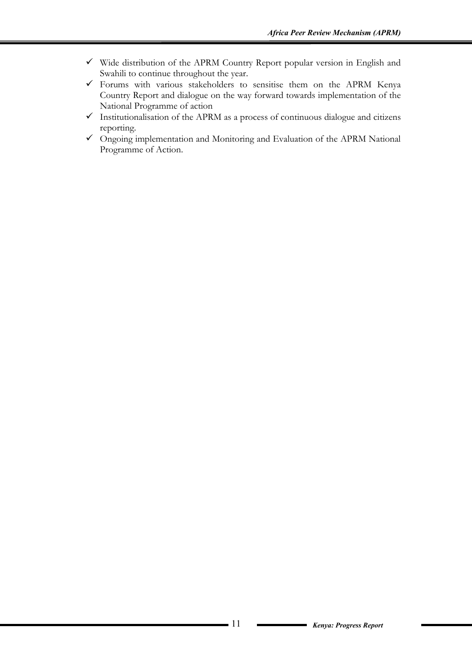- $\checkmark$  Wide distribution of the APRM Country Report popular version in English and Swahili to continue throughout the year.
- $\checkmark$  Forums with various stakeholders to sensitise them on the APRM Kenya Country Report and dialogue on the way forward towards implementation of the National Programme of action
- $\checkmark$  Institutionalisation of the APRM as a process of continuous dialogue and citizens reporting.
- $\checkmark$  Ongoing implementation and Monitoring and Evaluation of the APRM National Programme of Action.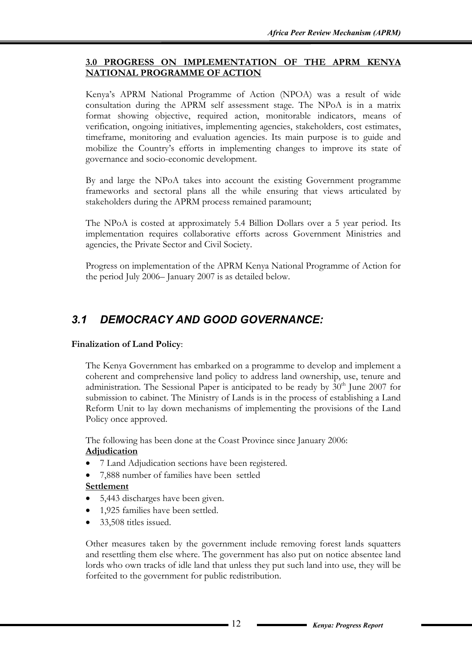#### **3.0 PROGRESS ON IMPLEMENTATION OF THE APRM KENYA NATIONAL PROGRAMME OF ACTION**

Kenya's APRM National Programme of Action (NPOA) was a result of wide consultation during the APRM self assessment stage. The NPoA is in a matrix format showing objective, required action, monitorable indicators, means of verification, ongoing initiatives, implementing agencies, stakeholders, cost estimates, timeframe, monitoring and evaluation agencies. Its main purpose is to guide and mobilize the Country's efforts in implementing changes to improve its state of governance and socio-economic development.

By and large the NPoA takes into account the existing Government programme frameworks and sectoral plans all the while ensuring that views articulated by stakeholders during the APRM process remained paramount;

The NPoA is costed at approximately 5.4 Billion Dollars over a 5 year period. Its implementation requires collaborative efforts across Government Ministries and agencies, the Private Sector and Civil Society.

Progress on implementation of the APRM Kenya National Programme of Action for the period July 2006– January 2007 is as detailed below.

# *3.1 DEMOCRACY AND GOOD GOVERNANCE:*

#### **Finalization of Land Policy**:

The Kenya Government has embarked on a programme to develop and implement a coherent and comprehensive land policy to address land ownership, use, tenure and administration. The Sessional Paper is anticipated to be ready by  $30<sup>th</sup>$  June 2007 for submission to cabinet. The Ministry of Lands is in the process of establishing a Land Reform Unit to lay down mechanisms of implementing the provisions of the Land Policy once approved.

The following has been done at the Coast Province since January 2006: **Adjudication**

- 7 Land Adjudication sections have been registered.
- 7,888 number of families have been settled

#### **Settlement**

- 5,443 discharges have been given.
- 1,925 families have been settled.
- 33,508 titles issued.

Other measures taken by the government include removing forest lands squatters and resettling them else where. The government has also put on notice absentee land lords who own tracks of idle land that unless they put such land into use, they will be forfeited to the government for public redistribution.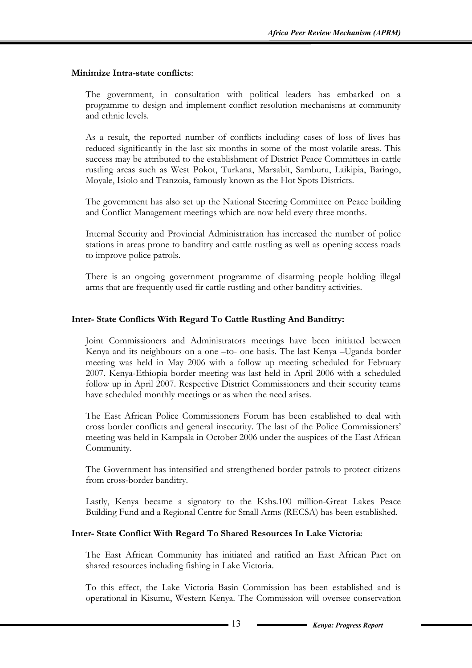#### **Minimize Intra-state conflicts**:

The government, in consultation with political leaders has embarked on a programme to design and implement conflict resolution mechanisms at community and ethnic levels.

As a result, the reported number of conflicts including cases of loss of lives has reduced significantly in the last six months in some of the most volatile areas. This success may be attributed to the establishment of District Peace Committees in cattle rustling areas such as West Pokot, Turkana, Marsabit, Samburu, Laikipia, Baringo, Moyale, Isiolo and Tranzoia, famously known as the Hot Spots Districts.

The government has also set up the National Steering Committee on Peace building and Conflict Management meetings which are now held every three months.

Internal Security and Provincial Administration has increased the number of police stations in areas prone to banditry and cattle rustling as well as opening access roads to improve police patrols.

There is an ongoing government programme of disarming people holding illegal arms that are frequently used fir cattle rustling and other banditry activities.

#### **Inter- State Conflicts With Regard To Cattle Rustling And Banditry:**

Joint Commissioners and Administrators meetings have been initiated between Kenya and its neighbours on a one –to- one basis. The last Kenya –Uganda border meeting was held in May 2006 with a follow up meeting scheduled for February 2007. Kenya-Ethiopia border meeting was last held in April 2006 with a scheduled follow up in April 2007. Respective District Commissioners and their security teams have scheduled monthly meetings or as when the need arises.

The East African Police Commissioners Forum has been established to deal with cross border conflicts and general insecurity. The last of the Police Commissioners' meeting was held in Kampala in October 2006 under the auspices of the East African Community.

The Government has intensified and strengthened border patrols to protect citizens from cross-border banditry.

Lastly, Kenya became a signatory to the Kshs.100 million-Great Lakes Peace Building Fund and a Regional Centre for Small Arms (RECSA) has been established.

#### **Inter- State Conflict With Regard To Shared Resources In Lake Victoria**:

The East African Community has initiated and ratified an East African Pact on shared resources including fishing in Lake Victoria.

To this effect, the Lake Victoria Basin Commission has been established and is operational in Kisumu, Western Kenya. The Commission will oversee conservation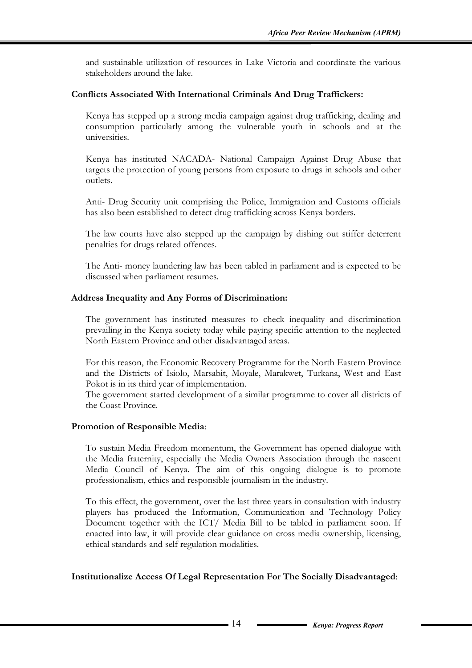and sustainable utilization of resources in Lake Victoria and coordinate the various stakeholders around the lake.

#### **Conflicts Associated With International Criminals And Drug Traffickers:**

Kenya has stepped up a strong media campaign against drug trafficking, dealing and consumption particularly among the vulnerable youth in schools and at the universities.

Kenya has instituted NACADA- National Campaign Against Drug Abuse that targets the protection of young persons from exposure to drugs in schools and other outlets.

Anti- Drug Security unit comprising the Police, Immigration and Customs officials has also been established to detect drug trafficking across Kenya borders.

The law courts have also stepped up the campaign by dishing out stiffer deterrent penalties for drugs related offences.

The Anti- money laundering law has been tabled in parliament and is expected to be discussed when parliament resumes.

#### **Address Inequality and Any Forms of Discrimination:**

The government has instituted measures to check inequality and discrimination prevailing in the Kenya society today while paying specific attention to the neglected North Eastern Province and other disadvantaged areas.

For this reason, the Economic Recovery Programme for the North Eastern Province and the Districts of Isiolo, Marsabit, Moyale, Marakwet, Turkana, West and East Pokot is in its third year of implementation.

The government started development of a similar programme to cover all districts of the Coast Province.

#### **Promotion of Responsible Media**:

To sustain Media Freedom momentum, the Government has opened dialogue with the Media fraternity, especially the Media Owners Association through the nascent Media Council of Kenya. The aim of this ongoing dialogue is to promote professionalism, ethics and responsible journalism in the industry.

To this effect, the government, over the last three years in consultation with industry players has produced the Information, Communication and Technology Policy Document together with the ICT/ Media Bill to be tabled in parliament soon. If enacted into law, it will provide clear guidance on cross media ownership, licensing, ethical standards and self regulation modalities.

#### **Institutionalize Access Of Legal Representation For The Socially Disadvantaged**: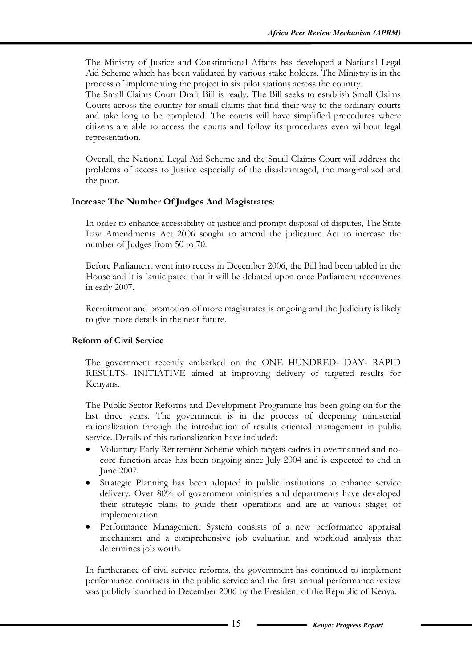The Ministry of Justice and Constitutional Affairs has developed a National Legal Aid Scheme which has been validated by various stake holders. The Ministry is in the process of implementing the project in six pilot stations across the country.

The Small Claims Court Draft Bill is ready. The Bill seeks to establish Small Claims Courts across the country for small claims that find their way to the ordinary courts and take long to be completed. The courts will have simplified procedures where citizens are able to access the courts and follow its procedures even without legal representation.

Overall, the National Legal Aid Scheme and the Small Claims Court will address the problems of access to Justice especially of the disadvantaged, the marginalized and the poor.

#### **Increase The Number Of Judges And Magistrates**:

In order to enhance accessibility of justice and prompt disposal of disputes, The State Law Amendments Act 2006 sought to amend the judicature Act to increase the number of Judges from 50 to 70.

Before Parliament went into recess in December 2006, the Bill had been tabled in the House and it is `anticipated that it will be debated upon once Parliament reconvenes in early 2007.

Recruitment and promotion of more magistrates is ongoing and the Judiciary is likely to give more details in the near future.

#### **Reform of Civil Service**

The government recently embarked on the ONE HUNDRED- DAY- RAPID RESULTS- INITIATIVE aimed at improving delivery of targeted results for Kenyans.

The Public Sector Reforms and Development Programme has been going on for the last three years. The government is in the process of deepening ministerial rationalization through the introduction of results oriented management in public service. Details of this rationalization have included:

- Voluntary Early Retirement Scheme which targets cadres in overmanned and nocore function areas has been ongoing since July 2004 and is expected to end in June 2007.
- Strategic Planning has been adopted in public institutions to enhance service delivery. Over 80% of government ministries and departments have developed their strategic plans to guide their operations and are at various stages of implementation.
- Performance Management System consists of a new performance appraisal mechanism and a comprehensive job evaluation and workload analysis that determines job worth.

In furtherance of civil service reforms, the government has continued to implement performance contracts in the public service and the first annual performance review was publicly launched in December 2006 by the President of the Republic of Kenya.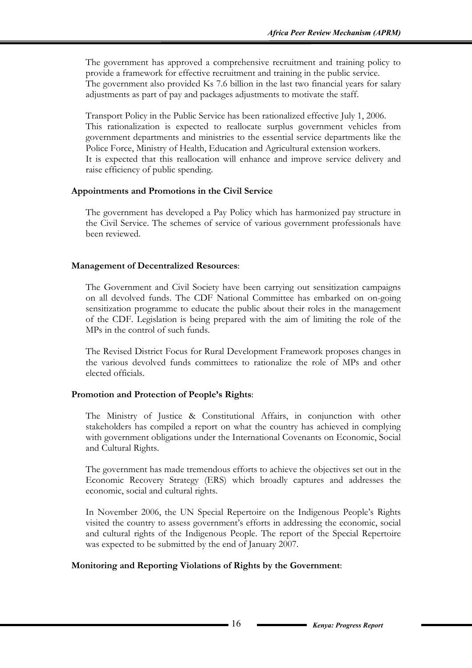The government has approved a comprehensive recruitment and training policy to provide a framework for effective recruitment and training in the public service. The government also provided Ks 7.6 billion in the last two financial years for salary adjustments as part of pay and packages adjustments to motivate the staff.

Transport Policy in the Public Service has been rationalized effective July 1, 2006. This rationalization is expected to reallocate surplus government vehicles from government departments and ministries to the essential service departments like the Police Force, Ministry of Health, Education and Agricultural extension workers. It is expected that this reallocation will enhance and improve service delivery and raise efficiency of public spending.

#### **Appointments and Promotions in the Civil Service**

The government has developed a Pay Policy which has harmonized pay structure in the Civil Service. The schemes of service of various government professionals have been reviewed.

#### **Management of Decentralized Resources**:

The Government and Civil Society have been carrying out sensitization campaigns on all devolved funds. The CDF National Committee has embarked on on-going sensitization programme to educate the public about their roles in the management of the CDF. Legislation is being prepared with the aim of limiting the role of the MPs in the control of such funds.

The Revised District Focus for Rural Development Framework proposes changes in the various devolved funds committees to rationalize the role of MPs and other elected officials.

#### **Promotion and Protection of People's Rights**:

The Ministry of Justice & Constitutional Affairs, in conjunction with other stakeholders has compiled a report on what the country has achieved in complying with government obligations under the International Covenants on Economic, Social and Cultural Rights.

The government has made tremendous efforts to achieve the objectives set out in the Economic Recovery Strategy (ERS) which broadly captures and addresses the economic, social and cultural rights.

In November 2006, the UN Special Repertoire on the Indigenous People's Rights visited the country to assess government's efforts in addressing the economic, social and cultural rights of the Indigenous People. The report of the Special Repertoire was expected to be submitted by the end of January 2007.

#### **Monitoring and Reporting Violations of Rights by the Government**: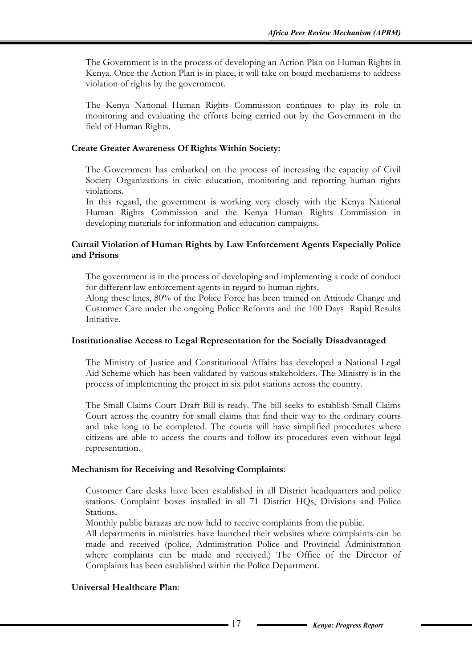The Government is in the process of developing an Action Plan on Human Rights in Kenya. Once the Action Plan is in place, it will take on board mechanisms to address violation of rights by the government.

The Kenya National Human Rights Commission continues to play its role in monitoring and evaluating the efforts being carried out by the Government in the field of Human Rights.

#### **Create Greater Awareness Of Rights Within Society:**

The Government has embarked on the process of increasing the capacity of Civil Society Organizations in civic education, monitoring and reporting human rights violations.

In this regard, the government is working very closely with the Kenya National Human Rights Commission and the Kenya Human Rights Commission in developing materials for information and education campaigns.

#### **Curtail Violation of Human Rights by Law Enforcement Agents Especially Police and Prisons**

The government is in the process of developing and implementing a code of conduct for different law enforcement agents in regard to human rights.

Along these lines, 80% of the Police Force has been trained on Attitude Change and Customer Care under the ongoing Police Reforms and the 100 Days Rapid Results Initiative.

#### **Institutionalise Access to Legal Representation for the Socially Disadvantaged**

The Ministry of Justice and Constitutional Affairs has developed a National Legal Aid Scheme which has been validated by various stakeholders. The Ministry is in the process of implementing the project in six pilot stations across the country.

The Small Claims Court Draft Bill is ready. The bill seeks to establish Small Claims Court across the country for small claims that find their way to the ordinary courts and take long to be completed. The courts will have simplified procedures where citizens are able to access the courts and follow its procedures even without legal representation.

#### **Mechanism for Receiving and Resolving Complaints**:

Customer Care desks have been established in all District headquarters and police stations. Complaint boxes installed in all 71 District HQs, Divisions and Police Stations.

Monthly public barazas are now held to receive complaints from the public.

All departments in ministries have launched their websites where complaints can be made and received (police, Administration Police and Provincial Administration where complaints can be made and received.) The Office of the Director of Complaints has been established within the Police Department.

#### **Universal Healthcare Plan**: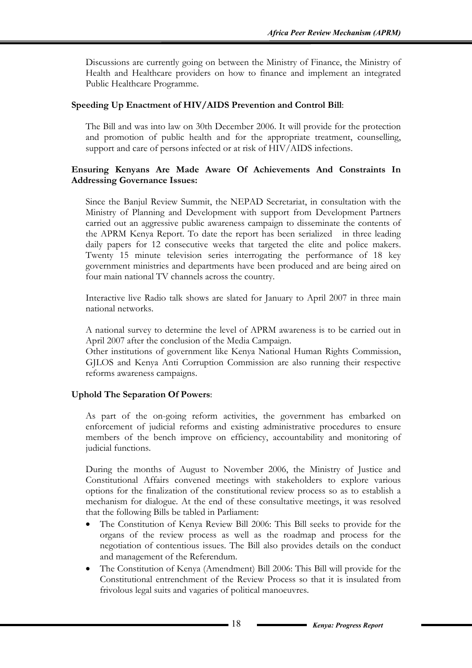Discussions are currently going on between the Ministry of Finance, the Ministry of Health and Healthcare providers on how to finance and implement an integrated Public Healthcare Programme.

#### **Speeding Up Enactment of HIV/AIDS Prevention and Control Bill**:

The Bill and was into law on 30th December 2006. It will provide for the protection and promotion of public health and for the appropriate treatment, counselling, support and care of persons infected or at risk of HIV/AIDS infections.

#### **Ensuring Kenyans Are Made Aware Of Achievements And Constraints In Addressing Governance Issues:**

Since the Banjul Review Summit, the NEPAD Secretariat, in consultation with the Ministry of Planning and Development with support from Development Partners carried out an aggressive public awareness campaign to disseminate the contents of the APRM Kenya Report. To date the report has been serialized in three leading daily papers for 12 consecutive weeks that targeted the elite and police makers. Twenty 15 minute television series interrogating the performance of 18 key government ministries and departments have been produced and are being aired on four main national TV channels across the country.

Interactive live Radio talk shows are slated for January to April 2007 in three main national networks.

A national survey to determine the level of APRM awareness is to be carried out in April 2007 after the conclusion of the Media Campaign.

Other institutions of government like Kenya National Human Rights Commission, GJLOS and Kenya Anti Corruption Commission are also running their respective reforms awareness campaigns.

#### **Uphold The Separation Of Powers**:

As part of the on-going reform activities, the government has embarked on enforcement of judicial reforms and existing administrative procedures to ensure members of the bench improve on efficiency, accountability and monitoring of judicial functions.

During the months of August to November 2006, the Ministry of Justice and Constitutional Affairs convened meetings with stakeholders to explore various options for the finalization of the constitutional review process so as to establish a mechanism for dialogue. At the end of these consultative meetings, it was resolved that the following Bills be tabled in Parliament:

- The Constitution of Kenya Review Bill 2006: This Bill seeks to provide for the organs of the review process as well as the roadmap and process for the negotiation of contentious issues. The Bill also provides details on the conduct and management of the Referendum.
- The Constitution of Kenya (Amendment) Bill 2006: This Bill will provide for the Constitutional entrenchment of the Review Process so that it is insulated from frivolous legal suits and vagaries of political manoeuvres.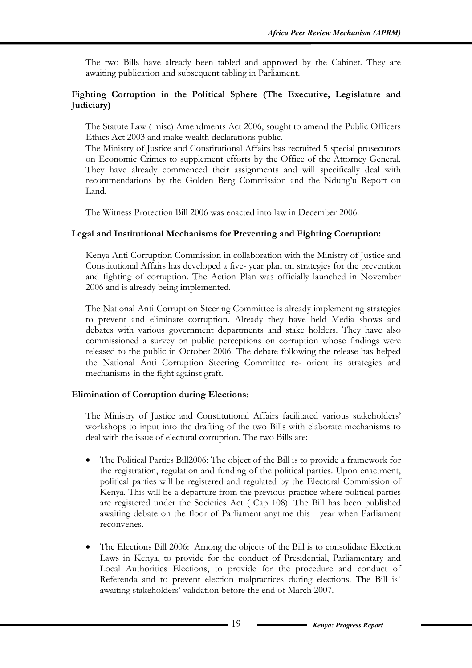The two Bills have already been tabled and approved by the Cabinet. They are awaiting publication and subsequent tabling in Parliament.

#### **Fighting Corruption in the Political Sphere (The Executive, Legislature and Judiciary)**

The Statute Law ( misc) Amendments Act 2006, sought to amend the Public Officers Ethics Act 2003 and make wealth declarations public.

The Ministry of Justice and Constitutional Affairs has recruited 5 special prosecutors on Economic Crimes to supplement efforts by the Office of the Attorney General. They have already commenced their assignments and will specifically deal with recommendations by the Golden Berg Commission and the Ndung'u Report on Land.

The Witness Protection Bill 2006 was enacted into law in December 2006.

#### **Legal and Institutional Mechanisms for Preventing and Fighting Corruption:**

Kenya Anti Corruption Commission in collaboration with the Ministry of Justice and Constitutional Affairs has developed a five- year plan on strategies for the prevention and fighting of corruption. The Action Plan was officially launched in November 2006 and is already being implemented.

The National Anti Corruption Steering Committee is already implementing strategies to prevent and eliminate corruption. Already they have held Media shows and debates with various government departments and stake holders. They have also commissioned a survey on public perceptions on corruption whose findings were released to the public in October 2006. The debate following the release has helped the National Anti Corruption Steering Committee re- orient its strategies and mechanisms in the fight against graft.

#### **Elimination of Corruption during Elections**:

The Ministry of Justice and Constitutional Affairs facilitated various stakeholders' workshops to input into the drafting of the two Bills with elaborate mechanisms to deal with the issue of electoral corruption. The two Bills are:

- The Political Parties Bill2006: The object of the Bill is to provide a framework for the registration, regulation and funding of the political parties. Upon enactment, political parties will be registered and regulated by the Electoral Commission of Kenya. This will be a departure from the previous practice where political parties are registered under the Societies Act ( Cap 108). The Bill has been published awaiting debate on the floor of Parliament anytime this year when Parliament reconvenes.
- The Elections Bill 2006: Among the objects of the Bill is to consolidate Election Laws in Kenya, to provide for the conduct of Presidential, Parliamentary and Local Authorities Elections, to provide for the procedure and conduct of Referenda and to prevent election malpractices during elections. The Bill is` awaiting stakeholders' validation before the end of March 2007.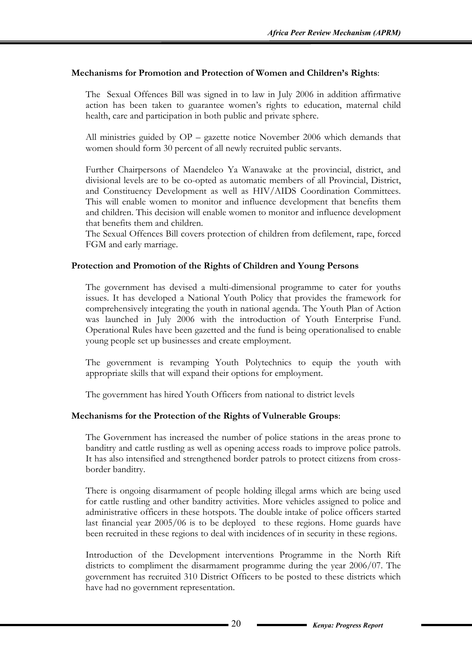#### **Mechanisms for Promotion and Protection of Women and Children's Rights**:

The Sexual Offences Bill was signed in to law in July 2006 in addition affirmative action has been taken to guarantee women's rights to education, maternal child health, care and participation in both public and private sphere.

All ministries guided by OP – gazette notice November 2006 which demands that women should form 30 percent of all newly recruited public servants.

Further Chairpersons of Maendeleo Ya Wanawake at the provincial, district, and divisional levels are to be co-opted as automatic members of all Provincial, District, and Constituency Development as well as HIV/AIDS Coordination Committees. This will enable women to monitor and influence development that benefits them and children. This decision will enable women to monitor and influence development that benefits them and children.

The Sexual Offences Bill covers protection of children from defilement, rape, forced FGM and early marriage.

#### **Protection and Promotion of the Rights of Children and Young Persons**

The government has devised a multi-dimensional programme to cater for youths issues. It has developed a National Youth Policy that provides the framework for comprehensively integrating the youth in national agenda. The Youth Plan of Action was launched in July 2006 with the introduction of Youth Enterprise Fund. Operational Rules have been gazetted and the fund is being operationalised to enable young people set up businesses and create employment.

The government is revamping Youth Polytechnics to equip the youth with appropriate skills that will expand their options for employment.

The government has hired Youth Officers from national to district levels

#### **Mechanisms for the Protection of the Rights of Vulnerable Groups**:

The Government has increased the number of police stations in the areas prone to banditry and cattle rustling as well as opening access roads to improve police patrols. It has also intensified and strengthened border patrols to protect citizens from crossborder banditry.

There is ongoing disarmament of people holding illegal arms which are being used for cattle rustling and other banditry activities. More vehicles assigned to police and administrative officers in these hotspots. The double intake of police officers started last financial year 2005/06 is to be deployed to these regions. Home guards have been recruited in these regions to deal with incidences of in security in these regions.

Introduction of the Development interventions Programme in the North Rift districts to compliment the disarmament programme during the year 2006/07. The government has recruited 310 District Officers to be posted to these districts which have had no government representation.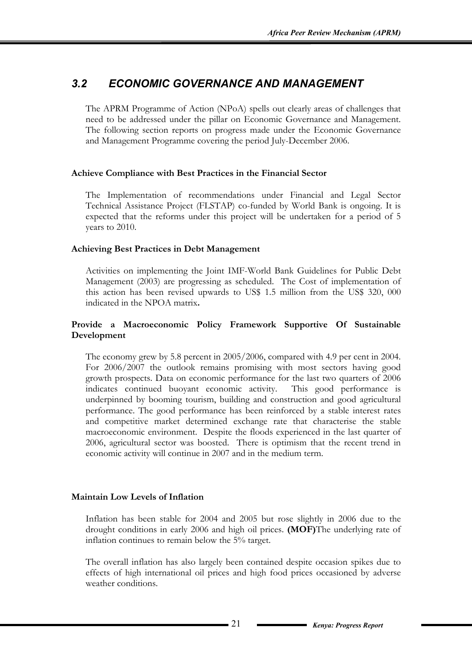# *3.2 ECONOMIC GOVERNANCE AND MANAGEMENT*

The APRM Programme of Action (NPoA) spells out clearly areas of challenges that need to be addressed under the pillar on Economic Governance and Management. The following section reports on progress made under the Economic Governance and Management Programme covering the period July-December 2006.

#### **Achieve Compliance with Best Practices in the Financial Sector**

The Implementation of recommendations under Financial and Legal Sector Technical Assistance Project (FLSTAP) co-funded by World Bank is ongoing. It is expected that the reforms under this project will be undertaken for a period of 5 years to 2010.

#### **Achieving Best Practices in Debt Management**

Activities on implementing the Joint IMF-World Bank Guidelines for Public Debt Management (2003) are progressing as scheduled. The Cost of implementation of this action has been revised upwards to US\$ 1.5 million from the US\$ 320, 000 indicated in the NPOA matrix**.** 

#### **Provide a Macroeconomic Policy Framework Supportive Of Sustainable Development**

The economy grew by 5.8 percent in 2005/2006, compared with 4.9 per cent in 2004. For 2006/2007 the outlook remains promising with most sectors having good growth prospects. Data on economic performance for the last two quarters of 2006 indicates continued buoyant economic activity. This good performance is underpinned by booming tourism, building and construction and good agricultural performance. The good performance has been reinforced by a stable interest rates and competitive market determined exchange rate that characterise the stable macroeconomic environment. Despite the floods experienced in the last quarter of 2006, agricultural sector was boosted. There is optimism that the recent trend in economic activity will continue in 2007 and in the medium term.

#### **Maintain Low Levels of Inflation**

Inflation has been stable for 2004 and 2005 but rose slightly in 2006 due to the drought conditions in early 2006 and high oil prices. **(MOF)**The underlying rate of inflation continues to remain below the 5% target.

The overall inflation has also largely been contained despite occasion spikes due to effects of high international oil prices and high food prices occasioned by adverse weather conditions.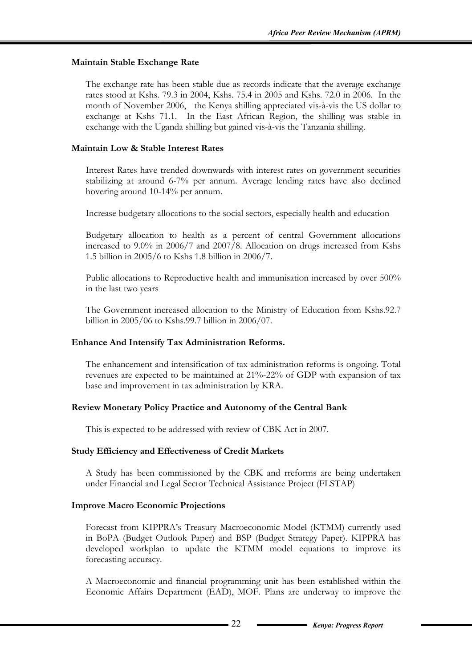#### **Maintain Stable Exchange Rate**

The exchange rate has been stable due as records indicate that the average exchange rates stood at Kshs. 79.3 in 2004, Kshs. 75.4 in 2005 and Kshs. 72.0 in 2006. In the month of November 2006, the Kenya shilling appreciated vis-à-vis the US dollar to exchange at Kshs 71.1. In the East African Region, the shilling was stable in exchange with the Uganda shilling but gained vis-à-vis the Tanzania shilling.

#### **Maintain Low & Stable Interest Rates**

Interest Rates have trended downwards with interest rates on government securities stabilizing at around 6-7% per annum. Average lending rates have also declined hovering around 10-14% per annum.

Increase budgetary allocations to the social sectors, especially health and education

Budgetary allocation to health as a percent of central Government allocations increased to 9.0% in 2006/7 and 2007/8. Allocation on drugs increased from Kshs 1.5 billion in 2005/6 to Kshs 1.8 billion in 2006/7.

Public allocations to Reproductive health and immunisation increased by over 500% in the last two years

The Government increased allocation to the Ministry of Education from Kshs.92.7 billion in 2005/06 to Kshs.99.7 billion in 2006/07.

#### **Enhance And Intensify Tax Administration Reforms.**

The enhancement and intensification of tax administration reforms is ongoing. Total revenues are expected to be maintained at 21%-22% of GDP with expansion of tax base and improvement in tax administration by KRA.

#### **Review Monetary Policy Practice and Autonomy of the Central Bank**

This is expected to be addressed with review of CBK Act in 2007.

#### **Study Efficiency and Effectiveness of Credit Markets**

A Study has been commissioned by the CBK and rreforms are being undertaken under Financial and Legal Sector Technical Assistance Project (FLSTAP)

#### **Improve Macro Economic Projections**

Forecast from KIPPRA's Treasury Macroeconomic Model (KTMM) currently used in BoPA (Budget Outlook Paper) and BSP (Budget Strategy Paper). KIPPRA has developed workplan to update the KTMM model equations to improve its forecasting accuracy.

A Macroeconomic and financial programming unit has been established within the Economic Affairs Department (EAD), MOF. Plans are underway to improve the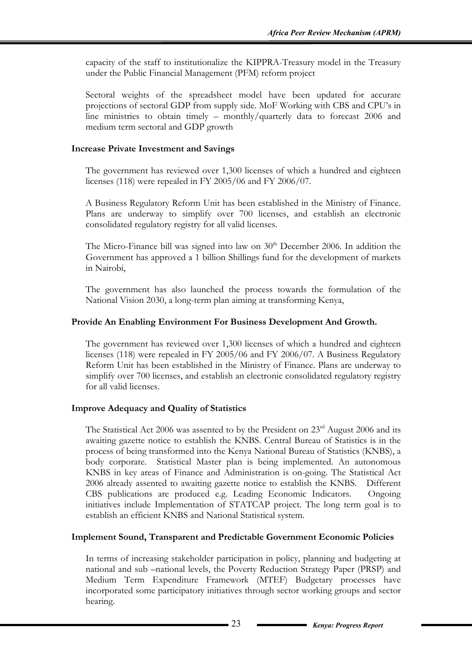capacity of the staff to institutionalize the KIPPRA-Treasury model in the Treasury under the Public Financial Management (PFM) reform project

Sectoral weights of the spreadsheet model have been updated for accurate projections of sectoral GDP from supply side. MoF Working with CBS and CPU's in line ministries to obtain timely – monthly/quarterly data to forecast 2006 and medium term sectoral and GDP growth

#### **Increase Private Investment and Savings**

The government has reviewed over 1,300 licenses of which a hundred and eighteen licenses (118) were repealed in FY 2005/06 and FY 2006/07.

A Business Regulatory Reform Unit has been established in the Ministry of Finance. Plans are underway to simplify over 700 licenses, and establish an electronic consolidated regulatory registry for all valid licenses.

The Micro-Finance bill was signed into law on  $30<sup>th</sup>$  December 2006. In addition the Government has approved a 1 billion Shillings fund for the development of markets in Nairobi,

The government has also launched the process towards the formulation of the National Vision 2030, a long-term plan aiming at transforming Kenya,

#### **Provide An Enabling Environment For Business Development And Growth.**

The government has reviewed over 1,300 licenses of which a hundred and eighteen licenses (118) were repealed in FY 2005/06 and FY 2006/07. A Business Regulatory Reform Unit has been established in the Ministry of Finance. Plans are underway to simplify over 700 licenses, and establish an electronic consolidated regulatory registry for all valid licenses.

#### **Improve Adequacy and Quality of Statistics**

The Statistical Act 2006 was assented to by the President on 23<sup>rd</sup> August 2006 and its awaiting gazette notice to establish the KNBS. Central Bureau of Statistics is in the process of being transformed into the Kenya National Bureau of Statistics (KNBS), a body corporate. Statistical Master plan is being implemented. An autonomous KNBS in key areas of Finance and Administration is on-going. The Statistical Act 2006 already assented to awaiting gazette notice to establish the KNBS. Different CBS publications are produced e.g. Leading Economic Indicators. Ongoing initiatives include Implementation of STATCAP project. The long term goal is to establish an efficient KNBS and National Statistical system.

#### **Implement Sound, Transparent and Predictable Government Economic Policies**

In terms of increasing stakeholder participation in policy, planning and budgeting at national and sub –national levels, the Poverty Reduction Strategy Paper (PRSP) and Medium Term Expenditure Framework (MTEF) Budgetary processes have incorporated some participatory initiatives through sector working groups and sector hearing.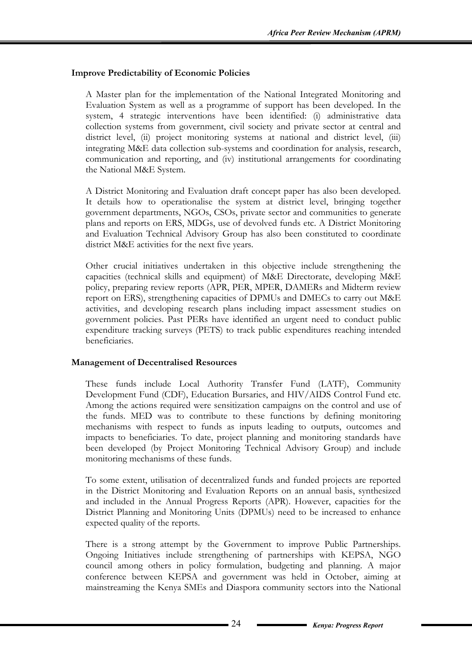#### **Improve Predictability of Economic Policies**

A Master plan for the implementation of the National Integrated Monitoring and Evaluation System as well as a programme of support has been developed. In the system, 4 strategic interventions have been identified: (i) administrative data collection systems from government, civil society and private sector at central and district level, (ii) project monitoring systems at national and district level, (iii) integrating M&E data collection sub-systems and coordination for analysis, research, communication and reporting, and (iv) institutional arrangements for coordinating the National M&E System.

A District Monitoring and Evaluation draft concept paper has also been developed. It details how to operationalise the system at district level, bringing together government departments, NGOs, CSOs, private sector and communities to generate plans and reports on ERS, MDGs, use of devolved funds etc. A District Monitoring and Evaluation Technical Advisory Group has also been constituted to coordinate district M&E activities for the next five years.

Other crucial initiatives undertaken in this objective include strengthening the capacities (technical skills and equipment) of M&E Directorate, developing M&E policy, preparing review reports (APR, PER, MPER, DAMERs and Midterm review report on ERS), strengthening capacities of DPMUs and DMECs to carry out M&E activities, and developing research plans including impact assessment studies on government policies. Past PERs have identified an urgent need to conduct public expenditure tracking surveys (PETS) to track public expenditures reaching intended beneficiaries.

#### **Management of Decentralised Resources**

These funds include Local Authority Transfer Fund (LATF), Community Development Fund (CDF), Education Bursaries, and HIV/AIDS Control Fund etc. Among the actions required were sensitization campaigns on the control and use of the funds. MED was to contribute to these functions by defining monitoring mechanisms with respect to funds as inputs leading to outputs, outcomes and impacts to beneficiaries. To date, project planning and monitoring standards have been developed (by Project Monitoring Technical Advisory Group) and include monitoring mechanisms of these funds.

To some extent, utilisation of decentralized funds and funded projects are reported in the District Monitoring and Evaluation Reports on an annual basis, synthesized and included in the Annual Progress Reports (APR). However, capacities for the District Planning and Monitoring Units (DPMUs) need to be increased to enhance expected quality of the reports.

There is a strong attempt by the Government to improve Public Partnerships. Ongoing Initiatives include strengthening of partnerships with KEPSA, NGO council among others in policy formulation, budgeting and planning. A major conference between KEPSA and government was held in October, aiming at mainstreaming the Kenya SMEs and Diaspora community sectors into the National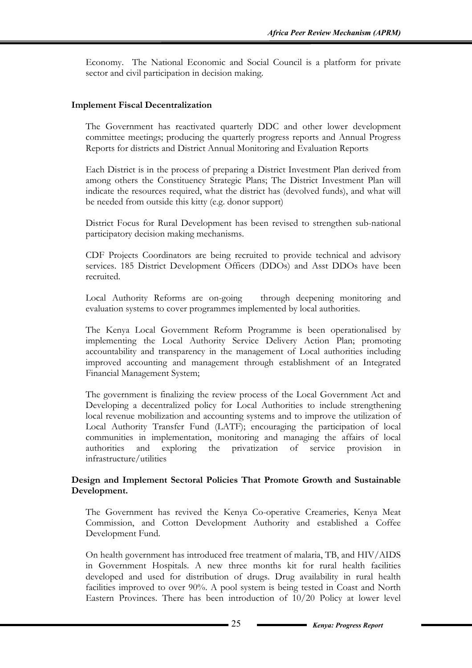Economy. The National Economic and Social Council is a platform for private sector and civil participation in decision making.

#### **Implement Fiscal Decentralization**

The Government has reactivated quarterly DDC and other lower development committee meetings; producing the quarterly progress reports and Annual Progress Reports for districts and District Annual Monitoring and Evaluation Reports

Each District is in the process of preparing a District Investment Plan derived from among others the Constituency Strategic Plans; The District Investment Plan will indicate the resources required, what the district has (devolved funds), and what will be needed from outside this kitty (e.g. donor support)

District Focus for Rural Development has been revised to strengthen sub-national participatory decision making mechanisms.

CDF Projects Coordinators are being recruited to provide technical and advisory services. 185 District Development Officers (DDOs) and Asst DDOs have been recruited.

Local Authority Reforms are on-going through deepening monitoring and evaluation systems to cover programmes implemented by local authorities.

The Kenya Local Government Reform Programme is been operationalised by implementing the Local Authority Service Delivery Action Plan; promoting accountability and transparency in the management of Local authorities including improved accounting and management through establishment of an Integrated Financial Management System;

The government is finalizing the review process of the Local Government Act and Developing a decentralized policy for Local Authorities to include strengthening local revenue mobilization and accounting systems and to improve the utilization of Local Authority Transfer Fund (LATF); encouraging the participation of local communities in implementation, monitoring and managing the affairs of local authorities and exploring the privatization of service provision in infrastructure/utilities

#### **Design and Implement Sectoral Policies That Promote Growth and Sustainable Development.**

The Government has revived the Kenya Co-operative Creameries, Kenya Meat Commission, and Cotton Development Authority and established a Coffee Development Fund.

On health government has introduced free treatment of malaria, TB, and HIV/AIDS in Government Hospitals. A new three months kit for rural health facilities developed and used for distribution of drugs. Drug availability in rural health facilities improved to over 90%. A pool system is being tested in Coast and North Eastern Provinces. There has been introduction of 10/20 Policy at lower level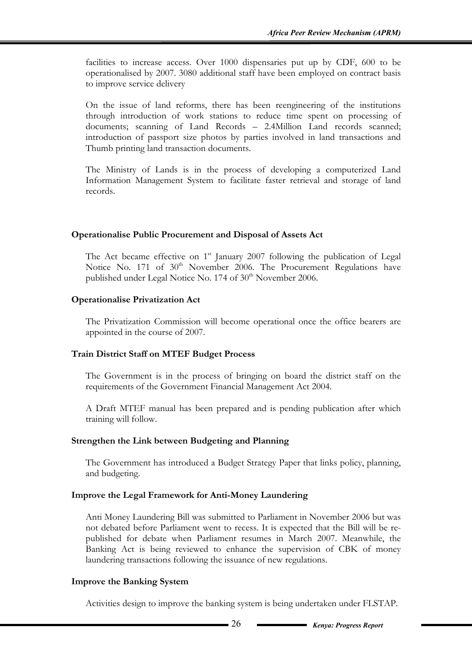facilities to increase access. Over 1000 dispensaries put up by CDF, 600 to be operationalised by 2007. 3080 additional staff have been employed on contract basis to improve service delivery

On the issue of land reforms, there has been reengineering of the institutions through introduction of work stations to reduce time spent on processing of documents; scanning of Land Records – 2.4Million Land records scanned; introduction of passport size photos by parties involved in land transactions and Thumb printing land transaction documents.

The Ministry of Lands is in the process of developing a computerized Land Information Management System to facilitate faster retrieval and storage of land records.

#### **Operationalise Public Procurement and Disposal of Assets Act**

The Act became effective on  $1<sup>st</sup>$  January 2007 following the publication of Legal Notice No. 171 of 30<sup>th</sup> November 2006. The Procurement Regulations have published under Legal Notice No. 174 of 30<sup>th</sup> November 2006.

#### **Operationalise Privatization Act**

The Privatization Commission will become operational once the office bearers are appointed in the course of 2007.

#### **Train District Staff on MTEF Budget Process**

The Government is in the process of bringing on board the district staff on the requirements of the Government Financial Management Act 2004.

A Draft MTEF manual has been prepared and is pending publication after which training will follow.

#### **Strengthen the Link between Budgeting and Planning**

The Government has introduced a Budget Strategy Paper that links policy, planning, and budgeting.

#### **Improve the Legal Framework for Anti-Money Laundering**

Anti Money Laundering Bill was submitted to Parliament in November 2006 but was not debated before Parliament went to recess. It is expected that the Bill will be republished for debate when Parliament resumes in March 2007. Meanwhile, the Banking Act is being reviewed to enhance the supervision of CBK of money laundering transactions following the issuance of new regulations.

#### **Improve the Banking System**

Activities design to improve the banking system is being undertaken under FLSTAP.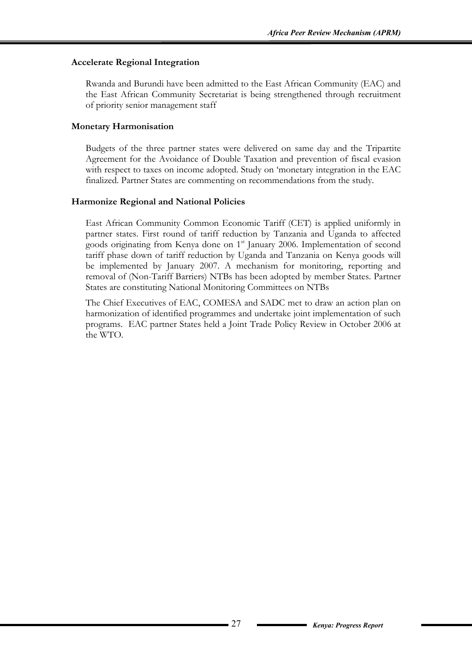#### **Accelerate Regional Integration**

Rwanda and Burundi have been admitted to the East African Community (EAC) and the East African Community Secretariat is being strengthened through recruitment of priority senior management staff

#### **Monetary Harmonisation**

Budgets of the three partner states were delivered on same day and the Tripartite Agreement for the Avoidance of Double Taxation and prevention of fiscal evasion with respect to taxes on income adopted. Study on 'monetary integration in the EAC finalized. Partner States are commenting on recommendations from the study.

#### **Harmonize Regional and National Policies**

East African Community Common Economic Tariff (CET) is applied uniformly in partner states. First round of tariff reduction by Tanzania and Uganda to affected goods originating from Kenya done on 1<sup>st</sup> January 2006. Implementation of second tariff phase down of tariff reduction by Uganda and Tanzania on Kenya goods will be implemented by January 2007. A mechanism for monitoring, reporting and removal of (Non-Tariff Barriers) NTBs has been adopted by member States. Partner States are constituting National Monitoring Committees on NTBs

The Chief Executives of EAC, COMESA and SADC met to draw an action plan on harmonization of identified programmes and undertake joint implementation of such programs. EAC partner States held a Joint Trade Policy Review in October 2006 at the WTO.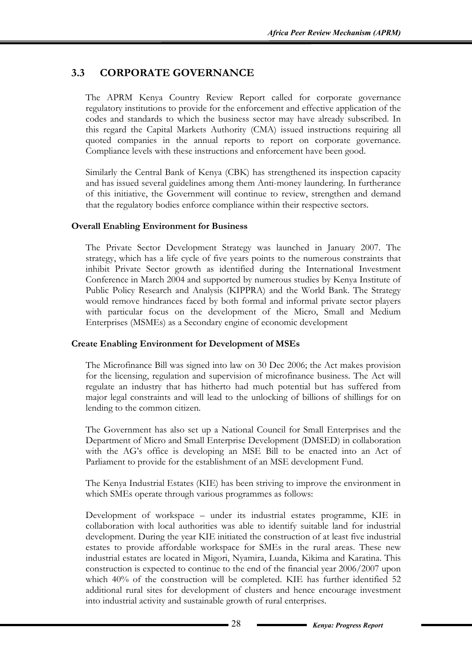# **3.3 CORPORATE GOVERNANCE**

The APRM Kenya Country Review Report called for corporate governance regulatory institutions to provide for the enforcement and effective application of the codes and standards to which the business sector may have already subscribed. In this regard the Capital Markets Authority (CMA) issued instructions requiring all quoted companies in the annual reports to report on corporate governance. Compliance levels with these instructions and enforcement have been good.

Similarly the Central Bank of Kenya (CBK) has strengthened its inspection capacity and has issued several guidelines among them Anti-money laundering. In furtherance of this initiative, the Government will continue to review, strengthen and demand that the regulatory bodies enforce compliance within their respective sectors.

#### **Overall Enabling Environment for Business**

The Private Sector Development Strategy was launched in January 2007. The strategy, which has a life cycle of five years points to the numerous constraints that inhibit Private Sector growth as identified during the International Investment Conference in March 2004 and supported by numerous studies by Kenya Institute of Public Policy Research and Analysis (KIPPRA) and the World Bank. The Strategy would remove hindrances faced by both formal and informal private sector players with particular focus on the development of the Micro, Small and Medium Enterprises (MSMEs) as a Secondary engine of economic development

#### **Create Enabling Environment for Development of MSEs**

The Microfinance Bill was signed into law on 30 Dec 2006; the Act makes provision for the licensing, regulation and supervision of microfinance business. The Act will regulate an industry that has hitherto had much potential but has suffered from major legal constraints and will lead to the unlocking of billions of shillings for on lending to the common citizen.

The Government has also set up a National Council for Small Enterprises and the Department of Micro and Small Enterprise Development (DMSED) in collaboration with the AG's office is developing an MSE Bill to be enacted into an Act of Parliament to provide for the establishment of an MSE development Fund.

The Kenya Industrial Estates (KIE) has been striving to improve the environment in which SMEs operate through various programmes as follows:

Development of workspace – under its industrial estates programme, KIE in collaboration with local authorities was able to identify suitable land for industrial development. During the year KIE initiated the construction of at least five industrial estates to provide affordable workspace for SMEs in the rural areas. These new industrial estates are located in Migori, Nyamira, Luanda, Kikima and Karatina. This construction is expected to continue to the end of the financial year 2006/2007 upon which 40% of the construction will be completed. KIE has further identified 52 additional rural sites for development of clusters and hence encourage investment into industrial activity and sustainable growth of rural enterprises.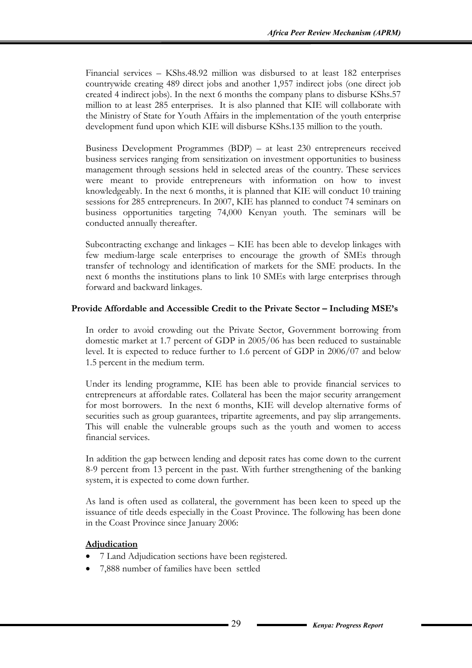Financial services – KShs.48.92 million was disbursed to at least 182 enterprises countrywide creating 489 direct jobs and another 1,957 indirect jobs (one direct job created 4 indirect jobs). In the next 6 months the company plans to disburse KShs.57 million to at least 285 enterprises. It is also planned that KIE will collaborate with the Ministry of State for Youth Affairs in the implementation of the youth enterprise development fund upon which KIE will disburse KShs.135 million to the youth.

Business Development Programmes (BDP) – at least 230 entrepreneurs received business services ranging from sensitization on investment opportunities to business management through sessions held in selected areas of the country. These services were meant to provide entrepreneurs with information on how to invest knowledgeably. In the next 6 months, it is planned that KIE will conduct 10 training sessions for 285 entrepreneurs. In 2007, KIE has planned to conduct 74 seminars on business opportunities targeting 74,000 Kenyan youth. The seminars will be conducted annually thereafter.

Subcontracting exchange and linkages – KIE has been able to develop linkages with few medium-large scale enterprises to encourage the growth of SMEs through transfer of technology and identification of markets for the SME products. In the next 6 months the institutions plans to link 10 SMEs with large enterprises through forward and backward linkages.

#### **Provide Affordable and Accessible Credit to the Private Sector – Including MSE's**

In order to avoid crowding out the Private Sector, Government borrowing from domestic market at 1.7 percent of GDP in 2005/06 has been reduced to sustainable level. It is expected to reduce further to 1.6 percent of GDP in 2006/07 and below 1.5 percent in the medium term.

Under its lending programme, KIE has been able to provide financial services to entrepreneurs at affordable rates. Collateral has been the major security arrangement for most borrowers. In the next 6 months, KIE will develop alternative forms of securities such as group guarantees, tripartite agreements, and pay slip arrangements. This will enable the vulnerable groups such as the youth and women to access financial services.

In addition the gap between lending and deposit rates has come down to the current 8-9 percent from 13 percent in the past. With further strengthening of the banking system, it is expected to come down further.

As land is often used as collateral, the government has been keen to speed up the issuance of title deeds especially in the Coast Province. The following has been done in the Coast Province since January 2006:

#### **Adjudication**

- 7 Land Adjudication sections have been registered.
- 7,888 number of families have been settled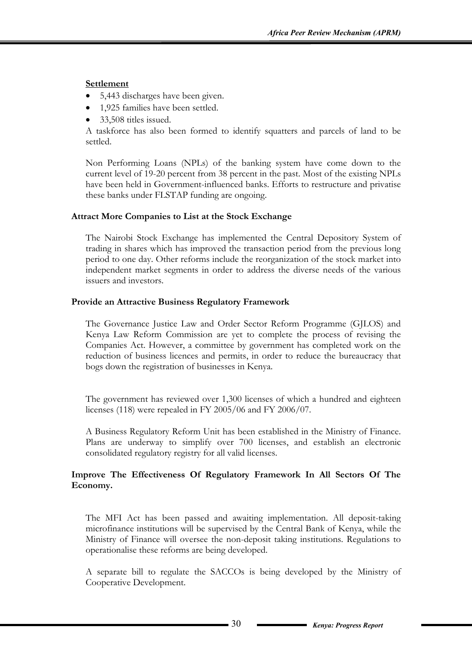#### **Settlement**

- 5,443 discharges have been given.
- 1,925 families have been settled.
- 33,508 titles issued.

A taskforce has also been formed to identify squatters and parcels of land to be settled.

Non Performing Loans (NPLs) of the banking system have come down to the current level of 19-20 percent from 38 percent in the past. Most of the existing NPLs have been held in Government-influenced banks. Efforts to restructure and privatise these banks under FLSTAP funding are ongoing.

#### **Attract More Companies to List at the Stock Exchange**

The Nairobi Stock Exchange has implemented the Central Depository System of trading in shares which has improved the transaction period from the previous long period to one day. Other reforms include the reorganization of the stock market into independent market segments in order to address the diverse needs of the various issuers and investors.

#### **Provide an Attractive Business Regulatory Framework**

The Governance Justice Law and Order Sector Reform Programme (GJLOS) and Kenya Law Reform Commission are yet to complete the process of revising the Companies Act. However, a committee by government has completed work on the reduction of business licences and permits, in order to reduce the bureaucracy that bogs down the registration of businesses in Kenya.

The government has reviewed over 1,300 licenses of which a hundred and eighteen licenses (118) were repealed in FY 2005/06 and FY 2006/07.

A Business Regulatory Reform Unit has been established in the Ministry of Finance. Plans are underway to simplify over 700 licenses, and establish an electronic consolidated regulatory registry for all valid licenses.

#### **Improve The Effectiveness Of Regulatory Framework In All Sectors Of The Economy.**

The MFI Act has been passed and awaiting implementation. All deposit-taking microfinance institutions will be supervised by the Central Bank of Kenya, while the Ministry of Finance will oversee the non-deposit taking institutions. Regulations to operationalise these reforms are being developed.

A separate bill to regulate the SACCOs is being developed by the Ministry of Cooperative Development.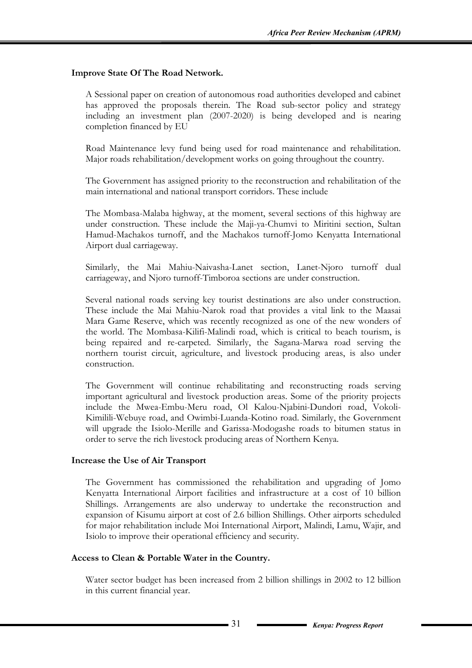#### **Improve State Of The Road Network.**

A Sessional paper on creation of autonomous road authorities developed and cabinet has approved the proposals therein. The Road sub-sector policy and strategy including an investment plan (2007-2020) is being developed and is nearing completion financed by EU

Road Maintenance levy fund being used for road maintenance and rehabilitation. Major roads rehabilitation/development works on going throughout the country.

The Government has assigned priority to the reconstruction and rehabilitation of the main international and national transport corridors. These include

The Mombasa-Malaba highway, at the moment, several sections of this highway are under construction. These include the Maji-ya-Chumvi to Miritini section, Sultan Hamud-Machakos turnoff, and the Machakos turnoff-Jomo Kenyatta International Airport dual carriageway.

Similarly, the Mai Mahiu-Naivasha-Lanet section, Lanet-Njoro turnoff dual carriageway, and Njoro turnoff-Timboroa sections are under construction.

Several national roads serving key tourist destinations are also under construction. These include the Mai Mahiu-Narok road that provides a vital link to the Maasai Mara Game Reserve, which was recently recognized as one of the new wonders of the world. The Mombasa-Kilifi-Malindi road, which is critical to beach tourism, is being repaired and re-carpeted. Similarly, the Sagana-Marwa road serving the northern tourist circuit, agriculture, and livestock producing areas, is also under construction.

The Government will continue rehabilitating and reconstructing roads serving important agricultural and livestock production areas. Some of the priority projects include the Mwea-Embu-Meru road, Ol Kalou-Njabini-Dundori road, Vokoli-Kimilili-Webuye road, and Owimbi-Luanda-Kotino road. Similarly, the Government will upgrade the Isiolo-Merille and Garissa-Modogashe roads to bitumen status in order to serve the rich livestock producing areas of Northern Kenya.

#### **Increase the Use of Air Transport**

The Government has commissioned the rehabilitation and upgrading of Jomo Kenyatta International Airport facilities and infrastructure at a cost of 10 billion Shillings. Arrangements are also underway to undertake the reconstruction and expansion of Kisumu airport at cost of 2.6 billion Shillings. Other airports scheduled for major rehabilitation include Moi International Airport, Malindi, Lamu, Wajir, and Isiolo to improve their operational efficiency and security.

#### **Access to Clean & Portable Water in the Country.**

Water sector budget has been increased from 2 billion shillings in 2002 to 12 billion in this current financial year.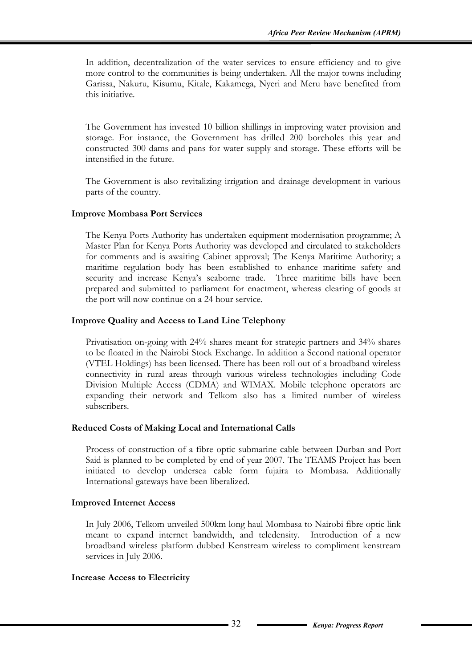In addition, decentralization of the water services to ensure efficiency and to give more control to the communities is being undertaken. All the major towns including Garissa, Nakuru, Kisumu, Kitale, Kakamega, Nyeri and Meru have benefited from this initiative.

The Government has invested 10 billion shillings in improving water provision and storage. For instance, the Government has drilled 200 boreholes this year and constructed 300 dams and pans for water supply and storage. These efforts will be intensified in the future.

The Government is also revitalizing irrigation and drainage development in various parts of the country.

#### **Improve Mombasa Port Services**

The Kenya Ports Authority has undertaken equipment modernisation programme; A Master Plan for Kenya Ports Authority was developed and circulated to stakeholders for comments and is awaiting Cabinet approval; The Kenya Maritime Authority; a maritime regulation body has been established to enhance maritime safety and security and increase Kenya's seaborne trade. Three maritime bills have been prepared and submitted to parliament for enactment, whereas clearing of goods at the port will now continue on a 24 hour service.

#### **Improve Quality and Access to Land Line Telephony**

Privatisation on-going with 24% shares meant for strategic partners and 34% shares to be floated in the Nairobi Stock Exchange. In addition a Second national operator (VTEL Holdings) has been licensed. There has been roll out of a broadband wireless connectivity in rural areas through various wireless technologies including Code Division Multiple Access (CDMA) and WIMAX. Mobile telephone operators are expanding their network and Telkom also has a limited number of wireless subscribers.

#### **Reduced Costs of Making Local and International Calls**

Process of construction of a fibre optic submarine cable between Durban and Port Said is planned to be completed by end of year 2007. The TEAMS Project has been initiated to develop undersea cable form fujaira to Mombasa. Additionally International gateways have been liberalized.

#### **Improved Internet Access**

In July 2006, Telkom unveiled 500km long haul Mombasa to Nairobi fibre optic link meant to expand internet bandwidth, and teledensity. Introduction of a new broadband wireless platform dubbed Kenstream wireless to compliment kenstream services in July 2006.

#### **Increase Access to Electricity**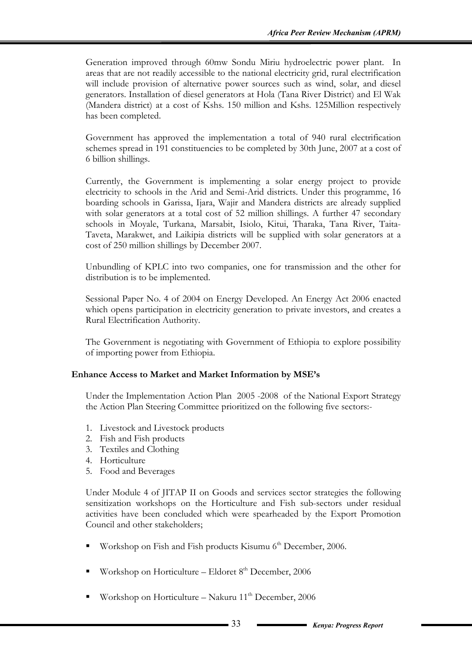Generation improved through 60mw Sondu Miriu hydroelectric power plant. In areas that are not readily accessible to the national electricity grid, rural electrification will include provision of alternative power sources such as wind, solar, and diesel generators. Installation of diesel generators at Hola (Tana River District) and El Wak (Mandera district) at a cost of Kshs. 150 million and Kshs. 125Million respectively has been completed.

Government has approved the implementation a total of 940 rural electrification schemes spread in 191 constituencies to be completed by 30th June, 2007 at a cost of 6 billion shillings.

Currently, the Government is implementing a solar energy project to provide electricity to schools in the Arid and Semi-Arid districts. Under this programme, 16 boarding schools in Garissa, Ijara, Wajir and Mandera districts are already supplied with solar generators at a total cost of 52 million shillings. A further 47 secondary schools in Moyale, Turkana, Marsabit, Isiolo, Kitui, Tharaka, Tana River, Taita-Taveta, Marakwet, and Laikipia districts will be supplied with solar generators at a cost of 250 million shillings by December 2007.

Unbundling of KPLC into two companies, one for transmission and the other for distribution is to be implemented.

Sessional Paper No. 4 of 2004 on Energy Developed. An Energy Act 2006 enacted which opens participation in electricity generation to private investors, and creates a Rural Electrification Authority.

The Government is negotiating with Government of Ethiopia to explore possibility of importing power from Ethiopia.

#### **Enhance Access to Market and Market Information by MSE's**

Under the Implementation Action Plan 2005 -2008 of the National Export Strategy the Action Plan Steering Committee prioritized on the following five sectors:-

- 1. Livestock and Livestock products
- 2. Fish and Fish products
- 3. Textiles and Clothing
- 4. Horticulture
- 5. Food and Beverages

Under Module 4 of JITAP II on Goods and services sector strategies the following sensitization workshops on the Horticulture and Fish sub-sectors under residual activities have been concluded which were spearheaded by the Export Promotion Council and other stakeholders;

- Workshop on Fish and Fish products Kisumu 6<sup>th</sup> December, 2006.
- Workshop on Horticulture Eldoret  $8<sup>th</sup>$  December, 2006
- Workshop on Horticulture Nakuru 11<sup>th</sup> December, 2006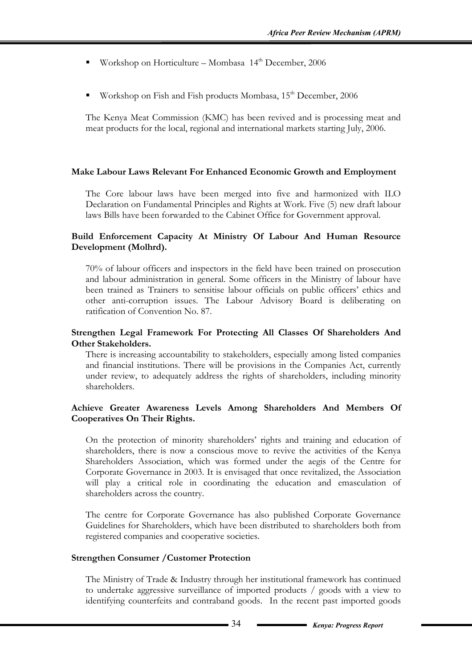- Workshop on Horticulture Mombasa  $14<sup>th</sup>$  December, 2006
- Workshop on Fish and Fish products Mombasa, 15<sup>th</sup> December, 2006

The Kenya Meat Commission (KMC) has been revived and is processing meat and meat products for the local, regional and international markets starting July, 2006.

#### **Make Labour Laws Relevant For Enhanced Economic Growth and Employment**

The Core labour laws have been merged into five and harmonized with ILO Declaration on Fundamental Principles and Rights at Work. Five (5) new draft labour laws Bills have been forwarded to the Cabinet Office for Government approval.

#### **Build Enforcement Capacity At Ministry Of Labour And Human Resource Development (Molhrd).**

70% of labour officers and inspectors in the field have been trained on prosecution and labour administration in general. Some officers in the Ministry of labour have been trained as Trainers to sensitise labour officials on public officers' ethics and other anti-corruption issues. The Labour Advisory Board is deliberating on ratification of Convention No. 87.

#### **Strengthen Legal Framework For Protecting All Classes Of Shareholders And Other Stakeholders.**

There is increasing accountability to stakeholders, especially among listed companies and financial institutions. There will be provisions in the Companies Act, currently under review, to adequately address the rights of shareholders, including minority shareholders.

#### **Achieve Greater Awareness Levels Among Shareholders And Members Of Cooperatives On Their Rights.**

On the protection of minority shareholders' rights and training and education of shareholders, there is now a conscious move to revive the activities of the Kenya Shareholders Association, which was formed under the aegis of the Centre for Corporate Governance in 2003. It is envisaged that once revitalized, the Association will play a critical role in coordinating the education and emasculation of shareholders across the country.

The centre for Corporate Governance has also published Corporate Governance Guidelines for Shareholders, which have been distributed to shareholders both from registered companies and cooperative societies.

#### **Strengthen Consumer /Customer Protection**

The Ministry of Trade & Industry through her institutional framework has continued to undertake aggressive surveillance of imported products / goods with a view to identifying counterfeits and contraband goods. In the recent past imported goods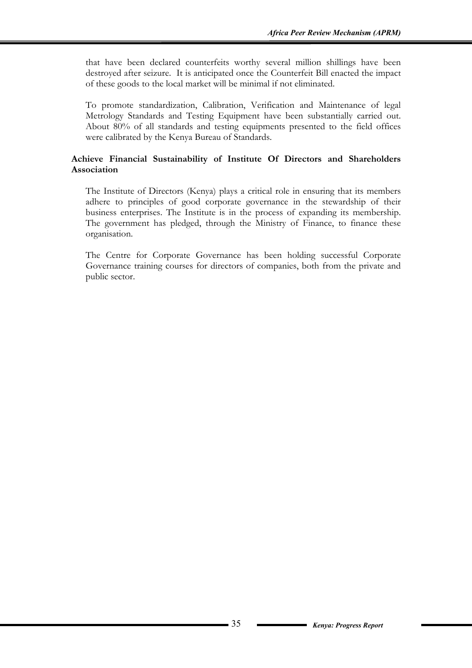that have been declared counterfeits worthy several million shillings have been destroyed after seizure. It is anticipated once the Counterfeit Bill enacted the impact of these goods to the local market will be minimal if not eliminated.

To promote standardization, Calibration, Verification and Maintenance of legal Metrology Standards and Testing Equipment have been substantially carried out. About 80% of all standards and testing equipments presented to the field offices were calibrated by the Kenya Bureau of Standards.

#### **Achieve Financial Sustainability of Institute Of Directors and Shareholders Association**

The Institute of Directors (Kenya) plays a critical role in ensuring that its members adhere to principles of good corporate governance in the stewardship of their business enterprises. The Institute is in the process of expanding its membership. The government has pledged, through the Ministry of Finance, to finance these organisation.

The Centre for Corporate Governance has been holding successful Corporate Governance training courses for directors of companies, both from the private and public sector.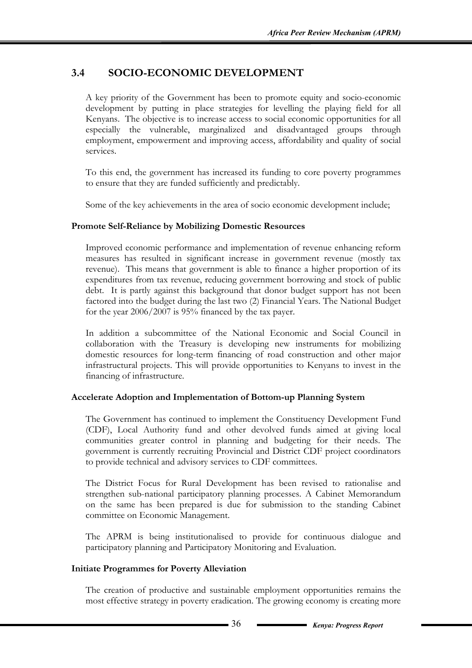# **3.4 SOCIO-ECONOMIC DEVELOPMENT**

A key priority of the Government has been to promote equity and socio-economic development by putting in place strategies for levelling the playing field for all Kenyans. The objective is to increase access to social economic opportunities for all especially the vulnerable, marginalized and disadvantaged groups through employment, empowerment and improving access, affordability and quality of social services.

To this end, the government has increased its funding to core poverty programmes to ensure that they are funded sufficiently and predictably.

Some of the key achievements in the area of socio economic development include;

#### **Promote Self-Reliance by Mobilizing Domestic Resources**

Improved economic performance and implementation of revenue enhancing reform measures has resulted in significant increase in government revenue (mostly tax revenue). This means that government is able to finance a higher proportion of its expenditures from tax revenue, reducing government borrowing and stock of public debt. It is partly against this background that donor budget support has not been factored into the budget during the last two (2) Financial Years. The National Budget for the year 2006/2007 is 95% financed by the tax payer.

In addition a subcommittee of the National Economic and Social Council in collaboration with the Treasury is developing new instruments for mobilizing domestic resources for long-term financing of road construction and other major infrastructural projects. This will provide opportunities to Kenyans to invest in the financing of infrastructure.

#### **Accelerate Adoption and Implementation of Bottom-up Planning System**

The Government has continued to implement the Constituency Development Fund (CDF), Local Authority fund and other devolved funds aimed at giving local communities greater control in planning and budgeting for their needs. The government is currently recruiting Provincial and District CDF project coordinators to provide technical and advisory services to CDF committees.

The District Focus for Rural Development has been revised to rationalise and strengthen sub-national participatory planning processes. A Cabinet Memorandum on the same has been prepared is due for submission to the standing Cabinet committee on Economic Management.

The APRM is being institutionalised to provide for continuous dialogue and participatory planning and Participatory Monitoring and Evaluation.

#### **Initiate Programmes for Poverty Alleviation**

The creation of productive and sustainable employment opportunities remains the most effective strategy in poverty eradication. The growing economy is creating more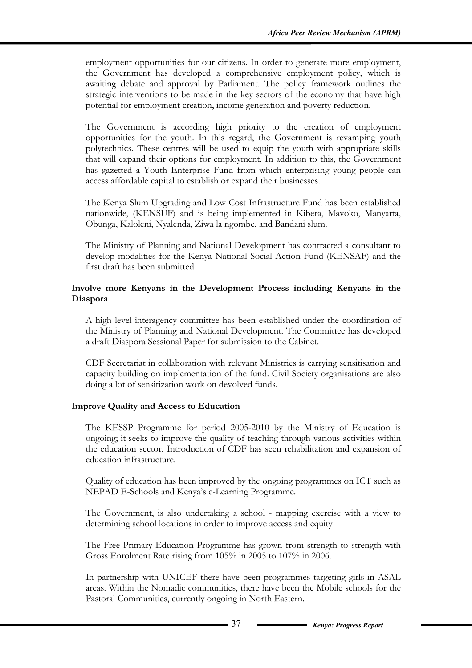employment opportunities for our citizens. In order to generate more employment, the Government has developed a comprehensive employment policy, which is awaiting debate and approval by Parliament. The policy framework outlines the strategic interventions to be made in the key sectors of the economy that have high potential for employment creation, income generation and poverty reduction.

The Government is according high priority to the creation of employment opportunities for the youth. In this regard, the Government is revamping youth polytechnics. These centres will be used to equip the youth with appropriate skills that will expand their options for employment. In addition to this, the Government has gazetted a Youth Enterprise Fund from which enterprising young people can access affordable capital to establish or expand their businesses.

The Kenya Slum Upgrading and Low Cost Infrastructure Fund has been established nationwide, (KENSUF) and is being implemented in Kibera, Mavoko, Manyatta, Obunga, Kaloleni, Nyalenda, Ziwa la ngombe, and Bandani slum.

The Ministry of Planning and National Development has contracted a consultant to develop modalities for the Kenya National Social Action Fund (KENSAF) and the first draft has been submitted.

## **Involve more Kenyans in the Development Process including Kenyans in the Diaspora**

A high level interagency committee has been established under the coordination of the Ministry of Planning and National Development. The Committee has developed a draft Diaspora Sessional Paper for submission to the Cabinet.

CDF Secretariat in collaboration with relevant Ministries is carrying sensitisation and capacity building on implementation of the fund. Civil Society organisations are also doing a lot of sensitization work on devolved funds.

# **Improve Quality and Access to Education**

The KESSP Programme for period 2005-2010 by the Ministry of Education is ongoing; it seeks to improve the quality of teaching through various activities within the education sector. Introduction of CDF has seen rehabilitation and expansion of education infrastructure.

Quality of education has been improved by the ongoing programmes on ICT such as NEPAD E-Schools and Kenya's e-Learning Programme.

The Government, is also undertaking a school - mapping exercise with a view to determining school locations in order to improve access and equity

The Free Primary Education Programme has grown from strength to strength with Gross Enrolment Rate rising from 105% in 2005 to 107% in 2006.

In partnership with UNICEF there have been programmes targeting girls in ASAL areas. Within the Nomadic communities, there have been the Mobile schools for the Pastoral Communities, currently ongoing in North Eastern.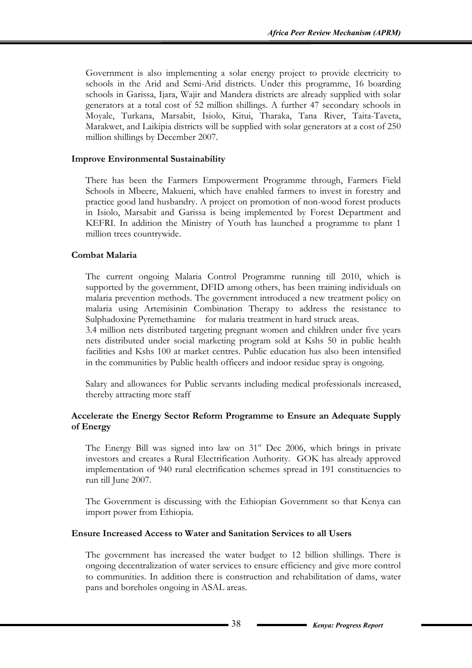Government is also implementing a solar energy project to provide electricity to schools in the Arid and Semi-Arid districts. Under this programme, 16 boarding schools in Garissa, Ijara, Wajir and Mandera districts are already supplied with solar generators at a total cost of 52 million shillings. A further 47 secondary schools in Moyale, Turkana, Marsabit, Isiolo, Kitui, Tharaka, Tana River, Taita-Taveta, Marakwet, and Laikipia districts will be supplied with solar generators at a cost of 250 million shillings by December 2007.

#### **Improve Environmental Sustainability**

There has been the Farmers Empowerment Programme through, Farmers Field Schools in Mbeere, Makueni, which have enabled farmers to invest in forestry and practice good land husbandry. A project on promotion of non-wood forest products in Isiolo, Marsabit and Garissa is being implemented by Forest Department and KEFRI. In addition the Ministry of Youth has launched a programme to plant 1 million trees countrywide.

## **Combat Malaria**

The current ongoing Malaria Control Programme running till 2010, which is supported by the government, DFID among others, has been training individuals on malaria prevention methods. The government introduced a new treatment policy on malaria using Artemisinin Combination Therapy to address the resistance to Sulphadoxine Pyremethamine for malaria treatment in hard struck areas.

3.4 million nets distributed targeting pregnant women and children under five years nets distributed under social marketing program sold at Kshs 50 in public health facilities and Kshs 100 at market centres. Public education has also been intensified in the communities by Public health officers and indoor residue spray is ongoing.

Salary and allowances for Public servants including medical professionals increased, thereby attracting more staff

## **Accelerate the Energy Sector Reform Programme to Ensure an Adequate Supply of Energy**

The Energy Bill was signed into law on  $31<sup>st</sup>$  Dec 2006, which brings in private investors and creates a Rural Electrification Authority. GOK has already approved implementation of 940 rural electrification schemes spread in 191 constituencies to run till June 2007.

The Government is discussing with the Ethiopian Government so that Kenya can import power from Ethiopia.

#### **Ensure Increased Access to Water and Sanitation Services to all Users**

The government has increased the water budget to 12 billion shillings. There is ongoing decentralization of water services to ensure efficiency and give more control to communities. In addition there is construction and rehabilitation of dams, water pans and boreholes ongoing in ASAL areas.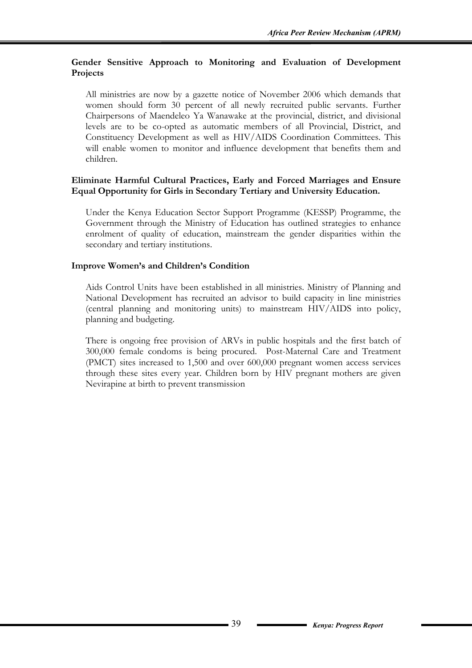# **Gender Sensitive Approach to Monitoring and Evaluation of Development Projects**

All ministries are now by a gazette notice of November 2006 which demands that women should form 30 percent of all newly recruited public servants. Further Chairpersons of Maendeleo Ya Wanawake at the provincial, district, and divisional levels are to be co-opted as automatic members of all Provincial, District, and Constituency Development as well as HIV/AIDS Coordination Committees. This will enable women to monitor and influence development that benefits them and children.

## **Eliminate Harmful Cultural Practices, Early and Forced Marriages and Ensure Equal Opportunity for Girls in Secondary Tertiary and University Education.**

Under the Kenya Education Sector Support Programme (KESSP) Programme, the Government through the Ministry of Education has outlined strategies to enhance enrolment of quality of education, mainstream the gender disparities within the secondary and tertiary institutions.

# **Improve Women's and Children's Condition**

Aids Control Units have been established in all ministries. Ministry of Planning and National Development has recruited an advisor to build capacity in line ministries (central planning and monitoring units) to mainstream HIV/AIDS into policy, planning and budgeting.

There is ongoing free provision of ARVs in public hospitals and the first batch of 300,000 female condoms is being procured. Post-Maternal Care and Treatment (PMCT) sites increased to 1,500 and over 600,000 pregnant women access services through these sites every year. Children born by HIV pregnant mothers are given Nevirapine at birth to prevent transmission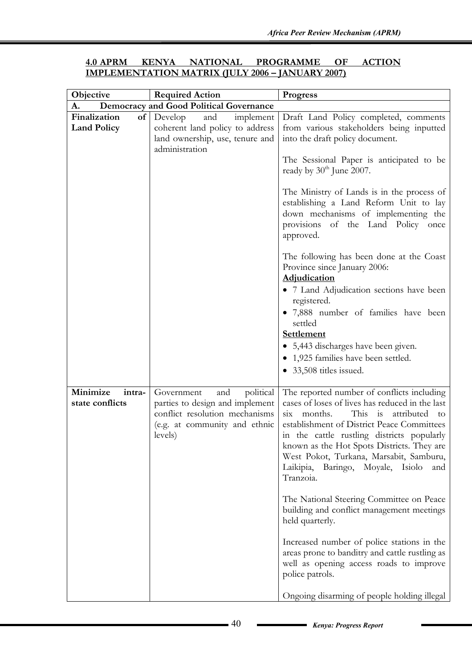| <b>4.0 APRM</b> | KENYA | NATIONAL | <b>PROGRAMME OF</b>                                     | <b>ACTION</b> |
|-----------------|-------|----------|---------------------------------------------------------|---------------|
|                 |       |          | <b>IMPLEMENTATION MATRIX (JULY 2006 – JANUARY 2007)</b> |               |

| Objective                             | <b>Required Action</b>                                                                                                                          | <b>Progress</b>                                                                                                                                                                                                                                                                                                                                                                                 |
|---------------------------------------|-------------------------------------------------------------------------------------------------------------------------------------------------|-------------------------------------------------------------------------------------------------------------------------------------------------------------------------------------------------------------------------------------------------------------------------------------------------------------------------------------------------------------------------------------------------|
| A.                                    | <b>Democracy and Good Political Governance</b>                                                                                                  |                                                                                                                                                                                                                                                                                                                                                                                                 |
| Finalization<br><b>Land Policy</b>    | $of$ Develop<br>and<br>implement<br>coherent land policy to address<br>land ownership, use, tenure and<br>administration                        | Draft Land Policy completed, comments<br>from various stakeholders being inputted<br>into the draft policy document.                                                                                                                                                                                                                                                                            |
|                                       |                                                                                                                                                 | The Sessional Paper is anticipated to be<br>ready by $30th$ June 2007.                                                                                                                                                                                                                                                                                                                          |
|                                       |                                                                                                                                                 | The Ministry of Lands is in the process of<br>establishing a Land Reform Unit to lay<br>down mechanisms of implementing the<br>provisions of the Land Policy once<br>approved.                                                                                                                                                                                                                  |
|                                       |                                                                                                                                                 | The following has been done at the Coast<br>Province since January 2006:<br><b>Adjudication</b>                                                                                                                                                                                                                                                                                                 |
|                                       |                                                                                                                                                 | • 7 Land Adjudication sections have been<br>registered.<br>7,888 number of families have been                                                                                                                                                                                                                                                                                                   |
|                                       |                                                                                                                                                 | settled<br>Settlement<br>5,443 discharges have been given.                                                                                                                                                                                                                                                                                                                                      |
|                                       |                                                                                                                                                 | 1,925 families have been settled.<br>33,508 titles issued.                                                                                                                                                                                                                                                                                                                                      |
| Minimize<br>intra-<br>state conflicts | and<br>political<br>Government<br>parties to design and implement<br>conflict resolution mechanisms<br>(e.g. at community and ethnic<br>levels) | The reported number of conflicts including<br>cases of loses of lives has reduced in the last<br>This is<br>attributed<br>months.<br>S1X<br>to<br>establishment of District Peace Committees<br>in the cattle rustling districts popularly<br>known as the Hot Spots Districts. They are<br>West Pokot, Turkana, Marsabit, Samburu,<br>Laikipia,<br>Baringo, Moyale, Isiolo<br>and<br>Tranzoia. |
|                                       |                                                                                                                                                 | The National Steering Committee on Peace<br>building and conflict management meetings<br>held quarterly.                                                                                                                                                                                                                                                                                        |
|                                       |                                                                                                                                                 | Increased number of police stations in the<br>areas prone to banditry and cattle rustling as<br>well as opening access roads to improve<br>police patrols.                                                                                                                                                                                                                                      |
|                                       |                                                                                                                                                 | Ongoing disarming of people holding illegal                                                                                                                                                                                                                                                                                                                                                     |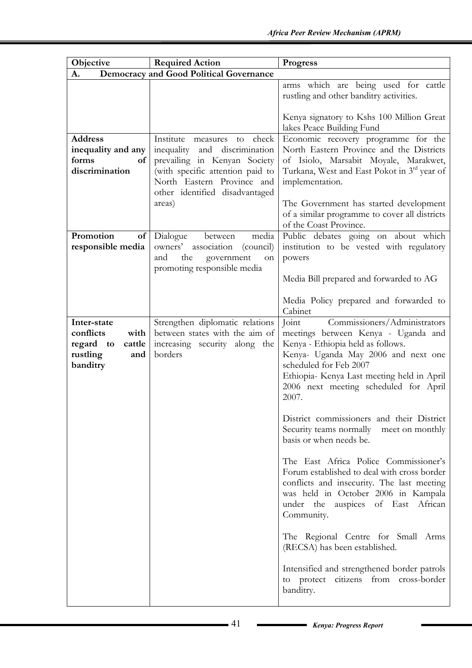| Objective                                                                              | <b>Required Action</b>                                                                                                                                                                                        | <b>Progress</b>                                                                                                                                                                                                                                                                                   |  |  |
|----------------------------------------------------------------------------------------|---------------------------------------------------------------------------------------------------------------------------------------------------------------------------------------------------------------|---------------------------------------------------------------------------------------------------------------------------------------------------------------------------------------------------------------------------------------------------------------------------------------------------|--|--|
| A.                                                                                     | <b>Democracy and Good Political Governance</b>                                                                                                                                                                |                                                                                                                                                                                                                                                                                                   |  |  |
|                                                                                        |                                                                                                                                                                                                               | arms which are being used for cattle<br>rustling and other banditry activities.                                                                                                                                                                                                                   |  |  |
|                                                                                        |                                                                                                                                                                                                               | Kenya signatory to Kshs 100 Million Great<br>lakes Peace Building Fund                                                                                                                                                                                                                            |  |  |
| <b>Address</b><br>inequality and any<br>forms<br>of<br>discrimination                  | Institute measures to<br>check<br>inequality and discrimination<br>prevailing in Kenyan Society<br>(with specific attention paid to<br>North Eastern Province and<br>other identified disadvantaged<br>areas) | Economic recovery programme for the<br>North Eastern Province and the Districts<br>of Isiolo, Marsabit Moyale, Marakwet,<br>Turkana, West and East Pokot in 3 <sup>rd</sup> year of<br>implementation.<br>The Government has started development<br>of a similar programme to cover all districts |  |  |
| Promotion<br>of<br>responsible media                                                   | Dialogue<br>between<br>media<br>owners'<br>association<br>(council)<br>the<br>and<br>government<br>on<br>promoting responsible media                                                                          | of the Coast Province.<br>Public debates going on about which<br>institution to be vested with regulatory<br>powers<br>Media Bill prepared and forwarded to AG                                                                                                                                    |  |  |
|                                                                                        |                                                                                                                                                                                                               | Media Policy prepared and forwarded to<br>Cabinet                                                                                                                                                                                                                                                 |  |  |
| Inter-state<br>conflicts<br>with<br>regard to<br>cattle<br>rustling<br>and<br>banditry | Strengthen diplomatic relations<br>between states with the aim of<br>increasing security along the<br>borders                                                                                                 | Commissioners/Administrators<br>Joint<br>meetings between Kenya - Uganda and<br>Kenya - Ethiopia held as follows.<br>Kenya- Uganda May 2006 and next one<br>scheduled for Feb 2007<br>Ethiopia- Kenya Last meeting held in April<br>2006 next meeting scheduled for April<br>2007.                |  |  |
|                                                                                        |                                                                                                                                                                                                               | District commissioners and their District<br>Security teams normally meet on monthly<br>basis or when needs be.                                                                                                                                                                                   |  |  |
|                                                                                        |                                                                                                                                                                                                               | The East Africa Police Commissioner's<br>Forum established to deal with cross border<br>conflicts and insecurity. The last meeting<br>was held in October 2006 in Kampala<br>under the auspices of East African<br>Community.                                                                     |  |  |
|                                                                                        |                                                                                                                                                                                                               | The Regional Centre for Small Arms<br>(RECSA) has been established.                                                                                                                                                                                                                               |  |  |
|                                                                                        |                                                                                                                                                                                                               | Intensified and strengthened border patrols<br>to protect citizens from cross-border<br>banditry.                                                                                                                                                                                                 |  |  |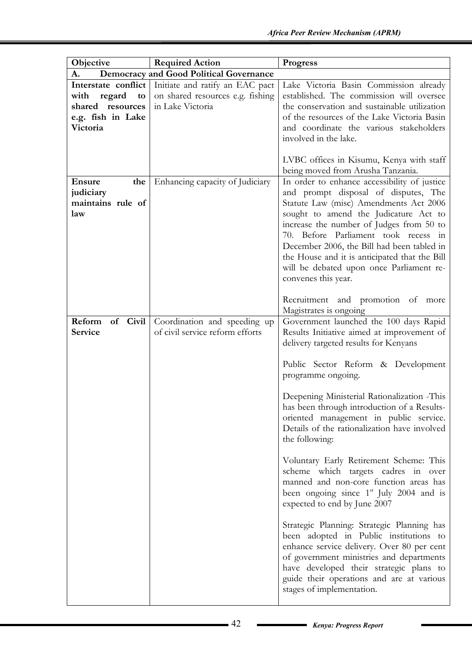| Objective            | <b>Required Action</b>                         | <b>Progress</b>                                                                           |
|----------------------|------------------------------------------------|-------------------------------------------------------------------------------------------|
| A.                   | <b>Democracy and Good Political Governance</b> |                                                                                           |
| Interstate conflict  | Initiate and ratify an EAC pact                | Lake Victoria Basin Commission already                                                    |
| regard<br>with<br>to | on shared resources e.g. fishing               | established. The commission will oversee                                                  |
| shared resources     | in Lake Victoria                               | the conservation and sustainable utilization                                              |
| e.g. fish in Lake    |                                                | of the resources of the Lake Victoria Basin                                               |
| Victoria             |                                                | and coordinate the various stakeholders                                                   |
|                      |                                                | involved in the lake.                                                                     |
|                      |                                                |                                                                                           |
|                      |                                                | LVBC offices in Kisumu, Kenya with staff                                                  |
|                      |                                                | being moved from Arusha Tanzania.                                                         |
| <b>Ensure</b><br>the | Enhancing capacity of Judiciary                | In order to enhance accessibility of justice                                              |
| judiciary            |                                                | and prompt disposal of disputes, The                                                      |
| maintains rule of    |                                                | Statute Law (misc) Amendments Act 2006                                                    |
| law                  |                                                | sought to amend the Judicature Act to                                                     |
|                      |                                                | increase the number of Judges from 50 to                                                  |
|                      |                                                | 70. Before Parliament took recess in                                                      |
|                      |                                                | December 2006, the Bill had been tabled in                                                |
|                      |                                                | the House and it is anticipated that the Bill<br>will be debated upon once Parliament re- |
|                      |                                                | convenes this year.                                                                       |
|                      |                                                |                                                                                           |
|                      |                                                | Recruitment and promotion of more                                                         |
|                      |                                                | Magistrates is ongoing                                                                    |
| Reform<br>of Civil   | Coordination and speeding up                   | Government launched the 100 days Rapid                                                    |
| Service              | of civil service reform efforts                | Results Initiative aimed at improvement of                                                |
|                      |                                                | delivery targeted results for Kenyans                                                     |
|                      |                                                |                                                                                           |
|                      |                                                | Public Sector Reform & Development                                                        |
|                      |                                                | programme ongoing.                                                                        |
|                      |                                                |                                                                                           |
|                      |                                                | Deepening Ministerial Rationalization -This                                               |
|                      |                                                | has been through introduction of a Results-                                               |
|                      |                                                | oriented management in public service.                                                    |
|                      |                                                | Details of the rationalization have involved                                              |
|                      |                                                | the following:                                                                            |
|                      |                                                |                                                                                           |
|                      |                                                | Voluntary Early Retirement Scheme: This<br>scheme which targets cadres in over            |
|                      |                                                | manned and non-core function areas has                                                    |
|                      |                                                | been ongoing since $1st$ July 2004 and is                                                 |
|                      |                                                | expected to end by June 2007                                                              |
|                      |                                                |                                                                                           |
|                      |                                                | Strategic Planning: Strategic Planning has                                                |
|                      |                                                | been adopted in Public institutions to                                                    |
|                      |                                                | enhance service delivery. Over 80 per cent                                                |
|                      |                                                | of government ministries and departments                                                  |
|                      |                                                | have developed their strategic plans to                                                   |
|                      |                                                | guide their operations and are at various                                                 |
|                      |                                                | stages of implementation.                                                                 |
|                      |                                                |                                                                                           |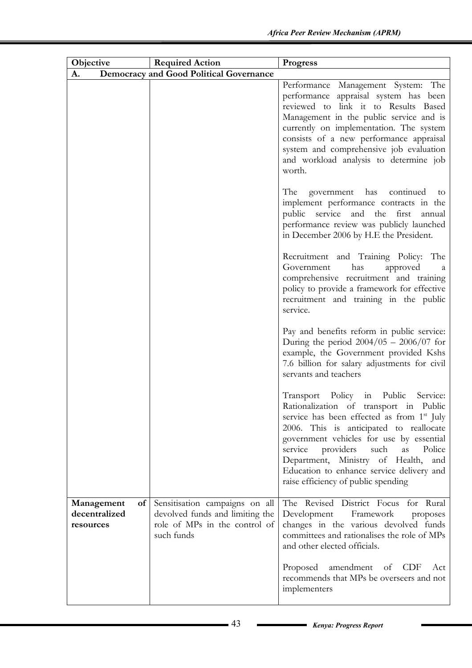| Objective                                      | <b>Required Action</b>                                                                                           | <b>Progress</b>                                                                                                                                                                                                                                                                                                                                                                                                        |
|------------------------------------------------|------------------------------------------------------------------------------------------------------------------|------------------------------------------------------------------------------------------------------------------------------------------------------------------------------------------------------------------------------------------------------------------------------------------------------------------------------------------------------------------------------------------------------------------------|
| A.                                             | <b>Democracy and Good Political Governance</b>                                                                   |                                                                                                                                                                                                                                                                                                                                                                                                                        |
|                                                |                                                                                                                  | Performance Management System: The<br>performance appraisal system has been<br>reviewed to link it to Results Based<br>Management in the public service and is<br>currently on implementation. The system<br>consists of a new performance appraisal<br>system and comprehensive job evaluation<br>and workload analysis to determine job<br>worth.                                                                    |
|                                                |                                                                                                                  | The government has continued<br>to<br>implement performance contracts in the<br>public service and the first<br>annual<br>performance review was publicly launched<br>in December 2006 by H.E the President.                                                                                                                                                                                                           |
|                                                |                                                                                                                  | Recruitment and Training Policy: The<br>has<br>Government<br>approved<br>a<br>comprehensive recruitment and training<br>policy to provide a framework for effective<br>recruitment and training in the public<br>service.                                                                                                                                                                                              |
|                                                |                                                                                                                  | Pay and benefits reform in public service:<br>During the period $2004/05 - 2006/07$ for<br>example, the Government provided Kshs<br>7.6 billion for salary adjustments for civil<br>servants and teachers                                                                                                                                                                                                              |
|                                                |                                                                                                                  | Transport Policy in Public<br>Service:<br>Rationalization of transport in Public<br>service has been effected as from 1 <sup>st</sup> July<br>2006. This is anticipated to reallocate<br>government vehicles for use by essential<br>service<br>providers<br>such<br>Police<br><i>as</i><br>Department, Ministry of Health,<br>and<br>Education to enhance service delivery and<br>raise efficiency of public spending |
| Management<br>of<br>decentralized<br>resources | Sensitisation campaigns on all<br>devolved funds and limiting the<br>role of MPs in the control of<br>such funds | The Revised District Focus for Rural<br>Development<br>Framework<br>proposes<br>changes in the various devolved funds<br>committees and rationalises the role of MPs<br>and other elected officials.                                                                                                                                                                                                                   |
|                                                |                                                                                                                  | Proposed<br>amendment of CDF<br>Act<br>recommends that MPs be overseers and not<br>implementers                                                                                                                                                                                                                                                                                                                        |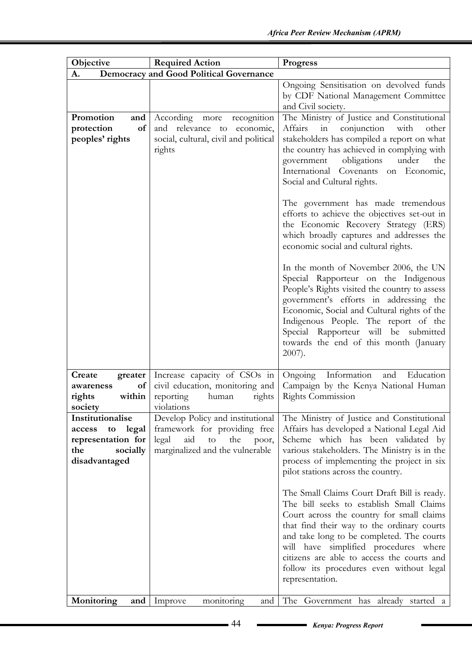| Objective                                                                                           | <b>Required Action</b>                                                                                                                    | <b>Progress</b>                                                                                                                                                                                                                                                                                                                                                                       |
|-----------------------------------------------------------------------------------------------------|-------------------------------------------------------------------------------------------------------------------------------------------|---------------------------------------------------------------------------------------------------------------------------------------------------------------------------------------------------------------------------------------------------------------------------------------------------------------------------------------------------------------------------------------|
| A.                                                                                                  | <b>Democracy and Good Political Governance</b>                                                                                            |                                                                                                                                                                                                                                                                                                                                                                                       |
|                                                                                                     |                                                                                                                                           | Ongoing Sensitisation on devolved funds<br>by CDF National Management Committee<br>and Civil society.                                                                                                                                                                                                                                                                                 |
| Promotion<br>and<br>protection<br>of<br>peoples' rights                                             | According<br>recognition<br>more<br>and relevance to economic,<br>social, cultural, civil and political<br>rights                         | The Ministry of Justice and Constitutional<br>Affairs<br>in<br>conjunction<br>with<br>other<br>stakeholders has compiled a report on what<br>the country has achieved in complying with<br>obligations<br>under<br>government<br>the<br>International Covenants on Economic,<br>Social and Cultural rights.                                                                           |
|                                                                                                     |                                                                                                                                           | The government has made tremendous<br>efforts to achieve the objectives set-out in<br>the Economic Recovery Strategy (ERS)<br>which broadly captures and addresses the<br>economic social and cultural rights.                                                                                                                                                                        |
|                                                                                                     |                                                                                                                                           | In the month of November 2006, the UN<br>Special Rapporteur on the Indigenous<br>People's Rights visited the country to assess<br>government's efforts in addressing the<br>Economic, Social and Cultural rights of the<br>Indigenous People. The report of the<br>Special Rapporteur will be submitted<br>towards the end of this month (January<br>$2007$ ).                        |
| Create<br>greater<br>of<br>awareness<br>within<br>rights<br>society                                 | Increase capacity of CSOs in<br>civil education, monitoring and<br>reporting<br>human<br>rights<br>violations                             | Ongoing Information<br>and Education<br>Campaign by the Kenya National Human<br>Rights Commission                                                                                                                                                                                                                                                                                     |
| Institutionalise<br>legal<br>access<br>to<br>representation for<br>the<br>socially<br>disadvantaged | Develop Policy and institutional<br>framework for providing free<br>aid<br>legal<br>to<br>the<br>poor,<br>marginalized and the vulnerable | The Ministry of Justice and Constitutional<br>Affairs has developed a National Legal Aid<br>Scheme which has been validated by<br>various stakeholders. The Ministry is in the<br>process of implementing the project in six<br>pilot stations across the country.                                                                                                                    |
|                                                                                                     |                                                                                                                                           | The Small Claims Court Draft Bill is ready.<br>The bill seeks to establish Small Claims<br>Court across the country for small claims<br>that find their way to the ordinary courts<br>and take long to be completed. The courts<br>will have simplified procedures where<br>citizens are able to access the courts and<br>follow its procedures even without legal<br>representation. |
| Monitoring<br>and                                                                                   | monitoring<br>Improve<br>and                                                                                                              | The Government has already started a                                                                                                                                                                                                                                                                                                                                                  |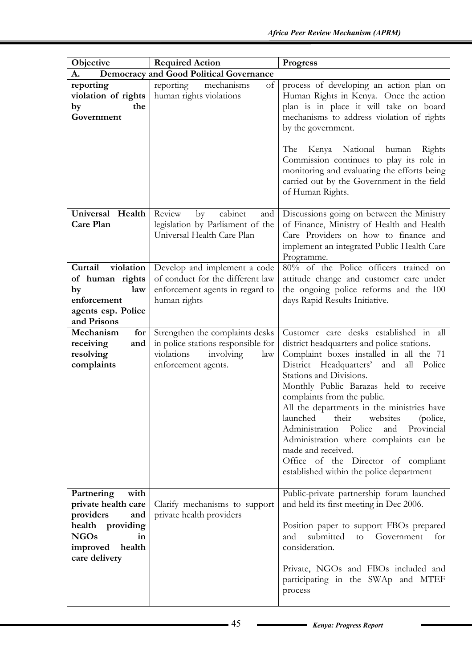| Objective                                                                                                                                     | <b>Required Action</b>                                                                                                         | <b>Progress</b>                                                                                                                                                                                                                                                                                                                                                                                                                                                                                                                                                                |
|-----------------------------------------------------------------------------------------------------------------------------------------------|--------------------------------------------------------------------------------------------------------------------------------|--------------------------------------------------------------------------------------------------------------------------------------------------------------------------------------------------------------------------------------------------------------------------------------------------------------------------------------------------------------------------------------------------------------------------------------------------------------------------------------------------------------------------------------------------------------------------------|
| A.                                                                                                                                            | <b>Democracy and Good Political Governance</b>                                                                                 |                                                                                                                                                                                                                                                                                                                                                                                                                                                                                                                                                                                |
| reporting<br>violation of rights<br>the<br>by<br>Government                                                                                   | of<br>reporting<br>mechanisms<br>human rights violations                                                                       | process of developing an action plan on<br>Human Rights in Kenya. Once the action<br>plan is in place it will take on board<br>mechanisms to address violation of rights<br>by the government.<br>The<br>Kenya National human<br>Rights<br>Commission continues to play its role in<br>monitoring and evaluating the efforts being<br>carried out by the Government in the field<br>of Human Rights.                                                                                                                                                                           |
| Universal Health<br>Care Plan                                                                                                                 | Review<br>cabinet<br>$\mathbf{b} \mathbf{v}$<br>and<br>legislation by Parliament of the<br>Universal Health Care Plan          | Discussions going on between the Ministry<br>of Finance, Ministry of Health and Health<br>Care Providers on how to finance and<br>implement an integrated Public Health Care<br>Programme.                                                                                                                                                                                                                                                                                                                                                                                     |
| Curtail violation<br>of human rights<br>law<br>by<br>enforcement<br>agents esp. Police<br>and Prisons                                         | Develop and implement a code<br>of conduct for the different law<br>enforcement agents in regard to<br>human rights            | 80% of the Police officers trained on<br>attitude change and customer care under<br>the ongoing police reforms and the 100<br>days Rapid Results Initiative.                                                                                                                                                                                                                                                                                                                                                                                                                   |
| Mechanism<br>for<br>receiving<br>and<br>resolving<br>complaints                                                                               | Strengthen the complaints desks<br>in police stations responsible for<br>violations<br>involving<br>law<br>enforcement agents. | Customer care desks established in all<br>district headquarters and police stations.<br>Complaint boxes installed in all the 71<br>District Headquarters' and<br>all<br>Police<br>Stations and Divisions.<br>Monthly Public Barazas held to receive<br>complaints from the public.<br>All the departments in the ministries have<br>their<br>launched<br>websites<br>(police,<br>Administration Police<br>and<br>Provincial<br>Administration where complaints can be<br>made and received.<br>Office of the Director of compliant<br>established within the police department |
| Partnering<br>with<br>private health care<br>providers<br>and<br>health providing<br><b>NGOs</b><br>in<br>improved<br>health<br>care delivery | Clarify mechanisms to support<br>private health providers                                                                      | Public-private partnership forum launched<br>and held its first meeting in Dec 2006.<br>Position paper to support FBOs prepared<br>submitted<br>and<br>to<br>Government<br>for<br>consideration.<br>Private, NGOs and FBOs included and<br>participating in the SWAp and MTEF<br>process                                                                                                                                                                                                                                                                                       |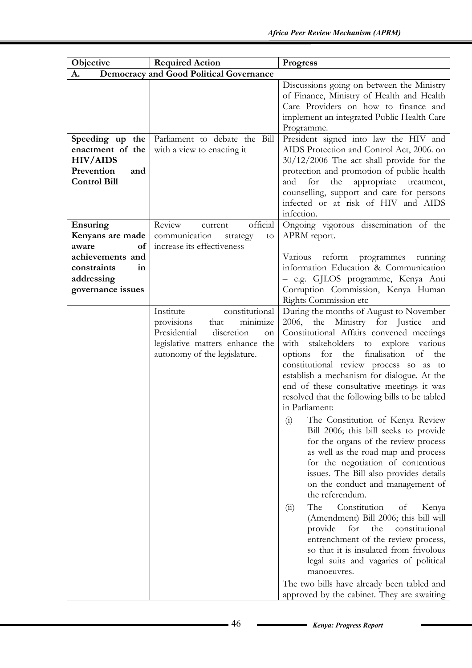| Objective                                                                                          | <b>Required Action</b>                                                                                                                                               | <b>Progress</b>                                                                                                                                                                                                                                                                                                                                                                                                                                                                                                                                                                                                                                                                                                                                                                                                                                                                                                                                                                                                                                                                                                         |
|----------------------------------------------------------------------------------------------------|----------------------------------------------------------------------------------------------------------------------------------------------------------------------|-------------------------------------------------------------------------------------------------------------------------------------------------------------------------------------------------------------------------------------------------------------------------------------------------------------------------------------------------------------------------------------------------------------------------------------------------------------------------------------------------------------------------------------------------------------------------------------------------------------------------------------------------------------------------------------------------------------------------------------------------------------------------------------------------------------------------------------------------------------------------------------------------------------------------------------------------------------------------------------------------------------------------------------------------------------------------------------------------------------------------|
| A.                                                                                                 | <b>Democracy and Good Political Governance</b>                                                                                                                       |                                                                                                                                                                                                                                                                                                                                                                                                                                                                                                                                                                                                                                                                                                                                                                                                                                                                                                                                                                                                                                                                                                                         |
|                                                                                                    |                                                                                                                                                                      | Discussions going on between the Ministry<br>of Finance, Ministry of Health and Health<br>Care Providers on how to finance and<br>implement an integrated Public Health Care<br>Programme.                                                                                                                                                                                                                                                                                                                                                                                                                                                                                                                                                                                                                                                                                                                                                                                                                                                                                                                              |
| Speeding up the<br>enactment of the<br><b>HIV/AIDS</b><br>Prevention<br>and<br><b>Control Bill</b> | Parliament to debate the Bill<br>with a view to enacting it                                                                                                          | President signed into law the HIV and<br>AIDS Protection and Control Act, 2006. on<br>$30/12/2006$ The act shall provide for the<br>protection and promotion of public health<br>appropriate treatment,<br>and<br>the<br>for<br>counselling, support and care for persons<br>infected or at risk of HIV and AIDS<br>infection.                                                                                                                                                                                                                                                                                                                                                                                                                                                                                                                                                                                                                                                                                                                                                                                          |
| Ensuring<br>Kenyans are made                                                                       | official<br>Review<br>current<br>communication<br>strategy<br>to                                                                                                     | Ongoing vigorous dissemination of the<br>APRM report.                                                                                                                                                                                                                                                                                                                                                                                                                                                                                                                                                                                                                                                                                                                                                                                                                                                                                                                                                                                                                                                                   |
| aware<br>of<br>achievements and<br>constraints<br>in<br>addressing<br>governance issues            | increase its effectiveness                                                                                                                                           | Various reform<br>programmes<br>running<br>information Education & Communication<br>- e.g. GJLOS programme, Kenya Anti<br>Corruption Commission, Kenya Human<br>Rights Commission etc                                                                                                                                                                                                                                                                                                                                                                                                                                                                                                                                                                                                                                                                                                                                                                                                                                                                                                                                   |
|                                                                                                    | constitutional<br>Institute<br>provisions<br>that<br>minimize<br>Presidential<br>discretion<br>on<br>legislative matters enhance the<br>autonomy of the legislature. | During the months of August to November<br>2006, the Ministry for Justice<br>and<br>Constitutional Affairs convened meetings<br>stakeholders<br>to explore<br>various<br>with<br>options for the<br>finalisation<br>of<br>the<br>constitutional review process so as to<br>establish a mechanism for dialogue. At the<br>end of these consultative meetings it was<br>resolved that the following bills to be tabled<br>in Parliament:<br>The Constitution of Kenya Review<br>(i)<br>Bill 2006; this bill seeks to provide<br>for the organs of the review process<br>as well as the road map and process<br>for the negotiation of contentious<br>issues. The Bill also provides details<br>on the conduct and management of<br>the referendum.<br>The<br>Constitution<br>of<br>Kenya<br>(ii)<br>(Amendment) Bill 2006; this bill will<br>provide<br>the<br>for<br>constitutional<br>entrenchment of the review process,<br>so that it is insulated from frivolous<br>legal suits and vagaries of political<br>manoeuvres.<br>The two bills have already been tabled and<br>approved by the cabinet. They are awaiting |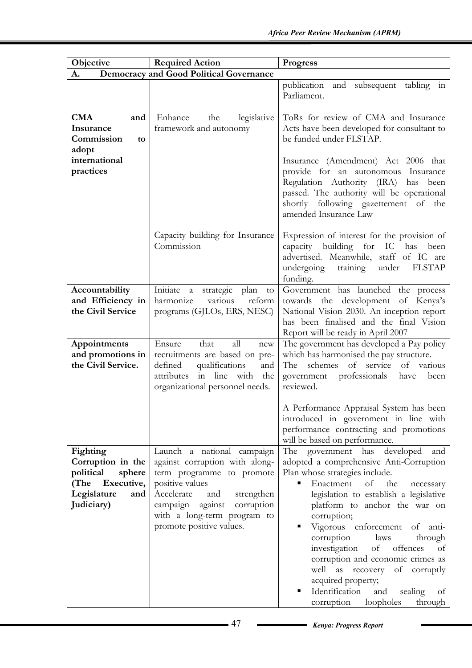| Objective                                                                                                   | <b>Required Action</b>                                                                                                                                                                                                                    | <b>Progress</b>                                                                                                                                                                                                                                                                                                                                                                                                                                                                                                                             |
|-------------------------------------------------------------------------------------------------------------|-------------------------------------------------------------------------------------------------------------------------------------------------------------------------------------------------------------------------------------------|---------------------------------------------------------------------------------------------------------------------------------------------------------------------------------------------------------------------------------------------------------------------------------------------------------------------------------------------------------------------------------------------------------------------------------------------------------------------------------------------------------------------------------------------|
| A.                                                                                                          | <b>Democracy and Good Political Governance</b>                                                                                                                                                                                            |                                                                                                                                                                                                                                                                                                                                                                                                                                                                                                                                             |
|                                                                                                             |                                                                                                                                                                                                                                           | publication<br>and<br>subsequent<br>tabling<br>111<br>Parliament.                                                                                                                                                                                                                                                                                                                                                                                                                                                                           |
| <b>CMA</b><br>and<br>Insurance<br>Commission<br>to<br>adopt<br>international<br>practices                   | Enhance<br>the<br>legislative<br>framework and autonomy                                                                                                                                                                                   | ToRs for review of CMA and Insurance<br>Acts have been developed for consultant to<br>be funded under FLSTAP.<br>Insurance (Amendment) Act 2006 that<br>provide for an autonomous Insurance<br>Regulation Authority (IRA) has been<br>passed. The authority will be operational<br>shortly following gazettement of the<br>amended Insurance Law                                                                                                                                                                                            |
|                                                                                                             | Capacity building for Insurance<br>Commission                                                                                                                                                                                             | Expression of interest for the provision of<br>building for<br>IC<br>has<br>capacity<br>been<br>advertised. Meanwhile, staff of IC are<br>undergoing<br>under FLSTAP<br>training<br>funding.                                                                                                                                                                                                                                                                                                                                                |
| Accountability<br>and Efficiency in<br>the Civil Service                                                    | Initiate a strategic<br>plan<br>to<br>harmonize<br>various<br>reform<br>programs (GJLOs, ERS, NESC)                                                                                                                                       | Government has launched the process<br>towards the development of Kenya's<br>National Vision 2030. An inception report<br>has been finalised and the final Vision<br>Report will be ready in April 2007                                                                                                                                                                                                                                                                                                                                     |
| Appointments<br>and promotions in<br>the Civil Service.                                                     | Ensure<br>that<br>all<br>new<br>recruitments are based on pre-<br>qualifications<br>defined<br>and<br>in line with<br>attributes<br>the<br>organizational personnel needs.                                                                | The government has developed a Pay policy<br>which has harmonised the pay structure.<br>of service<br>schemes<br>of various<br>The<br>government professionals<br>have<br>been<br>reviewed.                                                                                                                                                                                                                                                                                                                                                 |
|                                                                                                             |                                                                                                                                                                                                                                           | A Performance Appraisal System has been<br>introduced in government in line with<br>performance contracting and promotions<br>will be based on performance.                                                                                                                                                                                                                                                                                                                                                                                 |
| Fighting<br>Corruption in the<br>political<br>sphere<br>(The Executive,<br>Legislature<br>and<br>Judiciary) | Launch a national campaign<br>against corruption with along-<br>term programme to promote<br>positive values<br>Accelerate<br>and<br>strengthen<br>campaign against corruption<br>with a long-term program to<br>promote positive values. | developed<br>The<br>government has<br>and<br>adopted a comprehensive Anti-Corruption<br>Plan whose strategies include.<br>Enactment<br>of<br>the<br>necessary<br>legislation to establish a legislative<br>platform to anchor the war on<br>corruption;<br>Vigorous enforcement of anti-<br>corruption<br>laws<br>through<br>investigation<br>of offences<br>of<br>corruption and economic crimes as<br>well as recovery of corruptly<br>acquired property;<br>Identification<br>and<br>sealing<br>of<br>loopholes<br>through<br>corruption |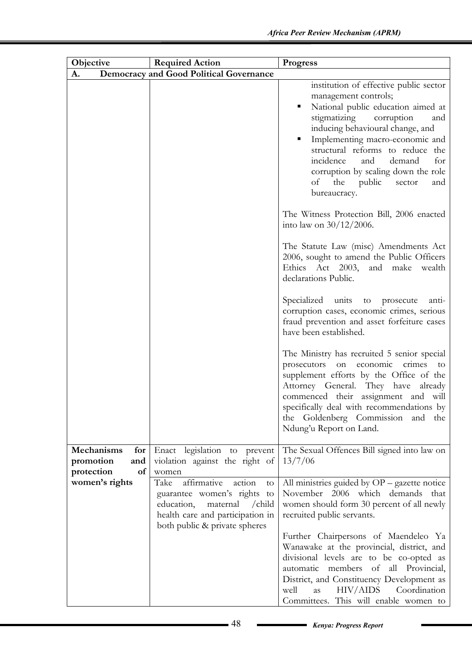| Objective                                                        | <b>Required Action</b>                                                                                                                                                       | <b>Progress</b>                                                                                                                                                                                                                                                                                                                                                                         |
|------------------------------------------------------------------|------------------------------------------------------------------------------------------------------------------------------------------------------------------------------|-----------------------------------------------------------------------------------------------------------------------------------------------------------------------------------------------------------------------------------------------------------------------------------------------------------------------------------------------------------------------------------------|
| A.                                                               | <b>Democracy and Good Political Governance</b>                                                                                                                               |                                                                                                                                                                                                                                                                                                                                                                                         |
|                                                                  |                                                                                                                                                                              | institution of effective public sector<br>management controls;<br>National public education aimed at<br>stigmatizing corruption<br>and<br>inducing behavioural change, and<br>Implementing macro-economic and<br>п<br>structural reforms to reduce the<br>incidence<br>demand<br>for<br>and<br>corruption by scaling down the role<br>the public<br>of<br>sector<br>and<br>bureaucracy. |
|                                                                  |                                                                                                                                                                              | The Witness Protection Bill, 2006 enacted<br>into law on $30/12/2006$ .                                                                                                                                                                                                                                                                                                                 |
|                                                                  |                                                                                                                                                                              | The Statute Law (misc) Amendments Act<br>2006, sought to amend the Public Officers<br>Ethics Act 2003, and make wealth<br>declarations Public.                                                                                                                                                                                                                                          |
|                                                                  |                                                                                                                                                                              | Specialized units<br>to prosecute<br>anti-<br>corruption cases, economic crimes, serious<br>fraud prevention and asset forfeiture cases<br>have been established.                                                                                                                                                                                                                       |
|                                                                  |                                                                                                                                                                              | The Ministry has recruited 5 senior special<br>on economic crimes<br>prosecutors<br>to<br>supplement efforts by the Office of the<br>Attorney General. They have already<br>commenced their assignment and will<br>specifically deal with recommendations by<br>the Goldenberg Commission and<br>the<br>Ndung'u Report on Land.                                                         |
| <b>Mechanisms</b><br>for<br>promotion<br>and<br>protection<br>of | Enact legislation to prevent<br>violation against the right of<br>women                                                                                                      | The Sexual Offences Bill signed into law on<br>13/7/06                                                                                                                                                                                                                                                                                                                                  |
| women's rights                                                   | affirmative<br>action<br>Take<br>to<br>guarantee women's rights<br>to<br>education,<br>maternal / child<br>health care and participation in<br>both public & private spheres | All ministries guided by OP - gazette notice<br>November 2006 which demands<br>that<br>women should form 30 percent of all newly<br>recruited public servants.                                                                                                                                                                                                                          |
|                                                                  |                                                                                                                                                                              | Further Chairpersons of Maendeleo Ya<br>Wanawake at the provincial, district, and<br>divisional levels are to be co-opted as<br>automatic members of all Provincial,<br>District, and Constituency Development as<br>HIV/AIDS<br>Coordination<br>well<br>as<br>Committees. This will enable women to                                                                                    |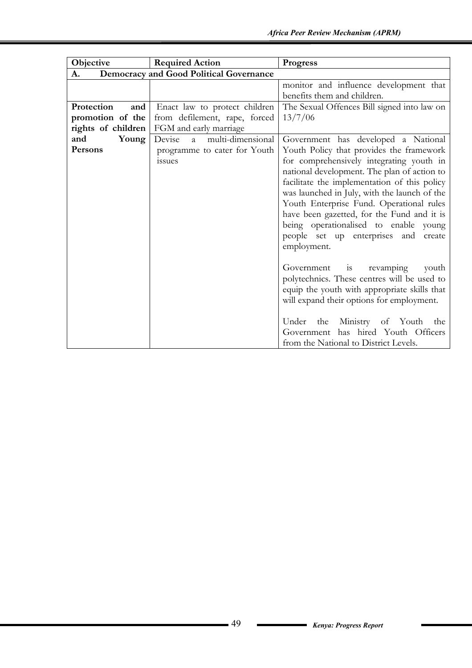| Objective          | <b>Required Action</b>                         | <b>Progress</b>                                                                                                                                                                                                                                                                                                                                                                   |
|--------------------|------------------------------------------------|-----------------------------------------------------------------------------------------------------------------------------------------------------------------------------------------------------------------------------------------------------------------------------------------------------------------------------------------------------------------------------------|
| A.                 | <b>Democracy and Good Political Governance</b> |                                                                                                                                                                                                                                                                                                                                                                                   |
|                    |                                                | monitor and influence development that<br>benefits them and children.                                                                                                                                                                                                                                                                                                             |
| Protection<br>and  | Enact law to protect children                  | The Sexual Offences Bill signed into law on                                                                                                                                                                                                                                                                                                                                       |
| promotion of the   | from defilement, rape, forced                  | 13/7/06                                                                                                                                                                                                                                                                                                                                                                           |
| rights of children | FGM and early marriage                         |                                                                                                                                                                                                                                                                                                                                                                                   |
| and<br>Young       | multi-dimensional<br>Devise<br>a a             | Government has developed a National                                                                                                                                                                                                                                                                                                                                               |
| Persons            | programme to cater for Youth                   | Youth Policy that provides the framework                                                                                                                                                                                                                                                                                                                                          |
|                    | issues                                         | for comprehensively integrating youth in<br>national development. The plan of action to<br>facilitate the implementation of this policy<br>was launched in July, with the launch of the<br>Youth Enterprise Fund. Operational rules<br>have been gazetted, for the Fund and it is<br>being operationalised to enable young<br>people set up enterprises and create<br>employment. |
|                    |                                                | $\frac{1}{1}$<br>Government<br>revamping<br>youth<br>polytechnics. These centres will be used to<br>equip the youth with appropriate skills that<br>will expand their options for employment.<br>the Ministry of Youth<br>Under<br>the<br>Government has hired Youth Officers<br>from the National to District Levels.                                                            |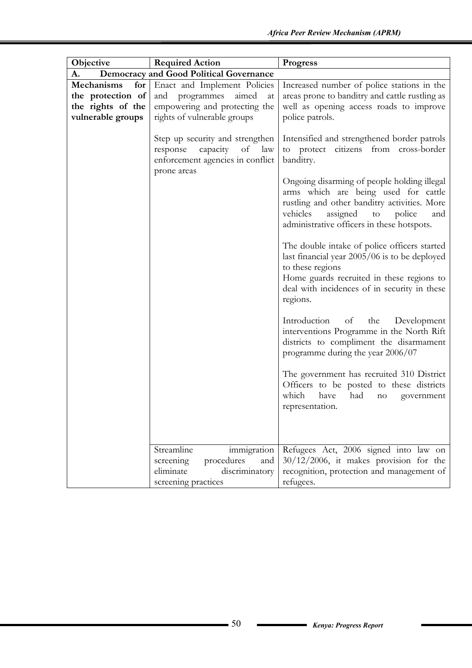| Objective                                                                        | <b>Required Action</b>                                                                                                        | <b>Progress</b>                                                                                                                                                                                                                  |  |  |
|----------------------------------------------------------------------------------|-------------------------------------------------------------------------------------------------------------------------------|----------------------------------------------------------------------------------------------------------------------------------------------------------------------------------------------------------------------------------|--|--|
| <b>Democracy and Good Political Governance</b><br>A.                             |                                                                                                                               |                                                                                                                                                                                                                                  |  |  |
| Mechanisms<br>for<br>the protection of<br>the rights of the<br>vulnerable groups | Enact and Implement Policies<br>and programmes<br>aimed<br>at<br>empowering and protecting the<br>rights of vulnerable groups | Increased number of police stations in the<br>areas prone to banditry and cattle rustling as<br>well as opening access roads to improve<br>police patrols.                                                                       |  |  |
|                                                                                  | Step up security and strengthen<br>capacity<br>of<br>law<br>response<br>enforcement agencies in conflict<br>prone areas       | Intensified and strengthened border patrols<br>to protect citizens from cross-border<br>banditry.                                                                                                                                |  |  |
|                                                                                  |                                                                                                                               | Ongoing disarming of people holding illegal<br>arms which are being used for cattle<br>rustling and other banditry activities. More<br>vehicles<br>assigned<br>to<br>police<br>and<br>administrative officers in these hotspots. |  |  |
|                                                                                  |                                                                                                                               | The double intake of police officers started<br>last financial year 2005/06 is to be deployed<br>to these regions<br>Home guards recruited in these regions to<br>deal with incidences of in security in these<br>regions.       |  |  |
|                                                                                  |                                                                                                                               | Introduction<br>of<br>the<br>Development<br>interventions Programme in the North Rift<br>districts to compliment the disarmament<br>programme during the year 2006/07                                                            |  |  |
|                                                                                  |                                                                                                                               | The government has recruited 310 District<br>Officers to be posted to these districts<br>which<br>have<br>had<br>$\rm no$<br>government<br>representation.                                                                       |  |  |
|                                                                                  |                                                                                                                               |                                                                                                                                                                                                                                  |  |  |
|                                                                                  | Streamline<br>immigration                                                                                                     | Refugees Act, 2006 signed into law on                                                                                                                                                                                            |  |  |
|                                                                                  | screening<br>procedures<br>and                                                                                                | $30/12/2006$ , it makes provision for the                                                                                                                                                                                        |  |  |
|                                                                                  | eliminate<br>discriminatory                                                                                                   | recognition, protection and management of                                                                                                                                                                                        |  |  |
|                                                                                  | screening practices                                                                                                           | refugees.                                                                                                                                                                                                                        |  |  |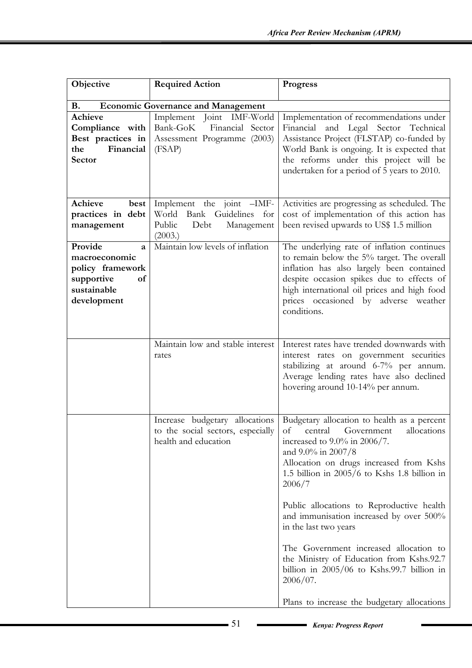| Objective                                                                                           | <b>Required Action</b>                                                                            | Progress                                                                                                                                                                                                                                                                                                                                                                                                                                                                                                                                                                                                                                  |
|-----------------------------------------------------------------------------------------------------|---------------------------------------------------------------------------------------------------|-------------------------------------------------------------------------------------------------------------------------------------------------------------------------------------------------------------------------------------------------------------------------------------------------------------------------------------------------------------------------------------------------------------------------------------------------------------------------------------------------------------------------------------------------------------------------------------------------------------------------------------------|
| В.                                                                                                  | <b>Economic Governance and Management</b>                                                         |                                                                                                                                                                                                                                                                                                                                                                                                                                                                                                                                                                                                                                           |
| Achieve<br>Compliance with<br>Best practices in<br>Financial<br>the<br>Sector                       | Implement Joint IMF-World<br>Bank-GoK Financial Sector<br>Assessment Programme (2003)<br>(FSAP)   | Implementation of recommendations under<br>Financial and Legal Sector Technical<br>Assistance Project (FLSTAP) co-funded by<br>World Bank is ongoing. It is expected that<br>the reforms under this project will be<br>undertaken for a period of 5 years to 2010.                                                                                                                                                                                                                                                                                                                                                                        |
| Achieve<br>best<br>practices in debt<br>management                                                  | Implement the joint -IMF-<br>World Bank Guidelines for<br>Public<br>Debt<br>Management<br>(2003.) | Activities are progressing as scheduled. The<br>cost of implementation of this action has<br>been revised upwards to US\$ 1.5 million                                                                                                                                                                                                                                                                                                                                                                                                                                                                                                     |
| Provide<br>a<br>macroeconomic<br>policy framework<br>supportive<br>of<br>sustainable<br>development | Maintain low levels of inflation                                                                  | The underlying rate of inflation continues<br>to remain below the 5% target. The overall<br>inflation has also largely been contained<br>despite occasion spikes due to effects of<br>high international oil prices and high food<br>prices occasioned by adverse weather<br>conditions.                                                                                                                                                                                                                                                                                                                                                  |
|                                                                                                     | Maintain low and stable interest<br>rates                                                         | Interest rates have trended downwards with<br>interest rates on government securities<br>stabilizing at around 6-7% per annum.<br>Average lending rates have also declined<br>hovering around 10-14% per annum.                                                                                                                                                                                                                                                                                                                                                                                                                           |
|                                                                                                     | health and education                                                                              | Increase budgetary allocations   Budgetary allocation to health as a percent<br>to the social sectors, especially of central Government allocations<br>increased to $9.0\%$ in $2006/7$ .<br>and 9.0% in 2007/8<br>Allocation on drugs increased from Kshs<br>1.5 billion in 2005/6 to Kshs 1.8 billion in<br>2006/7<br>Public allocations to Reproductive health<br>and immunisation increased by over 500%<br>in the last two years<br>The Government increased allocation to<br>the Ministry of Education from Kshs.92.7<br>billion in $2005/06$ to Kshs.99.7 billion in<br>$2006/07$ .<br>Plans to increase the budgetary allocations |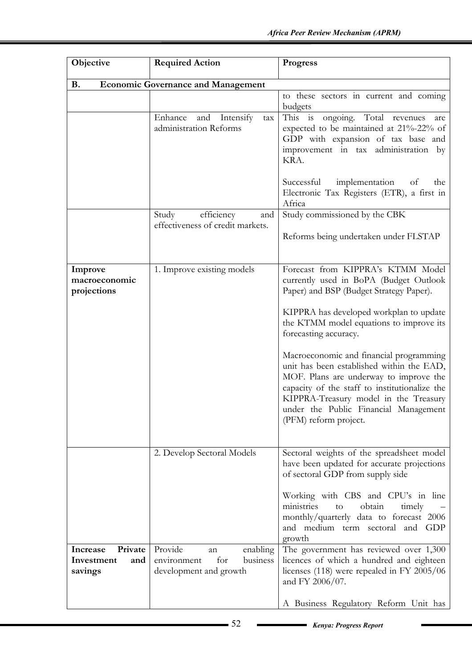| Objective                                           | <b>Required Action</b>                                                                | <b>Progress</b>                                                                                                                                                                                                                                                                            |
|-----------------------------------------------------|---------------------------------------------------------------------------------------|--------------------------------------------------------------------------------------------------------------------------------------------------------------------------------------------------------------------------------------------------------------------------------------------|
| <b>B.</b>                                           | <b>Economic Governance and Management</b>                                             |                                                                                                                                                                                                                                                                                            |
|                                                     |                                                                                       | to these sectors in current and coming<br>budgets                                                                                                                                                                                                                                          |
|                                                     | Enhance and Intensify<br>tax<br>administration Reforms                                | This is ongoing. Total revenues are<br>expected to be maintained at 21%-22% of<br>GDP with expansion of tax base and<br>improvement in tax administration by<br>KRA.                                                                                                                       |
|                                                     |                                                                                       | implementation of<br>Successful<br>the<br>Electronic Tax Registers (ETR), a first in<br>Africa                                                                                                                                                                                             |
|                                                     | efficiency<br>Study<br>and<br>effectiveness of credit markets.                        | Study commissioned by the CBK                                                                                                                                                                                                                                                              |
|                                                     |                                                                                       | Reforms being undertaken under FLSTAP                                                                                                                                                                                                                                                      |
| Improve<br>macroeconomic<br>projections             | 1. Improve existing models                                                            | Forecast from KIPPRA's KTMM Model<br>currently used in BoPA (Budget Outlook<br>Paper) and BSP (Budget Strategy Paper).                                                                                                                                                                     |
|                                                     |                                                                                       | KIPPRA has developed workplan to update<br>the KTMM model equations to improve its<br>forecasting accuracy.                                                                                                                                                                                |
|                                                     |                                                                                       | Macroeconomic and financial programming<br>unit has been established within the EAD,<br>MOF. Plans are underway to improve the<br>capacity of the staff to institutionalize the<br>KIPPRA-Treasury model in the Treasury<br>under the Public Financial Management<br>(PFM) reform project. |
|                                                     | 2. Develop Sectoral Models                                                            | Sectoral weights of the spreadsheet model<br>have been updated for accurate projections<br>of sectoral GDP from supply side                                                                                                                                                                |
|                                                     |                                                                                       | Working with CBS and CPU's in line<br>ministries<br>obtain<br>timely<br>to<br>monthly/quarterly data to forecast 2006<br>and medium term sectoral and GDP<br>growth                                                                                                                        |
| Private<br>Increase<br>Investment<br>and<br>savings | Provide<br>enabling<br>an<br>business<br>environment<br>for<br>development and growth | The government has reviewed over 1,300<br>licences of which a hundred and eighteen<br>licenses (118) were repealed in FY 2005/06<br>and FY 2006/07.                                                                                                                                        |
|                                                     |                                                                                       | A Business Regulatory Reform Unit has                                                                                                                                                                                                                                                      |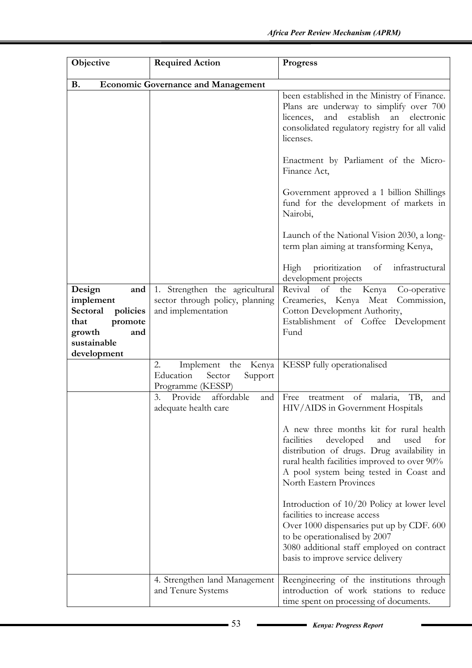| Objective                                                                                                         | <b>Required Action</b>                                                                  | <b>Progress</b>                                                                                                                                                                                                                                               |
|-------------------------------------------------------------------------------------------------------------------|-----------------------------------------------------------------------------------------|---------------------------------------------------------------------------------------------------------------------------------------------------------------------------------------------------------------------------------------------------------------|
| <b>B.</b>                                                                                                         | <b>Economic Governance and Management</b>                                               |                                                                                                                                                                                                                                                               |
|                                                                                                                   |                                                                                         | been established in the Ministry of Finance.<br>Plans are underway to simplify over 700<br>establish<br>an<br>licences,<br>and<br>electronic<br>consolidated regulatory registry for all valid<br>licenses.                                                   |
|                                                                                                                   |                                                                                         | Enactment by Parliament of the Micro-<br>Finance Act,                                                                                                                                                                                                         |
|                                                                                                                   |                                                                                         | Government approved a 1 billion Shillings<br>fund for the development of markets in<br>Nairobi,                                                                                                                                                               |
|                                                                                                                   |                                                                                         | Launch of the National Vision 2030, a long-<br>term plan aiming at transforming Kenya,                                                                                                                                                                        |
|                                                                                                                   |                                                                                         | prioritization<br>High<br>of infrastructural<br>development projects                                                                                                                                                                                          |
| Design<br>and<br>implement<br>Sectoral policies<br>promote<br>that<br>growth<br>and<br>sustainable<br>development | 1. Strengthen the agricultural<br>sector through policy, planning<br>and implementation | Revival<br>Kenya<br>of<br>the<br>Co-operative<br>Creameries, Kenya Meat<br>Commission,<br>Cotton Development Authority,<br>Establishment of Coffee Development<br>Fund                                                                                        |
|                                                                                                                   | Implement the Kenya<br>2.<br>Education<br>Sector<br>Support<br>Programme (KESSP)        | KESSP fully operationalised                                                                                                                                                                                                                                   |
|                                                                                                                   | Provide affordable<br>3.<br>and<br>adequate health care                                 | of malaria,<br>TB,<br>Free<br>treatment<br>and<br>HIV/AIDS in Government Hospitals                                                                                                                                                                            |
|                                                                                                                   |                                                                                         | A new three months kit for rural health<br>facilities<br>developed<br>and<br>for<br>used<br>distribution of drugs. Drug availability in<br>rural health facilities improved to over 90%<br>A pool system being tested in Coast and<br>North Eastern Provinces |
|                                                                                                                   |                                                                                         | Introduction of 10/20 Policy at lower level<br>facilities to increase access<br>Over 1000 dispensaries put up by CDF. 600<br>to be operationalised by 2007<br>3080 additional staff employed on contract<br>basis to improve service delivery                 |
|                                                                                                                   | 4. Strengthen land Management<br>and Tenure Systems                                     | Reengineering of the institutions through<br>introduction of work stations to reduce<br>time spent on processing of documents.                                                                                                                                |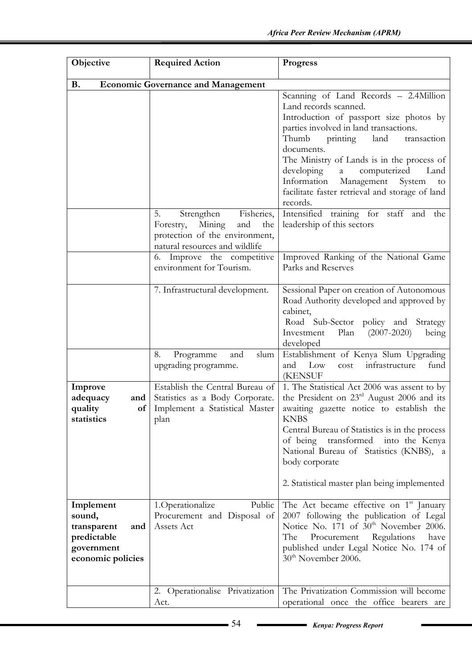| Objective                                                                                   | <b>Required Action</b>                                                                                            | <b>Progress</b>                                                                                                                                                                                                                                                                                                                                                                                                                                                                        |
|---------------------------------------------------------------------------------------------|-------------------------------------------------------------------------------------------------------------------|----------------------------------------------------------------------------------------------------------------------------------------------------------------------------------------------------------------------------------------------------------------------------------------------------------------------------------------------------------------------------------------------------------------------------------------------------------------------------------------|
| <b>B.</b>                                                                                   | <b>Economic Governance and Management</b>                                                                         |                                                                                                                                                                                                                                                                                                                                                                                                                                                                                        |
|                                                                                             | Fisheries,<br>5.<br>Strengthen<br>Forestry, Mining<br>and<br>the                                                  | Scanning of Land Records - 2.4Million<br>Land records scanned.<br>Introduction of passport size photos by<br>parties involved in land transactions.<br>Thumb printing land<br>transaction<br>documents.<br>The Ministry of Lands is in the process of<br>developing<br>computerized<br>a a<br>Land<br>Information<br>Management<br>System<br>to<br>facilitate faster retrieval and storage of land<br>records.<br>Intensified training for staff and the<br>leadership of this sectors |
|                                                                                             | protection of the environment,<br>natural resources and wildlife<br>6. Improve the competitive                    | Improved Ranking of the National Game                                                                                                                                                                                                                                                                                                                                                                                                                                                  |
|                                                                                             | environment for Tourism.                                                                                          | Parks and Reserves                                                                                                                                                                                                                                                                                                                                                                                                                                                                     |
|                                                                                             | 7. Infrastructural development.                                                                                   | Sessional Paper on creation of Autonomous<br>Road Authority developed and approved by<br>cabinet,<br>Road Sub-Sector policy and Strategy<br>Investment<br>Plan $(2007-2020)$<br>being<br>developed                                                                                                                                                                                                                                                                                     |
|                                                                                             | Programme<br>and<br>8.<br>slum<br>upgrading programme.                                                            | Establishment of Kenya Slum Upgrading<br>and<br>Low<br>infrastructure<br>fund<br>cost<br><b>(KENSUF</b>                                                                                                                                                                                                                                                                                                                                                                                |
| Improve<br>adequacy<br>and  <br>quality<br>statistics                                       | Establish the Central Bureau of<br>Statistics as a Body Corporate.<br>of   Implement a Statistical Master<br>plan | 1. The Statistical Act 2006 was assent to by<br>the President on $23rd$ August 2006 and its<br>awaiting gazette notice to establish the<br><b>KNBS</b><br>Central Bureau of Statistics is in the process<br>of being<br>transformed<br>into the Kenya<br>National Bureau of Statistics (KNBS), a<br>body corporate                                                                                                                                                                     |
|                                                                                             |                                                                                                                   | 2. Statistical master plan being implemented                                                                                                                                                                                                                                                                                                                                                                                                                                           |
| Implement<br>sound,<br>transparent<br>and<br>predictable<br>government<br>economic policies | Public<br>1.Operationalize<br>Procurement and Disposal of<br>Assets Act                                           | The Act became effective on 1 <sup>st</sup> January<br>2007 following the publication of Legal<br>Notice No. 171 of 30 <sup>th</sup> November 2006.<br>Procurement Regulations<br>The<br>have<br>published under Legal Notice No. 174 of<br>30 <sup>th</sup> November 2006.                                                                                                                                                                                                            |
|                                                                                             | 2. Operationalise Privatization<br>Act.                                                                           | The Privatization Commission will become<br>operational once the office bearers are                                                                                                                                                                                                                                                                                                                                                                                                    |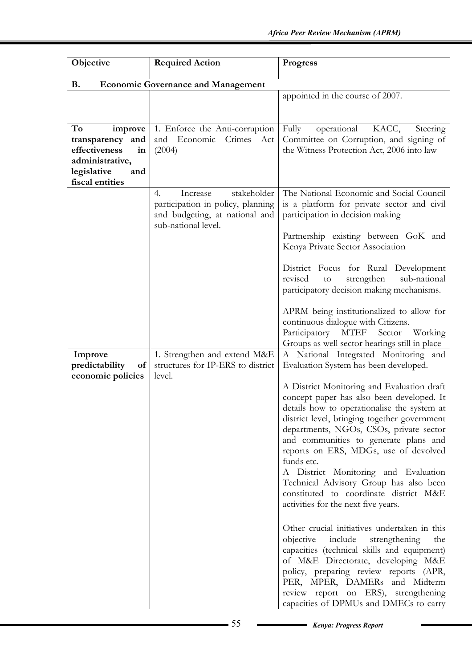| Objective                                                                                                            | <b>Required Action</b>                                                                                                      | <b>Progress</b>                                                                                                                                                                                                                                                                                                                                                                                                                                                                                                                                                                                                                                                                                                                                                                                                                                                                                                                         |
|----------------------------------------------------------------------------------------------------------------------|-----------------------------------------------------------------------------------------------------------------------------|-----------------------------------------------------------------------------------------------------------------------------------------------------------------------------------------------------------------------------------------------------------------------------------------------------------------------------------------------------------------------------------------------------------------------------------------------------------------------------------------------------------------------------------------------------------------------------------------------------------------------------------------------------------------------------------------------------------------------------------------------------------------------------------------------------------------------------------------------------------------------------------------------------------------------------------------|
| <b>B.</b>                                                                                                            | <b>Economic Governance and Management</b>                                                                                   |                                                                                                                                                                                                                                                                                                                                                                                                                                                                                                                                                                                                                                                                                                                                                                                                                                                                                                                                         |
|                                                                                                                      |                                                                                                                             | appointed in the course of 2007.                                                                                                                                                                                                                                                                                                                                                                                                                                                                                                                                                                                                                                                                                                                                                                                                                                                                                                        |
| To<br>improve<br>transparency and<br>effectiveness<br>in<br>administrative,<br>legislative<br>and<br>fiscal entities | 1. Enforce the Anti-corruption<br>Crimes Act<br>and Economic<br>(2004)                                                      | Fully<br>operational KACC,<br>Steering<br>Committee on Corruption, and signing of<br>the Witness Protection Act, 2006 into law                                                                                                                                                                                                                                                                                                                                                                                                                                                                                                                                                                                                                                                                                                                                                                                                          |
|                                                                                                                      | stakeholder<br>Increase<br>4.<br>participation in policy, planning<br>and budgeting, at national and<br>sub-national level. | The National Economic and Social Council<br>is a platform for private sector and civil<br>participation in decision making<br>Partnership existing between GoK and                                                                                                                                                                                                                                                                                                                                                                                                                                                                                                                                                                                                                                                                                                                                                                      |
|                                                                                                                      |                                                                                                                             | Kenya Private Sector Association<br>District Focus for Rural Development<br>strengthen<br>revised<br>sub-national<br>to<br>participatory decision making mechanisms.<br>APRM being institutionalized to allow for<br>continuous dialogue with Citizens.<br>Participatory MTEF Sector Working<br>Groups as well sector hearings still in place                                                                                                                                                                                                                                                                                                                                                                                                                                                                                                                                                                                           |
| Improve<br>predictability<br>of<br>economic policies                                                                 | 1. Strengthen and extend M&E<br>structures for IP-ERS to district<br>level.                                                 | A National Integrated Monitoring and<br>Evaluation System has been developed.<br>A District Monitoring and Evaluation draft<br>concept paper has also been developed. It<br>details how to operationalise the system at<br>district level, bringing together government<br>departments, NGOs, CSOs, private sector<br>and communities to generate plans and<br>reports on ERS, MDGs, use of devolved<br>funds etc.<br>A District Monitoring and Evaluation<br>Technical Advisory Group has also been<br>constituted to coordinate district M&E<br>activities for the next five years.<br>Other crucial initiatives undertaken in this<br>objective<br>include<br>strengthening<br>the<br>capacities (technical skills and equipment)<br>of M&E Directorate, developing M&E<br>policy, preparing review reports (APR,<br>PER, MPER, DAMERs and Midterm<br>review report on ERS), strengthening<br>capacities of DPMUs and DMECs to carry |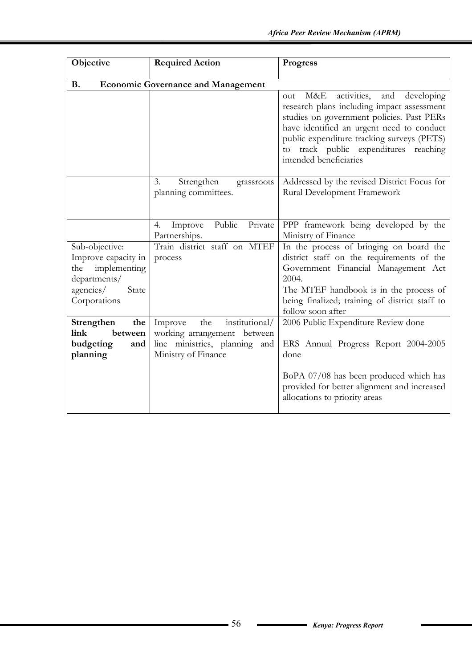| Objective                                                                                                          | <b>Required Action</b>                                                                                                  | <b>Progress</b>                                                                                                                                                                                                                                                                                         |
|--------------------------------------------------------------------------------------------------------------------|-------------------------------------------------------------------------------------------------------------------------|---------------------------------------------------------------------------------------------------------------------------------------------------------------------------------------------------------------------------------------------------------------------------------------------------------|
| <b>B.</b>                                                                                                          | <b>Economic Governance and Management</b>                                                                               |                                                                                                                                                                                                                                                                                                         |
|                                                                                                                    |                                                                                                                         | M&E<br>activities,<br>and<br>developing<br>out<br>research plans including impact assessment<br>studies on government policies. Past PERs<br>have identified an urgent need to conduct<br>public expenditure tracking surveys (PETS)<br>to track public expenditures reaching<br>intended beneficiaries |
|                                                                                                                    | 3.<br>Strengthen<br>grassroots<br>planning committees.                                                                  | Addressed by the revised District Focus for<br>Rural Development Framework                                                                                                                                                                                                                              |
|                                                                                                                    | Public<br>Private<br>Improve<br>4.<br>Partnerships.                                                                     | PPP framework being developed by the<br>Ministry of Finance                                                                                                                                                                                                                                             |
| Sub-objective:<br>Improve capacity in<br>implementing<br>the<br>departments/<br>agencies/<br>State<br>Corporations | Train district staff on MTEF<br>process                                                                                 | In the process of bringing on board the<br>district staff on the requirements of the<br>Government Financial Management Act<br>2004.<br>The MTEF handbook is in the process of<br>being finalized; training of district staff to<br>follow soon after                                                   |
| Strengthen<br>the<br>link<br>between<br>budgeting<br>and<br>planning                                               | institutional/<br>the<br>Improve<br>working arrangement between<br>line ministries, planning and<br>Ministry of Finance | 2006 Public Expenditure Review done<br>ERS Annual Progress Report 2004-2005<br>done<br>BoPA 07/08 has been produced which has<br>provided for better alignment and increased<br>allocations to priority areas                                                                                           |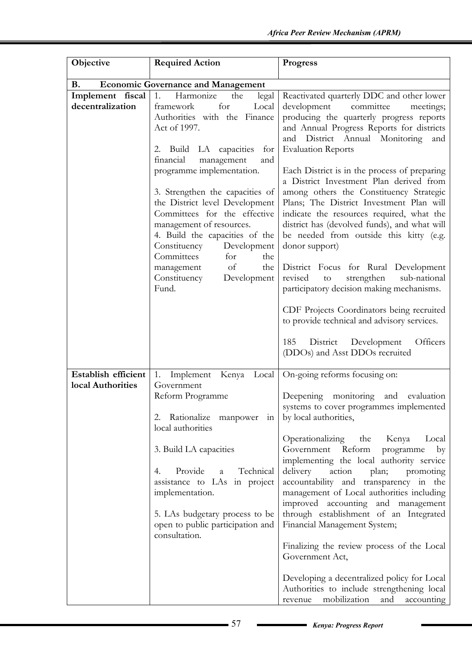| Objective           | <b>Required Action</b>                                                                                                                                                                                                                                  | <b>Progress</b>                                                                                                                                                                                                                                                                                                                          |
|---------------------|---------------------------------------------------------------------------------------------------------------------------------------------------------------------------------------------------------------------------------------------------------|------------------------------------------------------------------------------------------------------------------------------------------------------------------------------------------------------------------------------------------------------------------------------------------------------------------------------------------|
| <b>B.</b>           | <b>Economic Governance and Management</b>                                                                                                                                                                                                               |                                                                                                                                                                                                                                                                                                                                          |
| Implement fiscal    | 1.<br>Harmonize<br>the<br>legal                                                                                                                                                                                                                         | Reactivated quarterly DDC and other lower                                                                                                                                                                                                                                                                                                |
| decentralization    | for<br>Local<br>framework<br>Authorities with the Finance<br>Act of 1997.<br>2. Build LA capacities<br>for<br>financial<br>management<br>and                                                                                                            | development<br>committee<br>meetings;<br>producing the quarterly progress reports<br>and Annual Progress Reports for districts<br>and District Annual Monitoring<br>and<br><b>Evaluation Reports</b>                                                                                                                                     |
|                     | programme implementation.<br>3. Strengthen the capacities of<br>the District level Development<br>Committees for the effective<br>management of resources.<br>4. Build the capacities of the<br>Constituency<br>Development<br>Committees<br>for<br>the | Each District is in the process of preparing<br>a District Investment Plan derived from<br>among others the Constituency Strategic<br>Plans; The District Investment Plan will<br>indicate the resources required, what the<br>district has (devolved funds), and what will<br>be needed from outside this kitty (e.g.<br>donor support) |
|                     | of<br>the<br>management<br>Constituency<br>Development<br>Fund.                                                                                                                                                                                         | District Focus for Rural Development<br>revised<br>strengthen<br>sub-national<br>$\rm{to}$<br>participatory decision making mechanisms.                                                                                                                                                                                                  |
|                     |                                                                                                                                                                                                                                                         | CDF Projects Coordinators being recruited<br>to provide technical and advisory services.                                                                                                                                                                                                                                                 |
|                     |                                                                                                                                                                                                                                                         | 185<br>District<br>Development<br>Officers<br>(DDOs) and Asst DDOs recruited                                                                                                                                                                                                                                                             |
| Establish efficient | Implement Kenya<br>Local<br>1.                                                                                                                                                                                                                          | On-going reforms focusing on:                                                                                                                                                                                                                                                                                                            |
| local Authorities   | Government                                                                                                                                                                                                                                              |                                                                                                                                                                                                                                                                                                                                          |
|                     | Reform Programme<br>2. Rationalize manpower in                                                                                                                                                                                                          | monitoring<br>Deepening<br>and evaluation<br>systems to cover programmes implemented<br>by local authorities,                                                                                                                                                                                                                            |
|                     | local authorities                                                                                                                                                                                                                                       |                                                                                                                                                                                                                                                                                                                                          |
|                     | 3. Build LA capacities<br>Provide<br>Technical<br>4.<br>$\mathbf{a}$<br>assistance to LAs in project<br>implementation.                                                                                                                                 | Operationalizing the<br>Kenya<br>Local<br>Reform<br>Government<br>programme<br>by<br>implementing the local authority service<br>delivery<br>action<br>plan; promoting<br>accountability and transparency in the<br>management of Local authorities including                                                                            |
|                     | 5. LAs budgetary process to be<br>open to public participation and<br>consultation.                                                                                                                                                                     | improved accounting and management<br>through establishment of an Integrated<br>Financial Management System;<br>Finalizing the review process of the Local                                                                                                                                                                               |
|                     |                                                                                                                                                                                                                                                         | Government Act,<br>Developing a decentralized policy for Local<br>Authorities to include strengthening local                                                                                                                                                                                                                             |
|                     |                                                                                                                                                                                                                                                         | mobilization<br>and<br>accounting<br>revenue                                                                                                                                                                                                                                                                                             |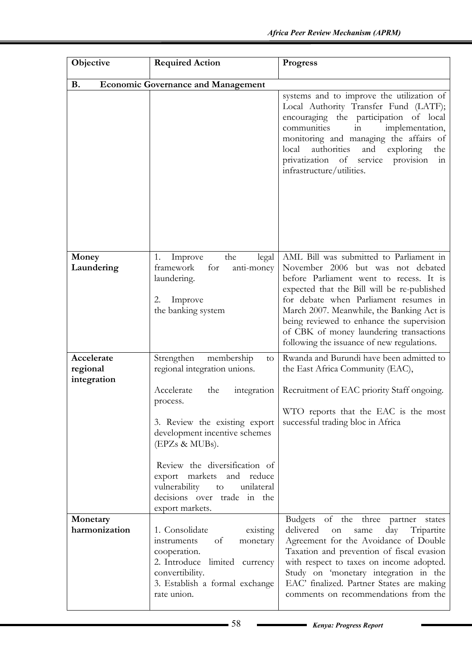| Objective                             | <b>Required Action</b>                                                                                                                                                                                                                                                                                                                                                  | <b>Progress</b>                                                                                                                                                                                                                                                                                                                                                                                    |
|---------------------------------------|-------------------------------------------------------------------------------------------------------------------------------------------------------------------------------------------------------------------------------------------------------------------------------------------------------------------------------------------------------------------------|----------------------------------------------------------------------------------------------------------------------------------------------------------------------------------------------------------------------------------------------------------------------------------------------------------------------------------------------------------------------------------------------------|
| <b>B.</b>                             | <b>Economic Governance and Management</b>                                                                                                                                                                                                                                                                                                                               |                                                                                                                                                                                                                                                                                                                                                                                                    |
|                                       |                                                                                                                                                                                                                                                                                                                                                                         | systems and to improve the utilization of<br>Local Authority Transfer Fund (LATF);<br>encouraging the participation of local<br>communities<br>implementation,<br>in<br>monitoring and managing the affairs of<br>authorities<br>and<br>exploring<br>local<br>the<br>privatization of service<br>provision<br>in<br>infrastructure/utilities.                                                      |
| Money<br>Laundering                   | the<br>Improve<br>legal<br>1.<br>framework<br>for<br>anti-money<br>laundering.<br>Improve<br>2.<br>the banking system                                                                                                                                                                                                                                                   | AML Bill was submitted to Parliament in<br>November 2006 but was not debated<br>before Parliament went to recess. It is<br>expected that the Bill will be re-published<br>for debate when Parliament resumes in<br>March 2007. Meanwhile, the Banking Act is<br>being reviewed to enhance the supervision<br>of CBK of money laundering transactions<br>following the issuance of new regulations. |
| Accelerate<br>regional<br>integration | Strengthen<br>membership<br>to<br>regional integration unions.<br>Accelerate<br>the<br>integration<br>process.<br>3. Review the existing export<br>development incentive schemes<br>(EPZs & MUBs).<br>Review the diversification of<br>export markets<br>and<br>reduce<br>vulnerability<br>unilateral<br>$\,$ to $\,$<br>decisions over trade in the<br>export markets. | Rwanda and Burundi have been admitted to<br>the East Africa Community (EAC),<br>Recruitment of EAC priority Staff ongoing.<br>WTO reports that the EAC is the most<br>successful trading bloc in Africa                                                                                                                                                                                            |
| Monetary<br>harmonization             | 1. Consolidate<br>existing<br>of<br>instruments<br>monetary<br>cooperation.<br>2. Introduce limited currency<br>convertibility.<br>3. Establish a formal exchange<br>rate union.                                                                                                                                                                                        | Budgets of the three partner<br>states<br>day<br>Tripartite<br>delivered<br>on<br>same<br>Agreement for the Avoidance of Double<br>Taxation and prevention of fiscal evasion<br>with respect to taxes on income adopted.<br>Study on 'monetary integration in the<br>EAC' finalized. Partner States are making<br>comments on recommendations from the                                             |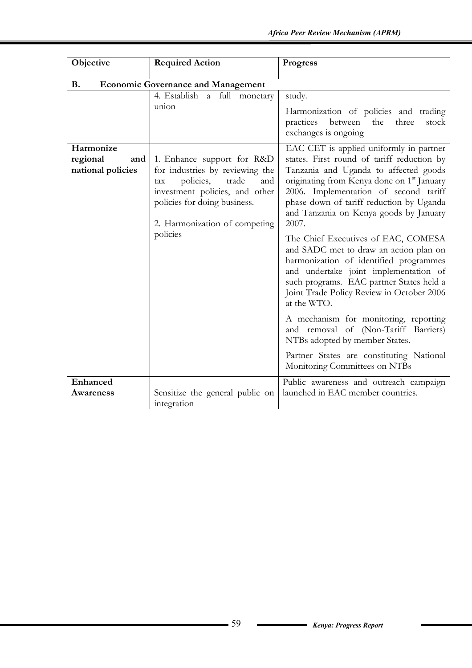| Objective                                         | <b>Required Action</b>                                                                                                                                                                                                                                    | <b>Progress</b>                                                                                                                                                                                                                                                                                                                                                                                                                                                                                                                               |
|---------------------------------------------------|-----------------------------------------------------------------------------------------------------------------------------------------------------------------------------------------------------------------------------------------------------------|-----------------------------------------------------------------------------------------------------------------------------------------------------------------------------------------------------------------------------------------------------------------------------------------------------------------------------------------------------------------------------------------------------------------------------------------------------------------------------------------------------------------------------------------------|
| <b>B.</b>                                         | <b>Economic Governance and Management</b>                                                                                                                                                                                                                 |                                                                                                                                                                                                                                                                                                                                                                                                                                                                                                                                               |
| Harmonize<br>regional<br>and<br>national policies | 4. Establish a full monetary<br>union<br>1. Enhance support for R&D<br>for industries by reviewing the<br>policies,<br>trade<br>and<br>tax<br>investment policies, and other<br>policies for doing business.<br>2. Harmonization of competing<br>policies | study.<br>Harmonization of policies and trading<br>practices<br>between<br>the<br>three<br>stock<br>exchanges is ongoing<br>EAC CET is applied uniformly in partner<br>states. First round of tariff reduction by<br>Tanzania and Uganda to affected goods<br>originating from Kenya done on 1 <sup>st</sup> January<br>2006. Implementation of second tariff<br>phase down of tariff reduction by Uganda<br>and Tanzania on Kenya goods by January<br>2007.<br>The Chief Executives of EAC, COMESA<br>and SADC met to draw an action plan on |
|                                                   |                                                                                                                                                                                                                                                           | harmonization of identified programmes<br>and undertake joint implementation of<br>such programs. EAC partner States held a<br>Joint Trade Policy Review in October 2006<br>at the WTO.                                                                                                                                                                                                                                                                                                                                                       |
|                                                   |                                                                                                                                                                                                                                                           | A mechanism for monitoring, reporting<br>and removal of (Non-Tariff Barriers)<br>NTBs adopted by member States.                                                                                                                                                                                                                                                                                                                                                                                                                               |
|                                                   |                                                                                                                                                                                                                                                           | Partner States are constituting National<br>Monitoring Committees on NTBs                                                                                                                                                                                                                                                                                                                                                                                                                                                                     |
| Enhanced<br><b>Awareness</b>                      | Sensitize the general public on<br>integration                                                                                                                                                                                                            | Public awareness and outreach campaign<br>launched in EAC member countries.                                                                                                                                                                                                                                                                                                                                                                                                                                                                   |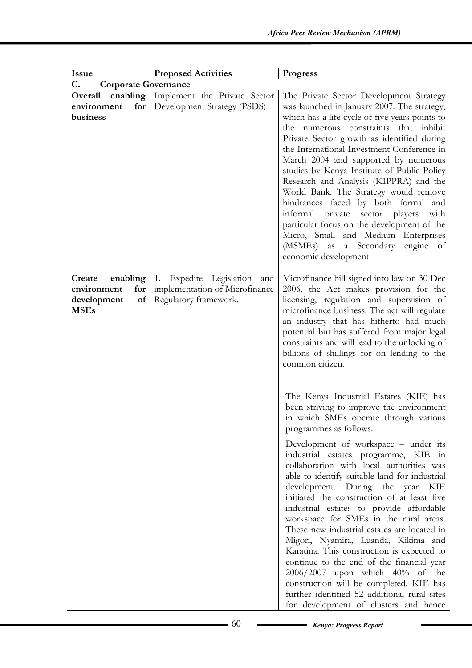| <b>Issue</b>                                                                 | <b>Proposed Activities</b>                                                                   | <b>Progress</b>                                                                                                                                                                                                                                                                                                                                                                                                                                                                                                                                                                                                                                                                                                                                                                                                                                                     |
|------------------------------------------------------------------------------|----------------------------------------------------------------------------------------------|---------------------------------------------------------------------------------------------------------------------------------------------------------------------------------------------------------------------------------------------------------------------------------------------------------------------------------------------------------------------------------------------------------------------------------------------------------------------------------------------------------------------------------------------------------------------------------------------------------------------------------------------------------------------------------------------------------------------------------------------------------------------------------------------------------------------------------------------------------------------|
| C.<br><b>Corporate Governance</b>                                            |                                                                                              |                                                                                                                                                                                                                                                                                                                                                                                                                                                                                                                                                                                                                                                                                                                                                                                                                                                                     |
| enabling<br>Overall                                                          | Implement the Private Sector                                                                 | The Private Sector Development Strategy                                                                                                                                                                                                                                                                                                                                                                                                                                                                                                                                                                                                                                                                                                                                                                                                                             |
| for<br>environment<br>business                                               | Development Strategy (PSDS)                                                                  | was launched in January 2007. The strategy,<br>which has a life cycle of five years points to<br>the numerous constraints that inhibit<br>Private Sector growth as identified during<br>the International Investment Conference in<br>March 2004 and supported by numerous<br>studies by Kenya Institute of Public Policy<br>Research and Analysis (KIPPRA) and the<br>World Bank. The Strategy would remove<br>hindrances faced by both formal and<br>informal private sector players<br>with<br>particular focus on the development of the<br>Micro, Small and Medium Enterprises<br>(MSMEs) as a Secondary engine of<br>economic development                                                                                                                                                                                                                     |
| Create<br>enabling<br>environment<br>for<br>of<br>development<br><b>MSEs</b> | Expedite Legislation<br>1.<br>and<br>implementation of Microfinance<br>Regulatory framework. | Microfinance bill signed into law on 30 Dec<br>2006, the Act makes provision for the<br>licensing, regulation and supervision of<br>microfinance business. The act will regulate<br>an industry that has hitherto had much<br>potential but has suffered from major legal<br>constraints and will lead to the unlocking of<br>billions of shillings for on lending to the<br>common citizen.                                                                                                                                                                                                                                                                                                                                                                                                                                                                        |
|                                                                              |                                                                                              | The Kenya Industrial Estates (KIE) has<br>been striving to improve the environment<br>in which SMEs operate through various<br>programmes as follows:<br>Development of workspace – under its<br>industrial estates programme, KIE in<br>collaboration with local authorities was<br>able to identify suitable land for industrial<br>development. During the year KIE<br>initiated the construction of at least five<br>industrial estates to provide affordable<br>workspace for SMEs in the rural areas.<br>These new industrial estates are located in<br>Migori, Nyamira, Luanda, Kikima and<br>Karatina. This construction is expected to<br>continue to the end of the financial year<br>2006/2007 upon which 40% of the<br>construction will be completed. KIE has<br>further identified 52 additional rural sites<br>for development of clusters and hence |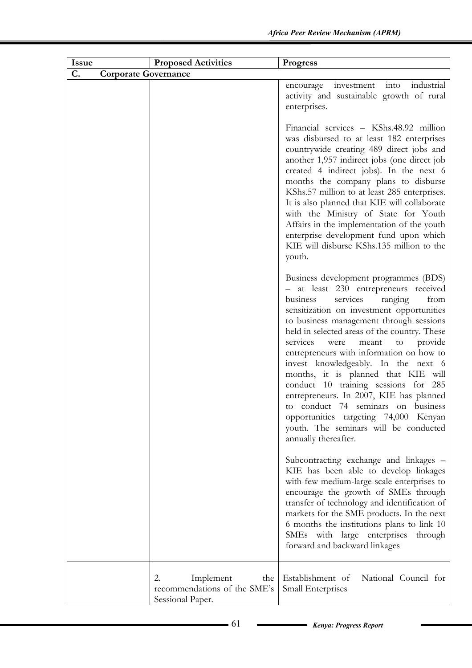| <b>Issue</b> | <b>Proposed Activities</b>                                                 | <b>Progress</b>                                                                                                                                                                                                                                                                                                                                                                                                                                                                                                                                                                                                                                                                     |
|--------------|----------------------------------------------------------------------------|-------------------------------------------------------------------------------------------------------------------------------------------------------------------------------------------------------------------------------------------------------------------------------------------------------------------------------------------------------------------------------------------------------------------------------------------------------------------------------------------------------------------------------------------------------------------------------------------------------------------------------------------------------------------------------------|
| C.           | <b>Corporate Governance</b>                                                |                                                                                                                                                                                                                                                                                                                                                                                                                                                                                                                                                                                                                                                                                     |
|              |                                                                            | industrial<br>investment<br>int <sub>O</sub><br>encourage<br>activity and sustainable growth of rural<br>enterprises.                                                                                                                                                                                                                                                                                                                                                                                                                                                                                                                                                               |
|              |                                                                            | Financial services - KShs.48.92 million<br>was disbursed to at least 182 enterprises<br>countrywide creating 489 direct jobs and<br>another 1,957 indirect jobs (one direct job<br>created 4 indirect jobs). In the next 6<br>months the company plans to disburse<br>KShs.57 million to at least 285 enterprises.<br>It is also planned that KIE will collaborate<br>with the Ministry of State for Youth<br>Affairs in the implementation of the youth<br>enterprise development fund upon which<br>KIE will disburse KShs.135 million to the<br>youth.                                                                                                                           |
|              |                                                                            | Business development programmes (BDS)<br>- at least 230 entrepreneurs received<br>ranging<br>services<br>from<br>business<br>sensitization on investment opportunities<br>to business management through sessions<br>held in selected areas of the country. These<br>services<br>provide<br>meant<br>were<br>to<br>entrepreneurs with information on how to<br>invest knowledgeably. In the next 6<br>months, it is planned that KIE<br>will<br>conduct 10 training sessions for<br>-285<br>entrepreneurs. In 2007, KIE has planned<br>to conduct 74 seminars on business<br>opportunities targeting 74,000 Kenyan<br>youth. The seminars will be conducted<br>annually thereafter. |
|              |                                                                            | Subcontracting exchange and linkages -<br>KIE has been able to develop linkages<br>with few medium-large scale enterprises to<br>encourage the growth of SMEs through<br>transfer of technology and identification of<br>markets for the SME products. In the next<br>6 months the institutions plans to link 10<br>SMEs with large enterprises<br>through<br>forward and backward linkages                                                                                                                                                                                                                                                                                         |
|              | 2.<br>Implement<br>the<br>recommendations of the SME's<br>Sessional Paper. | Establishment of<br>National Council for<br>Small Enterprises                                                                                                                                                                                                                                                                                                                                                                                                                                                                                                                                                                                                                       |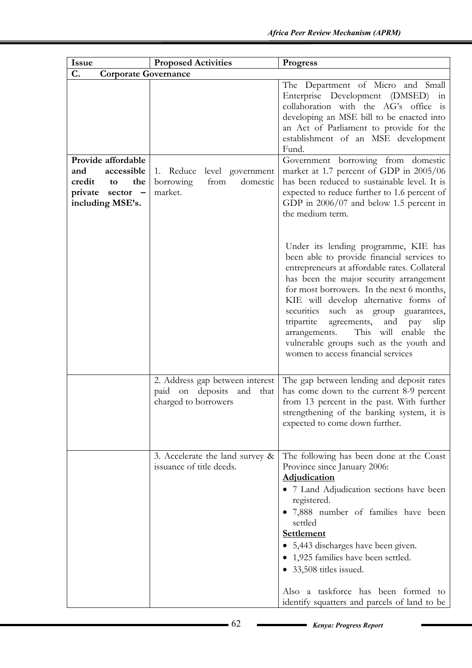| <b>Issue</b>                                                                                                                  | <b>Proposed Activities</b>                                                              | Progress                                                                                                                                                                                                                                                                                                                                                                                                                                                                                                  |
|-------------------------------------------------------------------------------------------------------------------------------|-----------------------------------------------------------------------------------------|-----------------------------------------------------------------------------------------------------------------------------------------------------------------------------------------------------------------------------------------------------------------------------------------------------------------------------------------------------------------------------------------------------------------------------------------------------------------------------------------------------------|
| C.<br><b>Corporate Governance</b>                                                                                             |                                                                                         |                                                                                                                                                                                                                                                                                                                                                                                                                                                                                                           |
| Provide affordable<br>accessible<br>and<br>credit to<br>the<br>private sector<br>$\overline{\phantom{0}}$<br>including MSE's. | 1. Reduce<br>level government<br>domestic<br>borrowing<br>from<br>market.               | The Department of Micro and Small<br>Enterprise Development (DMSED) in<br>collaboration with the AG's office is<br>developing an MSE bill to be enacted into<br>an Act of Parliament to provide for the<br>establishment of an MSE development<br>Fund.<br>Government borrowing from domestic<br>market at 1.7 percent of GDP in 2005/06<br>has been reduced to sustainable level. It is<br>expected to reduce further to 1.6 percent of<br>GDP in $2006/07$ and below 1.5 percent in<br>the medium term. |
|                                                                                                                               |                                                                                         | Under its lending programme, KIE has<br>been able to provide financial services to<br>entrepreneurs at affordable rates. Collateral<br>has been the major security arrangement<br>for most borrowers. In the next 6 months,<br>KIE will develop alternative forms of<br>securities such as group guarantees,<br>tripartite<br>agreements,<br>and<br>slip<br>pay<br>arrangements.<br>This will enable<br>the<br>vulnerable groups such as the youth and<br>women to access financial services              |
|                                                                                                                               | 2. Address gap between interest<br>paid on deposits and<br>that<br>charged to borrowers | The gap between lending and deposit rates<br>has come down to the current 8-9 percent<br>from 13 percent in the past. With further<br>strengthening of the banking system, it is<br>expected to come down further.                                                                                                                                                                                                                                                                                        |
|                                                                                                                               | 3. Accelerate the land survey &<br>issuance of title deeds.                             | The following has been done at the Coast<br>Province since January 2006:<br><b>Adjudication</b><br>• 7 Land Adjudication sections have been<br>registered.<br>• 7,888 number of families have been<br>settled<br><b>Settlement</b><br>• 5,443 discharges have been given.<br>1,925 families have been settled.<br>33,508 titles issued.<br>Also a taskforce has been formed to<br>identify squatters and parcels of land to be                                                                            |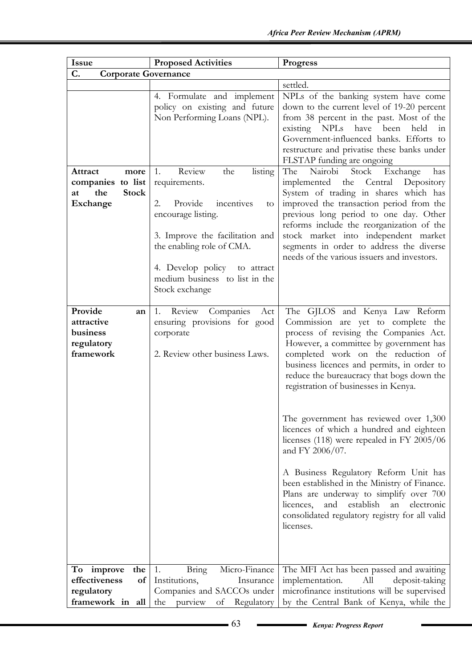| Issue                                                                         | <b>Proposed Activities</b>                                                                                                                                                                                                                                     | <b>Progress</b>                                                                                                                                                                                                                                                                                                                                                                                                                                                                                                                                                                                                                                                                                                                                  |  |
|-------------------------------------------------------------------------------|----------------------------------------------------------------------------------------------------------------------------------------------------------------------------------------------------------------------------------------------------------------|--------------------------------------------------------------------------------------------------------------------------------------------------------------------------------------------------------------------------------------------------------------------------------------------------------------------------------------------------------------------------------------------------------------------------------------------------------------------------------------------------------------------------------------------------------------------------------------------------------------------------------------------------------------------------------------------------------------------------------------------------|--|
| C.<br><b>Corporate Governance</b>                                             |                                                                                                                                                                                                                                                                |                                                                                                                                                                                                                                                                                                                                                                                                                                                                                                                                                                                                                                                                                                                                                  |  |
|                                                                               |                                                                                                                                                                                                                                                                | settled.                                                                                                                                                                                                                                                                                                                                                                                                                                                                                                                                                                                                                                                                                                                                         |  |
|                                                                               | 4. Formulate and implement<br>policy on existing and future<br>Non Performing Loans (NPL).                                                                                                                                                                     | NPLs of the banking system have come<br>down to the current level of 19-20 percent<br>from 38 percent in the past. Most of the<br>have been<br>existing NPLs<br>held<br>in<br>Government-influenced banks. Efforts to<br>restructure and privatise these banks under<br>FLSTAP funding are ongoing                                                                                                                                                                                                                                                                                                                                                                                                                                               |  |
| Attract<br>more<br>companies to list<br><b>Stock</b><br>the<br>at<br>Exchange | Review<br>the<br>1.<br>listing<br>requirements.<br>2.<br>Provide<br>incentives<br>to<br>encourage listing.<br>3. Improve the facilitation and<br>the enabling role of CMA.<br>4. Develop policy to attract<br>medium business to list in the<br>Stock exchange | The<br>Nairobi<br>Stock<br>Exchange<br>has<br>implemented the Central<br>Depository<br>System of trading in shares which has<br>improved the transaction period from the<br>previous long period to one day. Other<br>reforms include the reorganization of the<br>stock market into independent market<br>segments in order to address the diverse<br>needs of the various issuers and investors.                                                                                                                                                                                                                                                                                                                                               |  |
| Provide<br>an<br>attractive<br>business<br>regulatory<br>framework            | Review<br>Companies<br>1.<br>Act<br>ensuring provisions for good<br>corporate<br>2. Review other business Laws.                                                                                                                                                | The GJLOS and Kenya Law Reform<br>Commission are yet to complete the<br>process of revising the Companies Act.<br>However, a committee by government has<br>completed work on the reduction of<br>business licences and permits, in order to<br>reduce the bureaucracy that bogs down the<br>registration of businesses in Kenya.<br>The government has reviewed over 1,300<br>licences of which a hundred and eighteen<br>licenses (118) were repealed in FY 2005/06<br>and FY 2006/07.<br>A Business Regulatory Reform Unit has<br>been established in the Ministry of Finance.<br>Plans are underway to simplify over 700<br>establish<br>licences,<br>and<br>an<br>electronic<br>consolidated regulatory registry for all valid<br>licenses. |  |
| To improve<br>the                                                             | Micro-Finance<br>1.<br><b>Bring</b>                                                                                                                                                                                                                            | The MFI Act has been passed and awaiting                                                                                                                                                                                                                                                                                                                                                                                                                                                                                                                                                                                                                                                                                                         |  |
| effectiveness<br>of<br>regulatory                                             | Institutions,<br>Insurance<br>Companies and SACCOs under                                                                                                                                                                                                       | All<br>deposit-taking<br>implementation.<br>microfinance institutions will be supervised                                                                                                                                                                                                                                                                                                                                                                                                                                                                                                                                                                                                                                                         |  |
| framework in<br>all                                                           | the<br>purview<br>of<br>Regulatory                                                                                                                                                                                                                             | by the Central Bank of Kenya, while the                                                                                                                                                                                                                                                                                                                                                                                                                                                                                                                                                                                                                                                                                                          |  |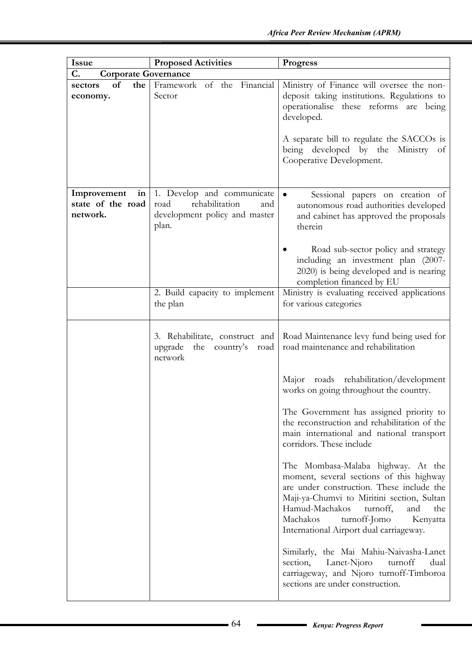| <b>Issue</b>                                       | <b>Proposed Activities</b>                                                                            | Progress                                                                                                                                                                                                                                                                                                 |
|----------------------------------------------------|-------------------------------------------------------------------------------------------------------|----------------------------------------------------------------------------------------------------------------------------------------------------------------------------------------------------------------------------------------------------------------------------------------------------------|
| C.<br><b>Corporate Governance</b>                  |                                                                                                       |                                                                                                                                                                                                                                                                                                          |
| of<br>the<br>sectors<br>economy.                   | Framework of the Financial<br>Sector                                                                  | Ministry of Finance will oversee the non-<br>deposit taking institutions. Regulations to<br>operationalise these reforms are being<br>developed.<br>A separate bill to regulate the SACCOs is<br>being developed by the Ministry of                                                                      |
|                                                    |                                                                                                       | Cooperative Development.                                                                                                                                                                                                                                                                                 |
| Improvement<br>in<br>state of the road<br>network. | 1. Develop and communicate<br>rehabilitation<br>road<br>and<br>development policy and master<br>plan. | Sessional papers on creation of<br>$\bullet$<br>autonomous road authorities developed<br>and cabinet has approved the proposals<br>therein                                                                                                                                                               |
|                                                    |                                                                                                       | Road sub-sector policy and strategy<br>including an investment plan (2007-<br>2020) is being developed and is nearing<br>completion financed by EU                                                                                                                                                       |
|                                                    | 2. Build capacity to implement<br>the plan                                                            | Ministry is evaluating received applications<br>for various categories                                                                                                                                                                                                                                   |
|                                                    | 3. Rehabilitate, construct and<br>upgrade the country's<br>road<br>network                            | Road Maintenance levy fund being used for<br>road maintenance and rehabilitation                                                                                                                                                                                                                         |
|                                                    |                                                                                                       | Major roads rehabilitation/development<br>works on going throughout the country.                                                                                                                                                                                                                         |
|                                                    |                                                                                                       | The Government has assigned priority to<br>the reconstruction and rehabilitation of the<br>main international and national transport<br>corridors. These include                                                                                                                                         |
|                                                    |                                                                                                       | The Mombasa-Malaba highway. At the<br>moment, several sections of this highway<br>are under construction. These include the<br>Maji-ya-Chumvi to Miritini section, Sultan<br>Hamud-Machakos<br>turnoff,<br>and<br>the<br>Machakos<br>turnoff-Jomo<br>Kenyatta<br>International Airport dual carriageway. |
|                                                    |                                                                                                       | Similarly, the Mai Mahiu-Naivasha-Lanet<br>section,<br>Lanet-Njoro<br>turnoff<br>dual<br>carriageway, and Njoro turnoff-Timboroa<br>sections are under construction.                                                                                                                                     |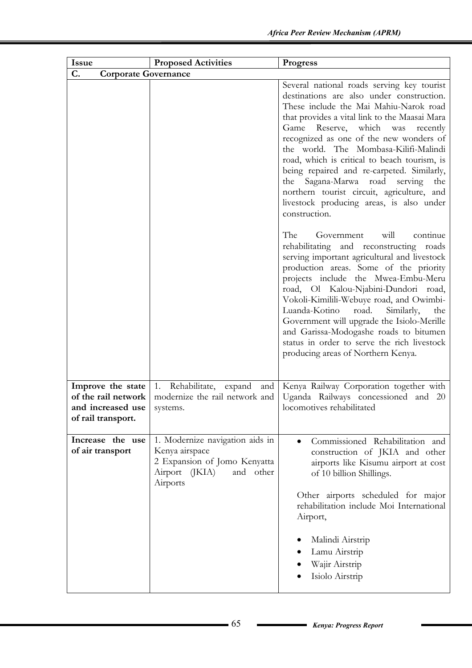| <b>Issue</b>                                                                        | <b>Proposed Activities</b>                                                                                                   | <b>Progress</b>                                                                                                                                                                                                                                                                                                                                                                                                                                                                                                                                             |
|-------------------------------------------------------------------------------------|------------------------------------------------------------------------------------------------------------------------------|-------------------------------------------------------------------------------------------------------------------------------------------------------------------------------------------------------------------------------------------------------------------------------------------------------------------------------------------------------------------------------------------------------------------------------------------------------------------------------------------------------------------------------------------------------------|
| C.<br><b>Corporate Governance</b>                                                   |                                                                                                                              |                                                                                                                                                                                                                                                                                                                                                                                                                                                                                                                                                             |
|                                                                                     |                                                                                                                              | Several national roads serving key tourist<br>destinations are also under construction.<br>These include the Mai Mahiu-Narok road<br>that provides a vital link to the Maasai Mara<br>Game Reserve, which was recently<br>recognized as one of the new wonders of<br>the world. The Mombasa-Kilifi-Malindi<br>road, which is critical to beach tourism, is<br>being repaired and re-carpeted. Similarly,<br>the Sagana-Marwa road serving<br>the<br>northern tourist circuit, agriculture, and<br>livestock producing areas, is also under<br>construction. |
|                                                                                     |                                                                                                                              | The<br>will<br>continue<br>Government<br>rehabilitating and reconstructing<br>roads<br>serving important agricultural and livestock<br>production areas. Some of the priority<br>projects include the Mwea-Embu-Meru<br>road, Ol Kalou-Njabini-Dundori road,<br>Vokoli-Kimilili-Webuye road, and Owimbi-<br>Luanda-Kotino<br>road.<br>Similarly,<br>the<br>Government will upgrade the Isiolo-Merille<br>and Garissa-Modogashe roads to bitumen<br>status in order to serve the rich livestock<br>producing areas of Northern Kenya.                        |
| Improve the state<br>of the rail network<br>and increased use<br>of rail transport. | 1. Rehabilitate, expand and<br>modernize the rail network and<br>systems.                                                    | Kenya Railway Corporation together with<br>Uganda Railways concessioned and 20<br>locomotives rehabilitated                                                                                                                                                                                                                                                                                                                                                                                                                                                 |
| Increase the use<br>of air transport                                                | 1. Modernize navigation aids in<br>Kenya airspace<br>2 Expansion of Jomo Kenyatta<br>Airport (JKIA)<br>and other<br>Airports | Commissioned Rehabilitation and<br>$\bullet$<br>construction of JKIA and other<br>airports like Kisumu airport at cost<br>of 10 billion Shillings.<br>Other airports scheduled for major<br>rehabilitation include Moi International<br>Airport,<br>Malindi Airstrip<br>Lamu Airstrip<br>Wajir Airstrip<br>Isiolo Airstrip                                                                                                                                                                                                                                  |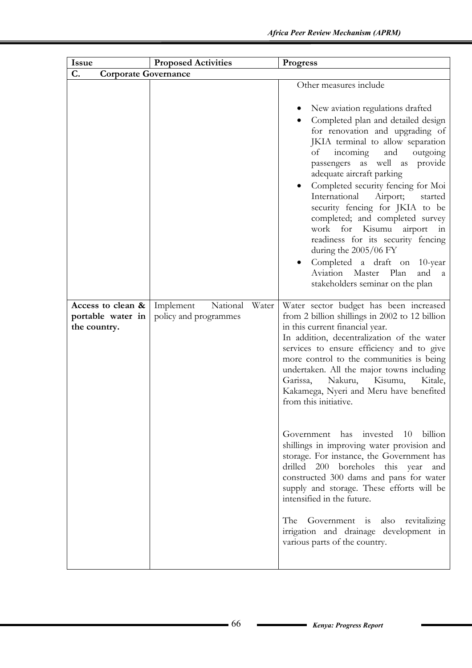| <b>Issue</b>                                           | <b>Proposed Activities</b>                     | <b>Progress</b>                                                                                                                                                                                                                                                                                                                                                                                                                                                                                                                                                                                                                                                                                                                                                                                                                                           |
|--------------------------------------------------------|------------------------------------------------|-----------------------------------------------------------------------------------------------------------------------------------------------------------------------------------------------------------------------------------------------------------------------------------------------------------------------------------------------------------------------------------------------------------------------------------------------------------------------------------------------------------------------------------------------------------------------------------------------------------------------------------------------------------------------------------------------------------------------------------------------------------------------------------------------------------------------------------------------------------|
| C.<br><b>Corporate Governance</b>                      |                                                |                                                                                                                                                                                                                                                                                                                                                                                                                                                                                                                                                                                                                                                                                                                                                                                                                                                           |
|                                                        |                                                | Other measures include<br>New aviation regulations drafted<br>Completed plan and detailed design<br>for renovation and upgrading of<br>JKIA terminal to allow separation<br>and<br>of<br>incoming<br>outgoing<br>passengers as well as provide<br>adequate aircraft parking<br>Completed security fencing for Moi<br>International<br>Airport;<br>started<br>security fencing for JKIA to be<br>completed; and completed survey<br>work for Kisumu<br>airport<br>in<br>readiness for its security fencing<br>during the 2005/06 FY<br>Completed a draft on 10-year<br>Plan<br>Aviation<br>Master<br>and<br>$\mathbf{a}$<br>stakeholders seminar on the plan                                                                                                                                                                                               |
| Access to clean &<br>portable water in<br>the country. | Implement<br>National<br>policy and programmes | Water<br>Water sector budget has been increased<br>from 2 billion shillings in 2002 to 12 billion<br>in this current financial year.<br>In addition, decentralization of the water<br>services to ensure efficiency and to give<br>more control to the communities is being<br>undertaken. All the major towns including<br>Garissa,<br>Nakuru,<br>Kisumu,<br>Kitale,<br>Kakamega, Nyeri and Meru have benefited<br>from this initiative.<br>Government has invested 10 billion<br>shillings in improving water provision and<br>storage. For instance, the Government has<br>drilled 200 boreholes this year and<br>constructed 300 dams and pans for water<br>supply and storage. These efforts will be<br>intensified in the future.<br>The Government is also revitalizing<br>irrigation and drainage development in<br>various parts of the country. |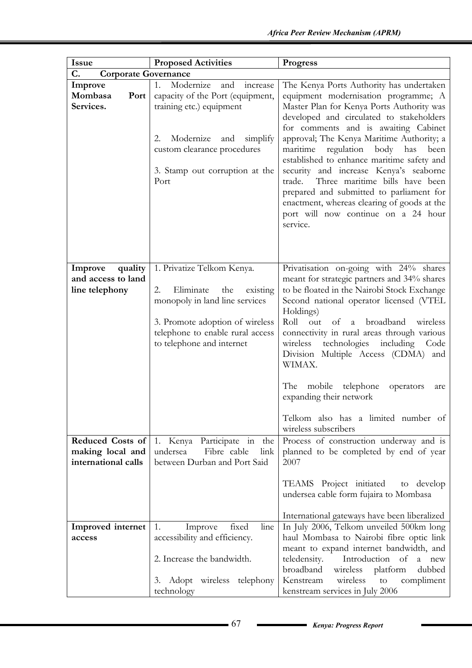| <b>Issue</b>                                                | <b>Proposed Activities</b>                                                                                                                                                                                     | <b>Progress</b>                                                                                                                                                                                                                                                                                                                                                                                                                                                                                                                                                                                |
|-------------------------------------------------------------|----------------------------------------------------------------------------------------------------------------------------------------------------------------------------------------------------------------|------------------------------------------------------------------------------------------------------------------------------------------------------------------------------------------------------------------------------------------------------------------------------------------------------------------------------------------------------------------------------------------------------------------------------------------------------------------------------------------------------------------------------------------------------------------------------------------------|
| C.<br><b>Corporate Governance</b>                           |                                                                                                                                                                                                                |                                                                                                                                                                                                                                                                                                                                                                                                                                                                                                                                                                                                |
| Improve<br>Mombasa<br>Port<br>Services.                     | Modernize<br>1.<br>and<br>increase<br>capacity of the Port (equipment,<br>training etc.) equipment<br>Modernize<br>and simplify<br>2.<br>custom clearance procedures<br>3. Stamp out corruption at the<br>Port | The Kenya Ports Authority has undertaken<br>equipment modernisation programme; A<br>Master Plan for Kenya Ports Authority was<br>developed and circulated to stakeholders<br>for comments and is awaiting Cabinet<br>approval; The Kenya Maritime Authority; a<br>regulation body<br>maritime<br>has<br>been<br>established to enhance maritime safety and<br>security and increase Kenya's seaborne<br>Three maritime bills have been<br>trade.<br>prepared and submitted to parliament for<br>enactment, whereas clearing of goods at the<br>port will now continue on a 24 hour<br>service. |
| quality<br>Improve<br>and access to land<br>line telephony  | 1. Privatize Telkom Kenya.<br>Eliminate<br>2.<br>the<br>existing<br>monopoly in land line services<br>3. Promote adoption of wireless<br>telephone to enable rural access<br>to telephone and internet         | Privatisation on-going with 24% shares<br>meant for strategic partners and 34% shares<br>to be floated in the Nairobi Stock Exchange<br>Second national operator licensed (VTEL<br>Holdings)<br>Roll<br>broadband<br>of<br>wireless<br>out<br>$\mathbf{a}$<br>connectivity in rural areas through various<br>wireless<br>technologies including Code<br>Division Multiple Access (CDMA) and<br>WIMAX.<br>The<br>mobile telephone<br>operators<br>are<br>expanding their network<br>Telkom also has a limited number of                                                                         |
| Reduced Costs of<br>making local and<br>international calls | 1. Kenya Participate in<br>the<br>Fibre cable<br>undersea<br>link<br>between Durban and Port Said                                                                                                              | wireless subscribers<br>Process of construction underway and is<br>planned to be completed by end of year<br>2007                                                                                                                                                                                                                                                                                                                                                                                                                                                                              |
|                                                             |                                                                                                                                                                                                                | TEAMS Project initiated<br>to develop<br>undersea cable form fujaira to Mombasa<br>International gateways have been liberalized                                                                                                                                                                                                                                                                                                                                                                                                                                                                |
| <b>Improved</b> internet                                    | fixed<br>line<br>1.<br>Improve                                                                                                                                                                                 | In July 2006, Telkom unveiled 500km long                                                                                                                                                                                                                                                                                                                                                                                                                                                                                                                                                       |
| access                                                      | accessibility and efficiency.                                                                                                                                                                                  | haul Mombasa to Nairobi fibre optic link                                                                                                                                                                                                                                                                                                                                                                                                                                                                                                                                                       |
|                                                             | 2. Increase the bandwidth.<br>3. Adopt wireless telephony<br>technology                                                                                                                                        | meant to expand internet bandwidth, and<br>Introduction of<br>teledensity.<br>a new<br>broadband<br>platform<br>wireless<br>dubbed<br>Kenstream<br>wireless<br>compliment<br>to<br>kenstream services in July 2006                                                                                                                                                                                                                                                                                                                                                                             |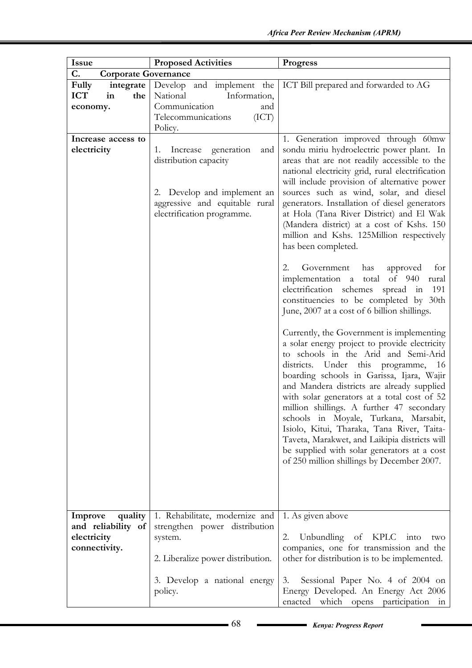| <b>Issue</b>                                                             | <b>Proposed Activities</b>                                                                                                                                  | <b>Progress</b>                                                                                                                                                                                                                                                                                                                                                                                                                                                                                                                                                                                                                                                                                                                                                                                                                                                                                                                                                                                                                                                                                                                                                                                                                                                                                                                                |
|--------------------------------------------------------------------------|-------------------------------------------------------------------------------------------------------------------------------------------------------------|------------------------------------------------------------------------------------------------------------------------------------------------------------------------------------------------------------------------------------------------------------------------------------------------------------------------------------------------------------------------------------------------------------------------------------------------------------------------------------------------------------------------------------------------------------------------------------------------------------------------------------------------------------------------------------------------------------------------------------------------------------------------------------------------------------------------------------------------------------------------------------------------------------------------------------------------------------------------------------------------------------------------------------------------------------------------------------------------------------------------------------------------------------------------------------------------------------------------------------------------------------------------------------------------------------------------------------------------|
| C.<br><b>Corporate Governance</b>                                        |                                                                                                                                                             |                                                                                                                                                                                                                                                                                                                                                                                                                                                                                                                                                                                                                                                                                                                                                                                                                                                                                                                                                                                                                                                                                                                                                                                                                                                                                                                                                |
| Fully<br>integrate<br><b>ICT</b><br>the<br>in<br>economy.                | Develop and implement the<br>National<br>Information,<br>Communication<br>and<br>(ICT)<br>Telecommunications<br>Policy.                                     | ICT Bill prepared and forwarded to AG                                                                                                                                                                                                                                                                                                                                                                                                                                                                                                                                                                                                                                                                                                                                                                                                                                                                                                                                                                                                                                                                                                                                                                                                                                                                                                          |
| Increase access to<br>electricity                                        | generation<br>Increase<br>and<br>1.<br>distribution capacity<br>2. Develop and implement an<br>aggressive and equitable rural<br>electrification programme. | 1. Generation improved through 60mw<br>sondu miriu hydroelectric power plant. In<br>areas that are not readily accessible to the<br>national electricity grid, rural electrification<br>will include provision of alternative power<br>sources such as wind, solar, and diesel<br>generators. Installation of diesel generators<br>at Hola (Tana River District) and El Wak<br>(Mandera district) at a cost of Kshs. 150<br>million and Kshs. 125Million respectively<br>has been completed.<br>2.<br>Government has<br>approved<br>for<br>implementation a total<br>of 940<br>rural<br>electrification schemes<br>191<br>spread<br>in<br>constituencies to be completed by 30th<br>June, 2007 at a cost of 6 billion shillings.<br>Currently, the Government is implementing<br>a solar energy project to provide electricity<br>to schools in the Arid and Semi-Arid<br>districts. Under this programme,<br>- 16<br>boarding schools in Garissa, Ijara, Wajir<br>and Mandera districts are already supplied<br>with solar generators at a total cost of 52<br>million shillings. A further 47 secondary<br>schools in Moyale, Turkana, Marsabit,<br>Isiolo, Kitui, Tharaka, Tana River, Taita-<br>Taveta, Marakwet, and Laikipia districts will<br>be supplied with solar generators at a cost<br>of 250 million shillings by December 2007. |
| quality<br>Improve<br>and reliability of<br>electricity<br>connectivity. | 1. Rehabilitate, modernize and<br>strengthen power distribution<br>system.<br>2. Liberalize power distribution.                                             | 1. As given above<br>Unbundling of KPLC<br>into<br>2.<br>two<br>companies, one for transmission and the<br>other for distribution is to be implemented.                                                                                                                                                                                                                                                                                                                                                                                                                                                                                                                                                                                                                                                                                                                                                                                                                                                                                                                                                                                                                                                                                                                                                                                        |
|                                                                          | 3. Develop a national energy<br>policy.                                                                                                                     | Sessional Paper No. 4 of 2004 on<br>3.<br>Energy Developed. An Energy Act 2006<br>which<br>enacted<br>opens<br>participation<br>111                                                                                                                                                                                                                                                                                                                                                                                                                                                                                                                                                                                                                                                                                                                                                                                                                                                                                                                                                                                                                                                                                                                                                                                                            |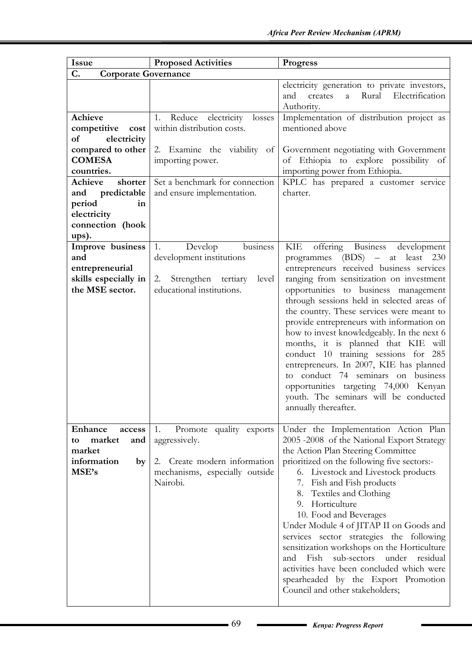| <b>Issue</b>                                                                                                                                                                                           | <b>Proposed Activities</b>                                                                                                                                                          | <b>Progress</b>                                                                                                                                                                                                                                                                                                                                                                                                                                                                                                                                                                                                                                                         |
|--------------------------------------------------------------------------------------------------------------------------------------------------------------------------------------------------------|-------------------------------------------------------------------------------------------------------------------------------------------------------------------------------------|-------------------------------------------------------------------------------------------------------------------------------------------------------------------------------------------------------------------------------------------------------------------------------------------------------------------------------------------------------------------------------------------------------------------------------------------------------------------------------------------------------------------------------------------------------------------------------------------------------------------------------------------------------------------------|
| C.<br><b>Corporate Governance</b>                                                                                                                                                                      |                                                                                                                                                                                     |                                                                                                                                                                                                                                                                                                                                                                                                                                                                                                                                                                                                                                                                         |
|                                                                                                                                                                                                        |                                                                                                                                                                                     | electricity generation to private investors,<br>Rural Electrification<br>and<br>creates<br>$\overline{a}$<br>Authority.                                                                                                                                                                                                                                                                                                                                                                                                                                                                                                                                                 |
| Achieve<br>competitive cost<br>$\sigma$<br>electricity<br>compared to other<br><b>COMESA</b><br>countries.<br>shorter<br>Achieve<br>and predictable<br>period<br>in<br>electricity<br>connection (hook | Reduce electricity<br>losses<br>1.<br>within distribution costs.<br>2. Examine the viability of<br>importing power.<br>Set a benchmark for connection<br>and ensure implementation. | Implementation of distribution project as<br>mentioned above<br>Government negotiating with Government<br>of Ethiopia to explore possibility of<br>importing power from Ethiopia.<br>KPLC has prepared a customer service<br>charter.                                                                                                                                                                                                                                                                                                                                                                                                                                   |
| ups).<br>Improve business<br>and<br>entrepreneurial<br>skills especially in<br>the MSE sector.                                                                                                         | business<br>1.<br>Develop<br>development institutions<br>Strengthen tertiary<br>2.<br>level<br>educational institutions.                                                            | KIE<br>offering Business development<br>programmes (BDS) – at least 230<br>entrepreneurs received business services<br>ranging from sensitization on investment<br>opportunities to business management<br>through sessions held in selected areas of<br>the country. These services were meant to<br>provide entrepreneurs with information on<br>how to invest knowledgeably. In the next 6<br>months, it is planned that KIE will<br>conduct 10 training sessions for 285<br>entrepreneurs. In 2007, KIE has planned<br>to conduct 74 seminars on business<br>opportunities targeting 74,000 Kenyan<br>youth. The seminars will be conducted<br>annually thereafter. |
| Enhance<br>access<br>market<br>and<br>to<br>market<br>information<br>by<br>MSE's                                                                                                                       | 1.<br>Promote quality exports<br>aggressively.<br>2. Create modern information<br>mechanisms, especially outside<br>Nairobi.                                                        | Under the Implementation Action Plan<br>2005 -2008 of the National Export Strategy<br>the Action Plan Steering Committee<br>prioritized on the following five sectors:-<br>6. Livestock and Livestock products<br>7. Fish and Fish products<br>8. Textiles and Clothing<br>9. Horticulture<br>10. Food and Beverages<br>Under Module 4 of JITAP II on Goods and<br>services sector strategies the following<br>sensitization workshops on the Horticulture<br>Fish sub-sectors under residual<br>and<br>activities have been concluded which were<br>spearheaded by the Export Promotion<br>Council and other stakeholders;                                             |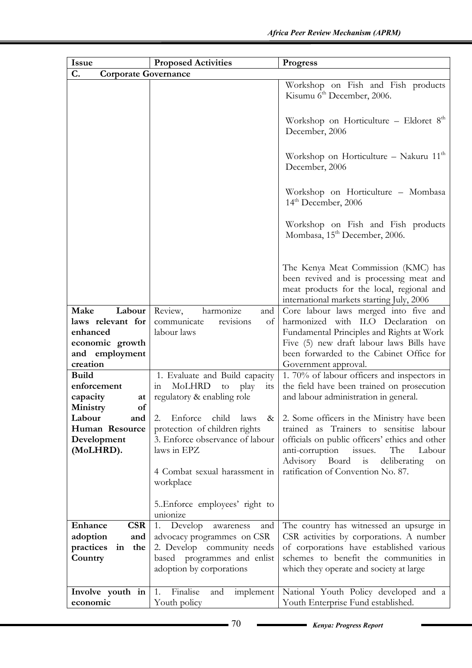| <b>Issue</b>                      | <b>Proposed Activities</b>                              | <b>Progress</b>                                                                                                                                                          |  |
|-----------------------------------|---------------------------------------------------------|--------------------------------------------------------------------------------------------------------------------------------------------------------------------------|--|
| C.<br><b>Corporate Governance</b> |                                                         |                                                                                                                                                                          |  |
|                                   |                                                         | Workshop on Fish and Fish products<br>Kisumu 6 <sup>th</sup> December, 2006.                                                                                             |  |
|                                   |                                                         | Workshop on Horticulture - Eldoret $8th$<br>December, 2006                                                                                                               |  |
|                                   |                                                         | Workshop on Horticulture - Nakuru $11th$<br>December, 2006                                                                                                               |  |
|                                   |                                                         | Workshop on Horticulture - Mombasa<br>$14th$ December, 2006                                                                                                              |  |
|                                   |                                                         | Workshop on Fish and Fish products<br>Mombasa, 15 <sup>th</sup> December, 2006.                                                                                          |  |
|                                   |                                                         | The Kenya Meat Commission (KMC) has<br>been revived and is processing meat and<br>meat products for the local, regional and<br>international markets starting July, 2006 |  |
| Labour<br>Make                    | Review,<br>harmonize<br>and                             | Core labour laws merged into five and                                                                                                                                    |  |
| laws relevant for                 | communicate<br>revisions<br>of                          | harmonized with ILO Declaration on                                                                                                                                       |  |
| enhanced                          | labour laws                                             | Fundamental Principles and Rights at Work                                                                                                                                |  |
| economic growth                   |                                                         | Five (5) new draft labour laws Bills have                                                                                                                                |  |
| and employment                    |                                                         | been forwarded to the Cabinet Office for                                                                                                                                 |  |
| creation                          |                                                         | Government approval.                                                                                                                                                     |  |
| <b>Build</b><br>enforcement       | 1. Evaluate and Build capacity<br>MoLHRD                | 1. 70% of labour officers and inspectors in<br>the field have been trained on prosecution                                                                                |  |
| capacity<br>at                    | play<br>to<br>its<br>111<br>regulatory & enabling role  | and labour administration in general.                                                                                                                                    |  |
| of<br>Ministry                    |                                                         |                                                                                                                                                                          |  |
| Labour<br>and                     | Enforce<br>2.<br>child<br>laws<br>$\&$                  | 2. Some officers in the Ministry have been                                                                                                                               |  |
| Human Resource                    | protection of children rights                           | trained as Trainers to sensitise labour                                                                                                                                  |  |
| Development                       | 3. Enforce observance of labour                         | officials on public officers' ethics and other                                                                                                                           |  |
| (MoLHRD).                         | laws in EPZ                                             | anti-corruption<br>issues.<br>The<br>Labour                                                                                                                              |  |
|                                   | 4 Combat sexual harassment in<br>workplace              | Advisory<br>Board<br>deliberating<br>is<br>on<br>ratification of Convention No. 87.                                                                                      |  |
|                                   | 5. Enforce employees' right to<br>unionize              |                                                                                                                                                                          |  |
| <b>CSR</b><br>Enhance             | Develop<br>1.<br>and<br>awareness                       | The country has witnessed an upsurge in                                                                                                                                  |  |
| adoption<br>and                   | advocacy programmes on CSR                              | CSR activities by corporations. A number                                                                                                                                 |  |
| practices<br>the<br>in            | 2. Develop community needs                              | of corporations have established various                                                                                                                                 |  |
| Country                           | based programmes and enlist<br>adoption by corporations | schemes to benefit the communities in<br>which they operate and society at large                                                                                         |  |
| Involve youth in                  | Finalise<br>implement<br>1.<br>and                      | National Youth Policy developed and a                                                                                                                                    |  |
| economic                          | Youth policy                                            | Youth Enterprise Fund established.                                                                                                                                       |  |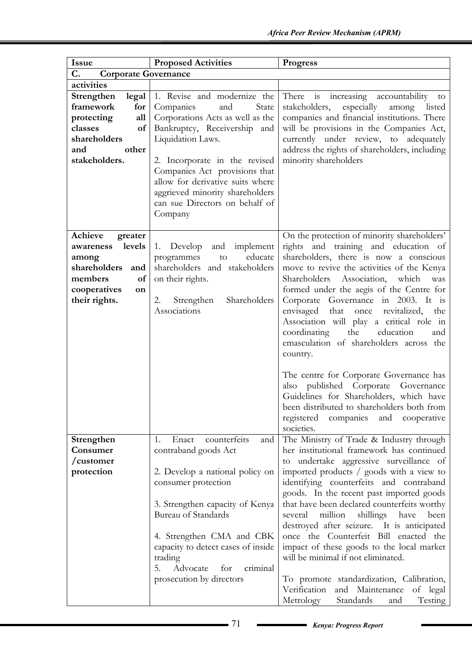| <b>Issue</b>                                                                                                                      | <b>Proposed Activities</b>                                                                                                                                                                                                                                                                                                              | <b>Progress</b>                                                                                                                                                                                                                                                                                                                                                                                                                                                                                                                                                                                                                                                                                                                           |
|-----------------------------------------------------------------------------------------------------------------------------------|-----------------------------------------------------------------------------------------------------------------------------------------------------------------------------------------------------------------------------------------------------------------------------------------------------------------------------------------|-------------------------------------------------------------------------------------------------------------------------------------------------------------------------------------------------------------------------------------------------------------------------------------------------------------------------------------------------------------------------------------------------------------------------------------------------------------------------------------------------------------------------------------------------------------------------------------------------------------------------------------------------------------------------------------------------------------------------------------------|
| C.<br><b>Corporate Governance</b>                                                                                                 |                                                                                                                                                                                                                                                                                                                                         |                                                                                                                                                                                                                                                                                                                                                                                                                                                                                                                                                                                                                                                                                                                                           |
| activities                                                                                                                        |                                                                                                                                                                                                                                                                                                                                         |                                                                                                                                                                                                                                                                                                                                                                                                                                                                                                                                                                                                                                                                                                                                           |
| Strengthen<br>legal<br>framework<br>for<br>protecting<br>all<br>classes<br>of<br>shareholders<br>other<br>and<br>stakeholders.    | 1. Revise and modernize the<br>Companies<br>and<br>State<br>Corporations Acts as well as the<br>Bankruptcy, Receivership and<br>Liquidation Laws.<br>2. Incorporate in the revised<br>Companies Act provisions that<br>allow for derivative suits where<br>aggrieved minority shareholders<br>can sue Directors on behalf of<br>Company | There is increasing accountability to<br>stakeholders,<br>especially<br>among<br>listed<br>companies and financial institutions. There<br>will be provisions in the Companies Act,<br>currently under review, to adequately<br>address the rights of shareholders, including<br>minority shareholders                                                                                                                                                                                                                                                                                                                                                                                                                                     |
| Achieve<br>greater<br>levels<br>awareness<br>among<br>shareholders<br>and<br>of<br>members<br>cooperatives<br>on<br>their rights. | implement<br>1. Develop<br>and<br>educate<br>programmes<br>to<br>shareholders and stakeholders<br>on their rights.<br>2.<br>Shareholders<br>Strengthen<br>Associations                                                                                                                                                                  | On the protection of minority shareholders'<br>rights and training and education of<br>shareholders, there is now a conscious<br>move to revive the activities of the Kenya<br>Association,<br>which<br>Shareholders<br>was<br>formed under the aegis of the Centre for<br>Corporate Governance in 2003. It is<br>that once<br>revitalized,<br>envisaged<br>the<br>Association will play a critical role in<br>coordinating<br>the<br>education<br>and<br>emasculation of shareholders across the<br>country.<br>The centre for Corporate Governance has<br>also published Corporate Governance<br>Guidelines for Shareholders, which have<br>been distributed to shareholders both from<br>registered<br>companies<br>cooperative<br>and |
| Strengthen<br>Consumer<br>/customer<br>protection                                                                                 | counterfeits<br>Enact<br>1.<br>and<br>contraband goods Act<br>2. Develop a national policy on<br>consumer protection<br>3. Strengthen capacity of Kenya<br><b>Bureau of Standards</b><br>4. Strengthen CMA and CBK<br>capacity to detect cases of inside<br>trading<br>Advocate<br>5.<br>for<br>criminal<br>prosecution by directors    | societies.<br>The Ministry of Trade & Industry through<br>her institutional framework has continued<br>to undertake aggressive surveillance of<br>imported products / goods with a view to<br>identifying counterfeits and contraband<br>goods. In the recent past imported goods<br>that have been declared counterfeits worthy<br>shillings<br>million<br>have<br>several<br>been<br>destroyed after seizure. It is anticipated<br>once the Counterfeit Bill enacted the<br>impact of these goods to the local market<br>will be minimal if not eliminated.<br>To promote standardization, Calibration,<br>Verification and Maintenance of legal<br>Metrology<br>Standards<br>Testing<br>and                                            |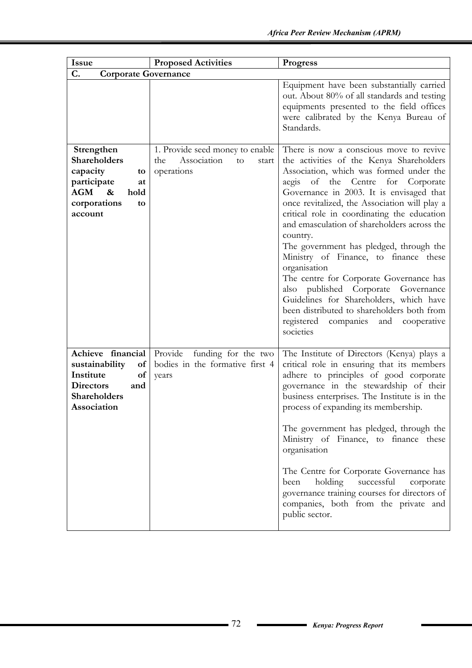| <b>Issue</b>                                                                                                                     | <b>Proposed Activities</b>                                                         | <b>Progress</b>                                                                                                                                                                                                                                                                                                                                                                                                                                                                                                                                                                                                                                                                                                      |
|----------------------------------------------------------------------------------------------------------------------------------|------------------------------------------------------------------------------------|----------------------------------------------------------------------------------------------------------------------------------------------------------------------------------------------------------------------------------------------------------------------------------------------------------------------------------------------------------------------------------------------------------------------------------------------------------------------------------------------------------------------------------------------------------------------------------------------------------------------------------------------------------------------------------------------------------------------|
| C.<br><b>Corporate Governance</b>                                                                                                |                                                                                    |                                                                                                                                                                                                                                                                                                                                                                                                                                                                                                                                                                                                                                                                                                                      |
|                                                                                                                                  |                                                                                    | Equipment have been substantially carried<br>out. About 80% of all standards and testing<br>equipments presented to the field offices<br>were calibrated by the Kenya Bureau of<br>Standards.                                                                                                                                                                                                                                                                                                                                                                                                                                                                                                                        |
| Strengthen<br><b>Shareholders</b><br>capacity<br>to<br>participate<br>at<br>AGM<br>$\&$<br>hold<br>corporations<br>to<br>account | 1. Provide seed money to enable<br>Association<br>the<br>to<br>start<br>operations | There is now a conscious move to revive<br>the activities of the Kenya Shareholders<br>Association, which was formed under the<br>of the Centre<br>for Corporate<br>aegis<br>Governance in 2003. It is envisaged that<br>once revitalized, the Association will play a<br>critical role in coordinating the education<br>and emasculation of shareholders across the<br>country.<br>The government has pledged, through the<br>Ministry of Finance, to finance these<br>organisation<br>The centre for Corporate Governance has<br>also published Corporate Governance<br>Guidelines for Shareholders, which have<br>been distributed to shareholders both from<br>registered companies and cooperative<br>societies |
| Achieve financial<br>sustainability<br>of<br>Institute<br>of<br><b>Directors</b><br>and<br>Shareholders<br>Association           | Provide<br>funding for the two<br>bodies in the formative first 4<br>years         | The Institute of Directors (Kenya) plays a<br>critical role in ensuring that its members<br>adhere to principles of good corporate<br>governance in the stewardship of their<br>business enterprises. The Institute is in the<br>process of expanding its membership.<br>The government has pledged, through the<br>Ministry of Finance, to finance these<br>organisation<br>The Centre for Corporate Governance has<br>holding<br>successful<br>been<br>corporate<br>governance training courses for directors of<br>companies, both from the private and<br>public sector.                                                                                                                                         |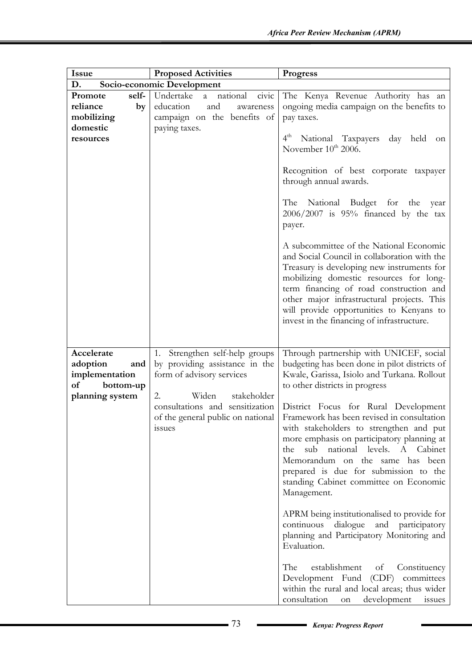| <b>Issue</b>                                                              | <b>Proposed Activities</b>                                                                                           | Progress                                                                                                                                                                                                                                                                                                                                                            |
|---------------------------------------------------------------------------|----------------------------------------------------------------------------------------------------------------------|---------------------------------------------------------------------------------------------------------------------------------------------------------------------------------------------------------------------------------------------------------------------------------------------------------------------------------------------------------------------|
| D.                                                                        | Socio-economic Development                                                                                           |                                                                                                                                                                                                                                                                                                                                                                     |
| self-<br>Promote<br>reliance<br>by<br>mobilizing<br>domestic<br>resources | national<br>Undertake<br>civic<br>a<br>education<br>and<br>awareness<br>campaign on the benefits of<br>paying taxes. | The Kenya Revenue Authority has an<br>ongoing media campaign on the benefits to<br>pay taxes.<br>$4^{\text{th}}$<br>National Taxpayers<br>day held<br>on                                                                                                                                                                                                            |
|                                                                           |                                                                                                                      | November 10 <sup>th</sup> 2006.<br>Recognition of best corporate taxpayer<br>through annual awards.<br>The National Budget for the year<br>$2006/2007$ is 95% financed by the tax<br>payer.                                                                                                                                                                         |
|                                                                           |                                                                                                                      | A subcommittee of the National Economic<br>and Social Council in collaboration with the<br>Treasury is developing new instruments for<br>mobilizing domestic resources for long-<br>term financing of road construction and<br>other major infrastructural projects. This<br>will provide opportunities to Kenyans to<br>invest in the financing of infrastructure. |
| Accelerate                                                                | 1. Strengthen self-help groups                                                                                       | Through partnership with UNICEF, social                                                                                                                                                                                                                                                                                                                             |
| adoption<br>and                                                           | by providing assistance in the                                                                                       | budgeting has been done in pilot districts of                                                                                                                                                                                                                                                                                                                       |
| implementation<br>of<br>bottom-up                                         | form of advisory services                                                                                            | Kwale, Garissa, Isiolo and Turkana. Rollout<br>to other districts in progress                                                                                                                                                                                                                                                                                       |
| planning system                                                           | Widen<br>stakeholder<br>2.                                                                                           |                                                                                                                                                                                                                                                                                                                                                                     |
|                                                                           | consultations and sensitization<br>of the general public on national<br><i>ssues</i>                                 | District Focus for Rural Development<br>Framework has been revised in consultation<br>with stakeholders to strengthen and put<br>more emphasis on participatory planning at<br>sub national levels. A Cabinet<br>the<br>Memorandum on the same has been<br>prepared is due for submission to the<br>standing Cabinet committee on Economic<br>Management.           |
|                                                                           |                                                                                                                      | APRM being institutionalised to provide for<br>dialogue<br>continuous<br>and participatory<br>planning and Participatory Monitoring and<br>Evaluation.                                                                                                                                                                                                              |
|                                                                           |                                                                                                                      | The<br>establishment<br>Constituency<br>of<br>Development Fund (CDF) committees<br>within the rural and local areas; thus wider<br>consultation<br>development<br>issues<br>on                                                                                                                                                                                      |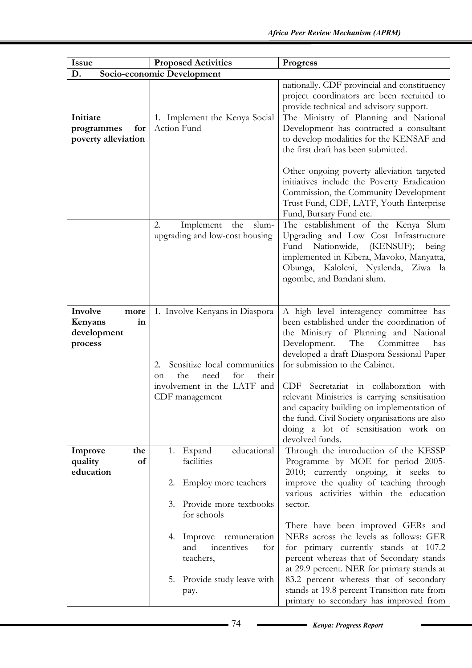| <b>Issue</b>                                               | <b>Proposed Activities</b>                                                                                                                                           | <b>Progress</b>                                                                                                                                                                                                                                                                                                                                                                                                                                                                                                  |
|------------------------------------------------------------|----------------------------------------------------------------------------------------------------------------------------------------------------------------------|------------------------------------------------------------------------------------------------------------------------------------------------------------------------------------------------------------------------------------------------------------------------------------------------------------------------------------------------------------------------------------------------------------------------------------------------------------------------------------------------------------------|
| D.                                                         | Socio-economic Development                                                                                                                                           |                                                                                                                                                                                                                                                                                                                                                                                                                                                                                                                  |
| Initiate                                                   | 1. Implement the Kenya Social                                                                                                                                        | nationally. CDF provincial and constituency<br>project coordinators are been recruited to<br>provide technical and advisory support.<br>The Ministry of Planning and National                                                                                                                                                                                                                                                                                                                                    |
| for<br>programmes<br>poverty alleviation                   | Action Fund                                                                                                                                                          | Development has contracted a consultant<br>to develop modalities for the KENSAF and<br>the first draft has been submitted.<br>Other ongoing poverty alleviation targeted<br>initiatives include the Poverty Eradication<br>Commission, the Community Development<br>Trust Fund, CDF, LATF, Youth Enterprise<br>Fund, Bursary Fund etc.                                                                                                                                                                           |
|                                                            | 2.<br>the<br>Implement<br>slum-<br>upgrading and low-cost housing                                                                                                    | The establishment of the Kenya Slum<br>Upgrading and Low Cost Infrastructure<br>Nationwide, (KENSUF);<br>Fund<br>being<br>implemented in Kibera, Mavoko, Manyatta,<br>Obunga, Kaloleni, Nyalenda, Ziwa la<br>ngombe, and Bandani slum.                                                                                                                                                                                                                                                                           |
| Involve<br>more<br>in<br>Kenyans<br>development<br>process | 1. Involve Kenyans in Diaspora<br>Sensitize local communities<br>2.<br>the<br>need<br>for<br>their<br><sub>on</sub><br>involvement in the LATF and<br>CDF management | A high level interagency committee has<br>been established under the coordination of<br>the Ministry of Planning and National<br>Development.<br>The<br>Committee<br>has<br>developed a draft Diaspora Sessional Paper<br>for submission to the Cabinet.<br>Secretariat in collaboration with<br>CDF<br>relevant Ministries is carrying sensitisation<br>and capacity building on implementation of<br>the fund. Civil Society organisations are also<br>doing a lot of sensitisation work on<br>devolved funds. |
| Improve<br>the<br>quality<br>of<br>education               | educational<br>Expand<br>1.<br>facilities<br>Employ more teachers<br>2.<br>Provide more textbooks<br>3.                                                              | Through the introduction of the KESSP<br>Programme by MOE for period 2005-<br>2010; currently ongoing, it seeks to<br>improve the quality of teaching through<br>various activities within the education<br>sector.                                                                                                                                                                                                                                                                                              |
|                                                            | for schools<br>4. Improve remuneration<br>and<br>incentives<br>for<br>teachers,<br>5.<br>Provide study leave with<br>pay.                                            | There have been improved GERs and<br>NERs across the levels as follows: GER<br>for primary currently stands at 107.2<br>percent whereas that of Secondary stands<br>at 29.9 percent. NER for primary stands at<br>83.2 percent whereas that of secondary<br>stands at 19.8 percent Transition rate from<br>primary to secondary has improved from                                                                                                                                                                |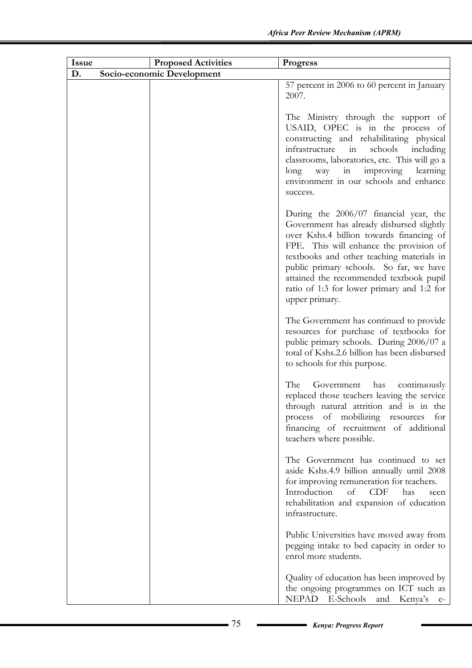| <b>Issue</b> | <b>Proposed Activities</b> | <b>Progress</b>                                                                                                                                                                                                                                                                                                                                                               |
|--------------|----------------------------|-------------------------------------------------------------------------------------------------------------------------------------------------------------------------------------------------------------------------------------------------------------------------------------------------------------------------------------------------------------------------------|
| D.           | Socio-economic Development |                                                                                                                                                                                                                                                                                                                                                                               |
|              |                            | 57 percent in 2006 to 60 percent in January<br>2007.                                                                                                                                                                                                                                                                                                                          |
|              |                            | The Ministry through the support of<br>USAID, OPEC is in the process of<br>constructing and rehabilitating physical<br>schools<br>infrastructure<br>in<br>including<br>classrooms, laboratories, etc. This will go a<br>improving<br>learning<br>long<br>way<br>in<br>environment in our schools and enhance<br>success.                                                      |
|              |                            | During the 2006/07 financial year, the<br>Government has already disbursed slightly<br>over Kshs.4 billion towards financing of<br>FPE. This will enhance the provision of<br>textbooks and other teaching materials in<br>public primary schools. So far, we have<br>attained the recommended textbook pupil<br>ratio of 1:3 for lower primary and 1:2 for<br>upper primary. |
|              |                            | The Government has continued to provide<br>resources for purchase of textbooks for<br>public primary schools. During 2006/07 a<br>total of Kshs.2.6 billion has been disbursed<br>to schools for this purpose.                                                                                                                                                                |
|              |                            | The<br>Government<br>has<br>continuously<br>replaced those teachers leaving the service<br>through natural attrition and is in the<br>process of mobilizing resources for<br>financing of recruitment of additional<br>teachers where possible.                                                                                                                               |
|              |                            | The Government has continued to set<br>aside Kshs.4.9 billion annually until 2008<br>for improving remuneration for teachers.<br>Introduction<br>CDF<br>of<br>has<br>seen<br>rehabilitation and expansion of education<br>infrastructure.                                                                                                                                     |
|              |                            | Public Universities have moved away from<br>pegging intake to bed capacity in order to<br>enrol more students.                                                                                                                                                                                                                                                                |
|              |                            | Quality of education has been improved by<br>the ongoing programmes on ICT such as<br>NEPAD E-Schools<br>and Kenya's e-                                                                                                                                                                                                                                                       |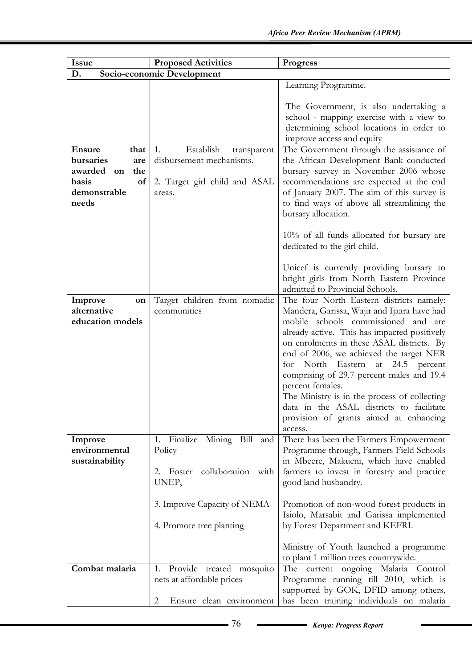| Issue                                                                                                     | <b>Proposed Activities</b>                                                                            | <b>Progress</b>                                                                                                                                                                                                                                                                                                                                                                                                                                                                                                               |
|-----------------------------------------------------------------------------------------------------------|-------------------------------------------------------------------------------------------------------|-------------------------------------------------------------------------------------------------------------------------------------------------------------------------------------------------------------------------------------------------------------------------------------------------------------------------------------------------------------------------------------------------------------------------------------------------------------------------------------------------------------------------------|
| D.                                                                                                        | Socio-economic Development                                                                            |                                                                                                                                                                                                                                                                                                                                                                                                                                                                                                                               |
|                                                                                                           |                                                                                                       | Learning Programme.                                                                                                                                                                                                                                                                                                                                                                                                                                                                                                           |
|                                                                                                           |                                                                                                       | The Government, is also undertaking a<br>school - mapping exercise with a view to<br>determining school locations in order to<br>improve access and equity                                                                                                                                                                                                                                                                                                                                                                    |
| <b>Ensure</b><br>that<br>bursaries<br>are<br>awarded<br>the<br>on<br>basis<br>of<br>demonstrable<br>needs | Establish<br>1.<br>transparent<br>disbursement mechanisms.<br>2. Target girl child and ASAL<br>areas. | The Government through the assistance of<br>the African Development Bank conducted<br>bursary survey in November 2006 whose<br>recommendations are expected at the end<br>of January 2007. The aim of this survey is<br>to find ways of above all streamlining the<br>bursary allocation.                                                                                                                                                                                                                                     |
|                                                                                                           |                                                                                                       | 10% of all funds allocated for bursary are<br>dedicated to the girl child.                                                                                                                                                                                                                                                                                                                                                                                                                                                    |
|                                                                                                           |                                                                                                       | Unicef is currently providing bursary to<br>bright girls from North Eastern Province<br>admitted to Provincial Schools.                                                                                                                                                                                                                                                                                                                                                                                                       |
| Improve<br>on<br>alternative<br>education models                                                          | Target children from nomadic<br>communities                                                           | The four North Eastern districts namely:<br>Mandera, Garissa, Wajir and Ijaara have had<br>mobile schools commissioned and are<br>already active. This has impacted positively<br>on enrolments in these ASAL districts. By<br>end of 2006, we achieved the target NER<br>for North Eastern at 24.5 percent<br>comprising of 29.7 percent males and 19.4<br>percent females.<br>The Ministry is in the process of collecting<br>data in the ASAL districts to facilitate<br>provision of grants aimed at enhancing<br>access. |
| Improve<br>environmental<br>sustainability                                                                | 1. Finalize Mining Bill<br>and<br>Policy<br>Foster collaboration with<br>2.<br>UNEP,                  | There has been the Farmers Empowerment<br>Programme through, Farmers Field Schools<br>in Mbeere, Makueni, which have enabled<br>farmers to invest in forestry and practice<br>good land husbandry.                                                                                                                                                                                                                                                                                                                            |
|                                                                                                           | 3. Improve Capacity of NEMA<br>4. Promote tree planting                                               | Promotion of non-wood forest products in<br>Isiolo, Marsabit and Garissa implemented<br>by Forest Department and KEFRI.                                                                                                                                                                                                                                                                                                                                                                                                       |
|                                                                                                           |                                                                                                       | Ministry of Youth launched a programme<br>to plant 1 million trees countrywide.                                                                                                                                                                                                                                                                                                                                                                                                                                               |
| Combat malaria                                                                                            | Provide treated mosquito<br>1.<br>nets at affordable prices<br>Ensure clean environment<br>2          | The current ongoing Malaria Control<br>Programme running till 2010, which is<br>supported by GOK, DFID among others,<br>has been training individuals on malaria                                                                                                                                                                                                                                                                                                                                                              |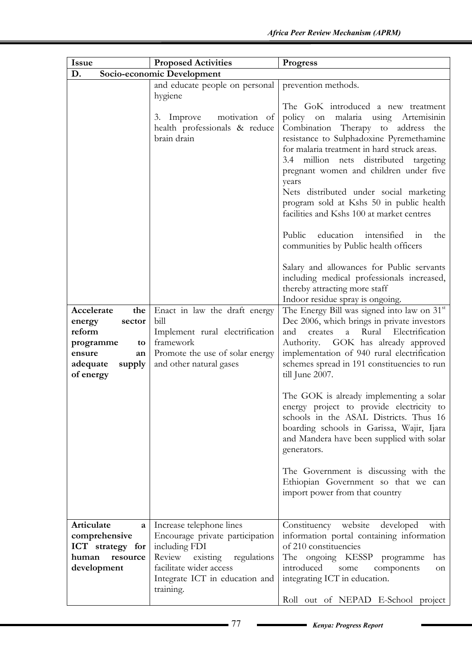| <b>Issue</b>                                    | <b>Proposed Activities</b>                                                            | <b>Progress</b>                                                                                                                                                                                                                                                                                                                                                                                                                                                                                                                                               |
|-------------------------------------------------|---------------------------------------------------------------------------------------|---------------------------------------------------------------------------------------------------------------------------------------------------------------------------------------------------------------------------------------------------------------------------------------------------------------------------------------------------------------------------------------------------------------------------------------------------------------------------------------------------------------------------------------------------------------|
| D.                                              | Socio-economic Development                                                            |                                                                                                                                                                                                                                                                                                                                                                                                                                                                                                                                                               |
|                                                 | and educate people on personal<br>hygiene                                             | prevention methods.<br>The GoK introduced a new treatment                                                                                                                                                                                                                                                                                                                                                                                                                                                                                                     |
|                                                 | motivation of<br>3. Improve<br>health professionals & reduce<br>brain drain           | malaria using<br>policy<br>on<br>Artemisinin<br>Combination Therapy to address<br>the<br>resistance to Sulphadoxine Pyremethamine<br>for malaria treatment in hard struck areas.<br>3.4 million nets<br>distributed targeting<br>pregnant women and children under five<br>years<br>Nets distributed under social marketing<br>program sold at Kshs 50 in public health<br>facilities and Kshs 100 at market centres<br>Public<br>education<br>intensified<br>the<br>in<br>communities by Public health officers<br>Salary and allowances for Public servants |
| Accelerate<br>the                               |                                                                                       | including medical professionals increased,<br>thereby attracting more staff<br>Indoor residue spray is ongoing.                                                                                                                                                                                                                                                                                                                                                                                                                                               |
| energy<br>sector<br>reform<br>programme<br>to   | Enact in law the draft energy<br>bill<br>Implement rural electrification<br>framework | The Energy Bill was signed into law on 31st<br>Dec 2006, which brings in private investors<br>Electrification<br>and<br>Rural<br>creates<br>a<br>Authority. GOK has already approved                                                                                                                                                                                                                                                                                                                                                                          |
| ensure<br>an<br>adequate<br>supply<br>of energy | Promote the use of solar energy<br>and other natural gases                            | implementation of 940 rural electrification<br>schemes spread in 191 constituencies to run<br>till June 2007.                                                                                                                                                                                                                                                                                                                                                                                                                                                 |
|                                                 |                                                                                       | The GOK is already implementing a solar<br>energy project to provide electricity to<br>schools in the ASAL Districts. Thus 16<br>boarding schools in Garissa, Wajir, Ijara<br>and Mandera have been supplied with solar<br>generators.                                                                                                                                                                                                                                                                                                                        |
|                                                 |                                                                                       | The Government is discussing with the<br>Ethiopian Government so that we can<br>import power from that country                                                                                                                                                                                                                                                                                                                                                                                                                                                |
| Articulate<br>$\mathbf{a}$                      | Increase telephone lines                                                              | Constituency website<br>developed<br>with                                                                                                                                                                                                                                                                                                                                                                                                                                                                                                                     |
| comprehensive                                   | Encourage private participation                                                       | information portal containing information                                                                                                                                                                                                                                                                                                                                                                                                                                                                                                                     |
| ICT strategy for<br>human<br>resource           | including FDI<br>Review existing<br>regulations                                       | of 210 constituencies                                                                                                                                                                                                                                                                                                                                                                                                                                                                                                                                         |
| development                                     | facilitate wider access                                                               | The ongoing KESSP programme<br>has<br>introduced<br>some<br>components<br>on                                                                                                                                                                                                                                                                                                                                                                                                                                                                                  |
|                                                 | Integrate ICT in education and                                                        | integrating ICT in education.                                                                                                                                                                                                                                                                                                                                                                                                                                                                                                                                 |
|                                                 | training.                                                                             | Roll out of NEPAD E-School project                                                                                                                                                                                                                                                                                                                                                                                                                                                                                                                            |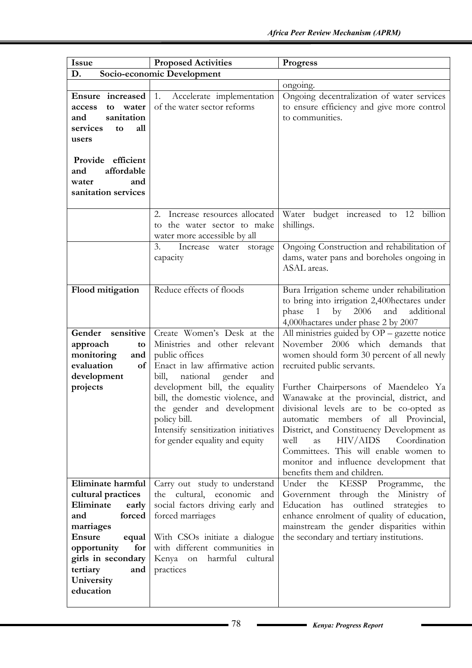| Issue                                                                                                                                                                                                           | <b>Proposed Activities</b>                                                                                                                                                                                                                                                                                                                          | <b>Progress</b>                                                                                                                                                                                                                                                                                                                                                                                                                                                                                                                                |
|-----------------------------------------------------------------------------------------------------------------------------------------------------------------------------------------------------------------|-----------------------------------------------------------------------------------------------------------------------------------------------------------------------------------------------------------------------------------------------------------------------------------------------------------------------------------------------------|------------------------------------------------------------------------------------------------------------------------------------------------------------------------------------------------------------------------------------------------------------------------------------------------------------------------------------------------------------------------------------------------------------------------------------------------------------------------------------------------------------------------------------------------|
| D.                                                                                                                                                                                                              | Socio-economic Development                                                                                                                                                                                                                                                                                                                          |                                                                                                                                                                                                                                                                                                                                                                                                                                                                                                                                                |
|                                                                                                                                                                                                                 |                                                                                                                                                                                                                                                                                                                                                     | ongoing.                                                                                                                                                                                                                                                                                                                                                                                                                                                                                                                                       |
| Ensure increased<br>water<br>to<br>access<br>sanitation<br>and<br>services<br>all<br>to<br>users<br>Provide efficient                                                                                           | 1.<br>Accelerate implementation<br>of the water sector reforms                                                                                                                                                                                                                                                                                      | Ongoing decentralization of water services<br>to ensure efficiency and give more control<br>to communities.                                                                                                                                                                                                                                                                                                                                                                                                                                    |
| affordable<br>and<br>and<br>water<br>sanitation services                                                                                                                                                        |                                                                                                                                                                                                                                                                                                                                                     |                                                                                                                                                                                                                                                                                                                                                                                                                                                                                                                                                |
|                                                                                                                                                                                                                 | 2. Increase resources allocated<br>to the water sector to make<br>water more accessible by all                                                                                                                                                                                                                                                      | Water budget increased to 12<br>billion<br>shillings.                                                                                                                                                                                                                                                                                                                                                                                                                                                                                          |
|                                                                                                                                                                                                                 | 3.<br>Increase water<br>storage<br>capacity                                                                                                                                                                                                                                                                                                         | Ongoing Construction and rehabilitation of<br>dams, water pans and boreholes ongoing in<br>ASAL areas.                                                                                                                                                                                                                                                                                                                                                                                                                                         |
| Flood mitigation                                                                                                                                                                                                | Reduce effects of floods                                                                                                                                                                                                                                                                                                                            | Bura Irrigation scheme under rehabilitation<br>to bring into irrigation 2,400 hectares under<br>by $2006$<br>phase<br>$\mathbf{1}$<br>and<br>additional<br>4,000 hactares under phase 2 by 2007                                                                                                                                                                                                                                                                                                                                                |
| sensitive<br>Gender<br>approach<br>to<br>monitoring<br>and<br>evaluation<br>of<br>development<br>projects                                                                                                       | Create Women's Desk at the<br>Ministries and other relevant<br>public offices<br>Enact in law affirmative action<br>gender<br>bill,<br>national<br>and<br>development bill, the equality<br>bill, the domestic violence, and<br>the gender and development<br>policy bill.<br>Intensify sensitization initiatives<br>for gender equality and equity | All ministries guided by $OP -$ gazette notice<br>November 2006 which demands that<br>women should form 30 percent of all newly<br>recruited public servants.<br>Further Chairpersons of Maendeleo Ya<br>Wanawake at the provincial, district, and<br>divisional levels are to be co-opted as<br>automatic members of all Provincial,<br>District, and Constituency Development as<br>HIV/AIDS<br>Coordination<br>well<br>as<br>Committees. This will enable women to<br>monitor and influence development that<br>benefits them and children. |
| Eliminate harmful<br>cultural practices<br>Eliminate<br>early<br>forced<br>and<br>marriages<br><b>Ensure</b><br>equal<br>opportunity<br>for<br>girls in secondary<br>tertiary<br>and<br>University<br>education | Carry out study to understand<br>the cultural, economic<br>and<br>social factors driving early and<br>forced marriages<br>With CSOs initiate a dialogue<br>with different communities in<br>Kenya on harmful cultural<br>practices                                                                                                                  | Under<br>Programme,<br>the<br>KESSP<br>the<br>Government through the Ministry<br>of<br>Education has outlined<br>strategies<br>to<br>enhance enrolment of quality of education,<br>mainstream the gender disparities within<br>the secondary and tertiary institutions.                                                                                                                                                                                                                                                                        |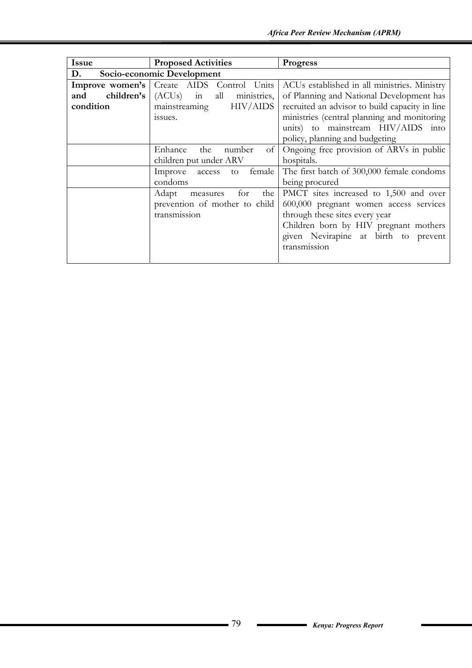| Issue                            | <b>Proposed Activities</b>                       | <b>Progress</b>                                |
|----------------------------------|--------------------------------------------------|------------------------------------------------|
| Socio-economic Development<br>D. |                                                  |                                                |
|                                  | <b>Improve women's</b> Create AIDS Control Units | ACUs established in all ministries. Ministry   |
| children's<br>and                | all<br>$(ACUs)$ in<br>ministries,                | of Planning and National Development has       |
| condition                        | <b>HIV/AIDS</b><br>mainstreaming                 | recruited an advisor to build capacity in line |
|                                  | issues.                                          | ministries (central planning and monitoring    |
|                                  |                                                  | units) to mainstream HIV/AIDS into             |
|                                  |                                                  | policy, planning and budgeting                 |
|                                  | Enhance<br>the<br>number<br>of                   | Ongoing free provision of ARVs in public       |
|                                  | children put under ARV                           | hospitals.                                     |
|                                  | Improve access<br>female<br>to                   | The first batch of 300,000 female condoms      |
|                                  | condoms                                          | being procured                                 |
|                                  | the<br>for<br>Adapt<br>measures                  | PMCT sites increased to 1,500 and over         |
|                                  | prevention of mother to child                    | 600,000 pregnant women access services         |
|                                  | transmission                                     | through these sites every year                 |
|                                  |                                                  | Children born by HIV pregnant mothers          |
|                                  |                                                  | given Nevirapine at birth to prevent           |
|                                  |                                                  | transmission                                   |
|                                  |                                                  |                                                |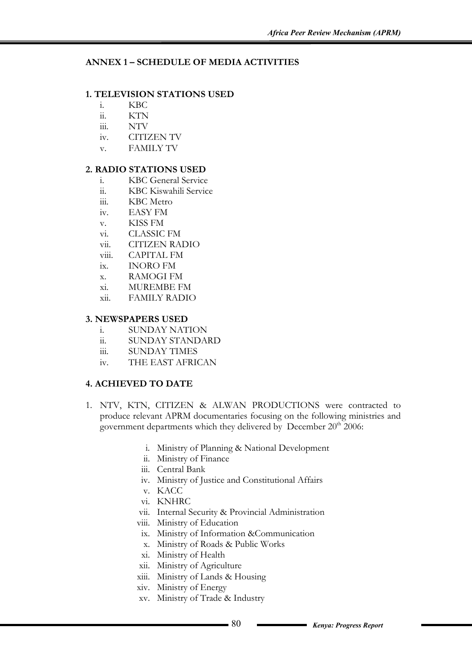# **ANNEX 1 – SCHEDULE OF MEDIA ACTIVITIES**

## **1. TELEVISION STATIONS USED**

- i. KBC
- ii. KTN
- iii. NTV
- iv. CITIZEN TV
- v. FAMILY TV

### **2. RADIO STATIONS USED**

- i. KBC General Service
- ii. KBC Kiswahili Service
- iii. KBC Metro
- iv. EASY FM
- v. KISS FM
- vi. CLASSIC FM
- vii. CITIZEN RADIO
- viii. CAPITAL FM
- ix. INORO FM
- x. RAMOGI FM
- xi. MUREMBE FM
- xii. FAMILY RADIO

#### **3. NEWSPAPERS USED**

- i. SUNDAY NATION
- ii. SUNDAY STANDARD
- iii. SUNDAY TIMES
- iv. THE EAST AFRICAN

# **4. ACHIEVED TO DATE**

- 1. NTV, KTN, CITIZEN & ALWAN PRODUCTIONS were contracted to produce relevant APRM documentaries focusing on the following ministries and government departments which they delivered by December 20<sup>th</sup> 2006:
	- i. Ministry of Planning & National Development
	- ii. Ministry of Finance
	- iii. Central Bank
	- iv. Ministry of Justice and Constitutional Affairs
	- v. KACC
	- vi. KNHRC
	- vii. Internal Security & Provincial Administration
	- viii. Ministry of Education
	- ix. Ministry of Information &Communication
	- x. Ministry of Roads & Public Works
	- xi. Ministry of Health
	- xii. Ministry of Agriculture
	- xiii. Ministry of Lands & Housing
	- xiv. Ministry of Energy
	- xv. Ministry of Trade & Industry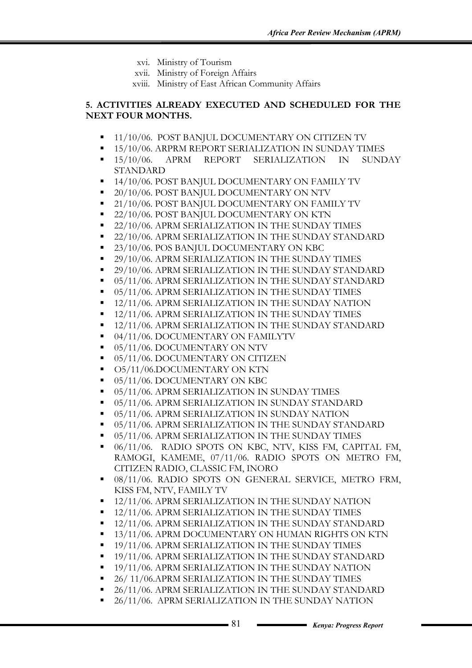- xvi. Ministry of Tourism
- xvii. Ministry of Foreign Affairs
- xviii. Ministry of East African Community Affairs

## **5. ACTIVITIES ALREADY EXECUTED AND SCHEDULED FOR THE NEXT FOUR MONTHS.**

- 11/10/06. POST BANJUL DOCUMENTARY ON CITIZEN TV
- 15/10/06. ARPRM REPORT SERIALIZATION IN SUNDAY TIMES
- 15/10/06. APRM REPORT SERIALIZATION IN SUNDAY STANDARD
- 14/10/06. POST BANJUL DOCUMENTARY ON FAMILY TV
- **20/10/06. POST BANJUL DOCUMENTARY ON NTV**
- **21/10/06. POST BANJUL DOCUMENTARY ON FAMILY TV**
- 22/10/06. POST BANJUL DOCUMENTARY ON KTN
- **22/10/06. APRM SERIALIZATION IN THE SUNDAY TIMES**
- 22/10/06. APRM SERIALIZATION IN THE SUNDAY STANDARD
- 23/10/06. POS BANJUL DOCUMENTARY ON KBC
- <sup>29</sup>/10/06. APRM SERIALIZATION IN THE SUNDAY TIMES
- 29/10/06. APRM SERIALIZATION IN THE SUNDAY STANDARD
- **05/11/06. APRM SERIALIZATION IN THE SUNDAY STANDARD**
- $\blacksquare$  05/11/06. APRM SERIALIZATION IN THE SUNDAY TIMES
- <sup>1</sup> 12/11/06. APRM SERIALIZATION IN THE SUNDAY NATION
- **12/11/06. APRM SERIALIZATION IN THE SUNDAY TIMES**
- <sup>1</sup> 12/11/06. APRM SERIALIZATION IN THE SUNDAY STANDARD
- 04/11/06. DOCUMENTARY ON FAMILYTV
- 05/11/06. DOCUMENTARY ON NTV
- 05/11/06. DOCUMENTARY ON CITIZEN
- **O5/11/06.DOCUMENTARY ON KTN**
- 05/11/06. DOCUMENTARY ON KBC
- **05/11/06. APRM SERIALIZATION IN SUNDAY TIMES**
- 05/11/06. APRM SERIALIZATION IN SUNDAY STANDARD
- $\blacksquare$  05/11/06. APRM SERIALIZATION IN SUNDAY NATION
- 05/11/06. APRM SERIALIZATION IN THE SUNDAY STANDARD
- $\blacksquare$  05/11/06. APRM SERIALIZATION IN THE SUNDAY TIMES
- $\blacksquare$  06/11/06. RADIO SPOTS ON KBC, NTV, KISS FM, CAPITAL FM, RAMOGI, KAMEME, 07/11/06. RADIO SPOTS ON METRO FM, CITIZEN RADIO, CLASSIC FM, INORO
- 08/11/06. RADIO SPOTS ON GENERAL SERVICE, METRO FRM, KISS FM, NTV, FAMILY TV
- 12/11/06. APRM SERIALIZATION IN THE SUNDAY NATION
- **12/11/06. APRM SERIALIZATION IN THE SUNDAY TIMES**
- **12/11/06. APRM SERIALIZATION IN THE SUNDAY STANDARD**
- **13/11/06. APRM DOCUMENTARY ON HUMAN RIGHTS ON KTN**
- **19/11/06. APRM SERIALIZATION IN THE SUNDAY TIMES**
- 19/11/06. APRM SERIALIZATION IN THE SUNDAY STANDARD
- **19/11/06. APRM SERIALIZATION IN THE SUNDAY NATION**
- 26/11/06.APRM SERIALIZATION IN THE SUNDAY TIMES
- 26/11/06. APRM SERIALIZATION IN THE SUNDAY STANDARD
- 26/11/06. APRM SERIALIZATION IN THE SUNDAY NATION